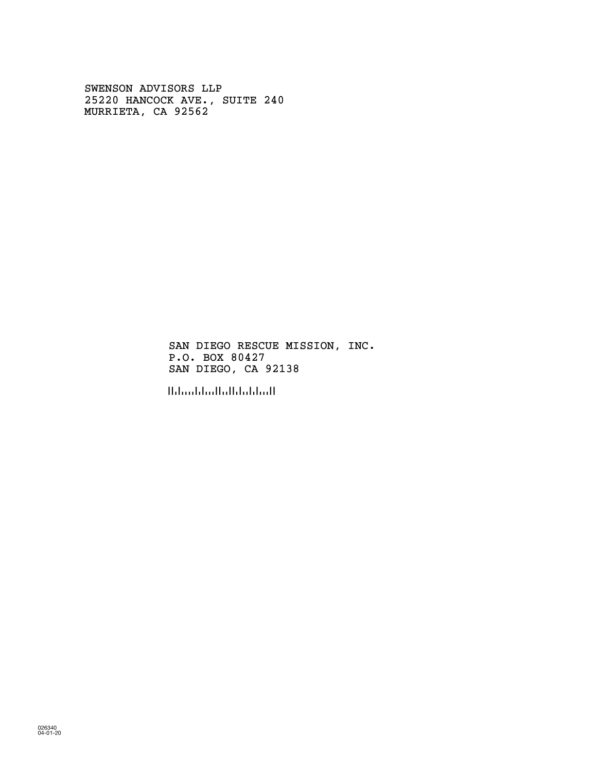SWENSON ADVISORS LLP 25220 HANCOCK AVE., SUITE 240 MURRIETA, CA 92562

> SAN DIEGO RESCUE MISSION, INC. P.O. BOX 80427 SAN DIEGO, CA 92138

!!!!!!!!!!!!!!!!!!!!!!!!!!!!!!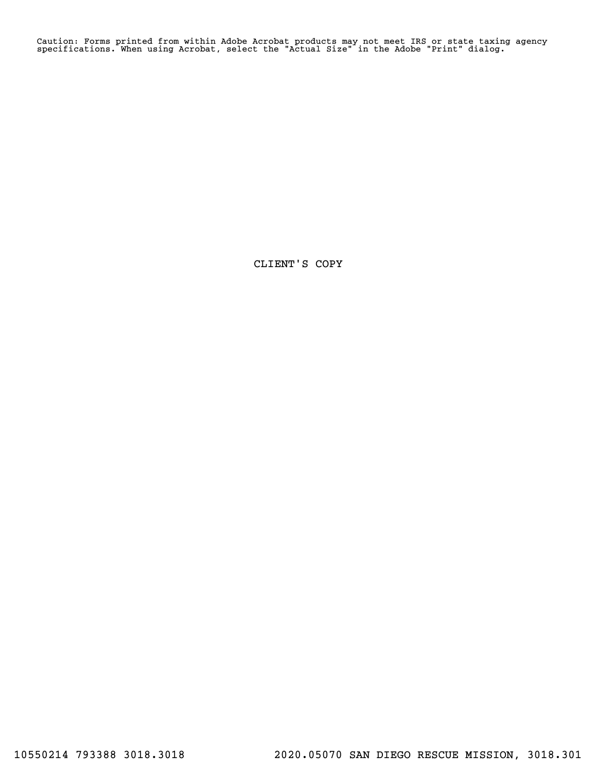Caution: Forms printed from within Adobe Acrobat products may not meet IRS or state taxing agency specifications. When using Acrobat, select the "Actual Size" in the Adobe "Print" dialog.

CLIENT'S COPY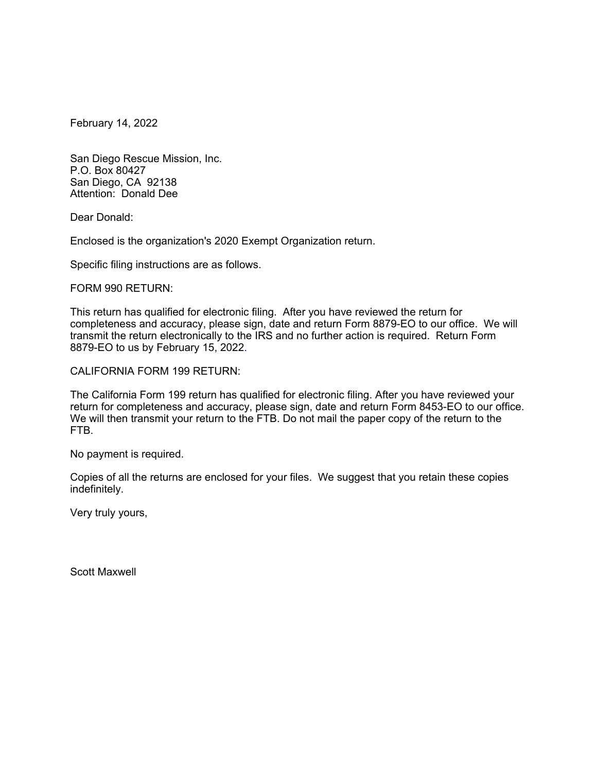February 14, 2022

San Diego Rescue Mission, Inc. P.O. Box 80427 San Diego, CA 92138 Attention: Donald Dee

Dear Donald:

Enclosed is the organization's 2020 Exempt Organization return.

Specific filing instructions are as follows.

FORM 990 RETURN:

This return has qualified for electronic filing. After you have reviewed the return for completeness and accuracy, please sign, date and return Form 8879-EO to our office. We will transmit the return electronically to the IRS and no further action is required. Return Form 8879-EO to us by February 15, 2022.

CALIFORNIA FORM 199 RETURN:

The California Form 199 return has qualified for electronic filing. After you have reviewed your return for completeness and accuracy, please sign, date and return Form 8453-EO to our office. We will then transmit your return to the FTB. Do not mail the paper copy of the return to the FTB.

No payment is required.

Copies of all the returns are enclosed for your files. We suggest that you retain these copies indefinitely.

Very truly yours,

Scott Maxwell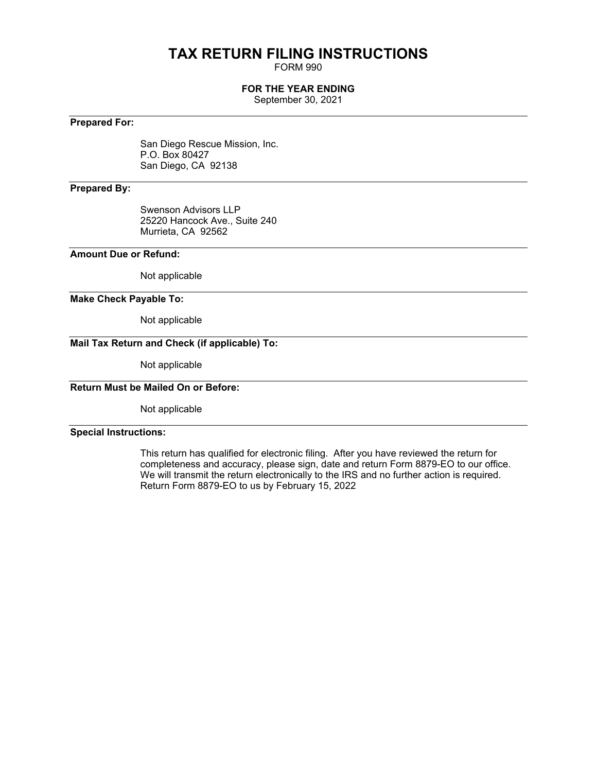# **TAX RETURN FILING INSTRUCTIONS**

FORM 990

# **FOR THE YEAR ENDING**

September 30, 2021

# **Prepared For:**

San Diego Rescue Mission, Inc. P.O. Box 80427 San Diego, CA 92138

## **Prepared By:**

Swenson Advisors LLP 25220 Hancock Ave., Suite 240 Murrieta, CA 92562

## **Amount Due or Refund:**

Not applicable

### **Make Check Payable To:**

Not applicable

# **Mail Tax Return and Check (if applicable) To:**

Not applicable

# **Return Must be Mailed On or Before:**

Not applicable

## **Special Instructions:**

This return has qualified for electronic filing. After you have reviewed the return for completeness and accuracy, please sign, date and return Form 8879-EO to our office. We will transmit the return electronically to the IRS and no further action is required. Return Form 8879-EO to us by February 15, 2022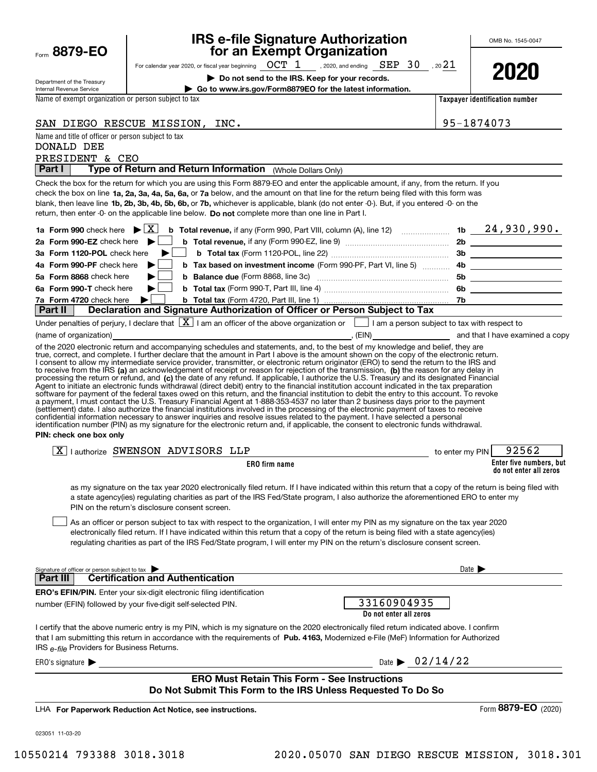|      | 8879-1<br>E |  |
|------|-------------|--|
| Form |             |  |

# **IRS e-file Signature Authorization for an Exempt Organization**

OMB No. 1545-0047

| Department of the Treasury |
|----------------------------|
| Internal Revenue Service   |

For calendar year 2020, or fiscal year beginning  $\hskip1em{\rm OCT}$   $\hskip1em{1}$  , 2020, and ending  $\hskip1em{\rm SEP}$   $\hskip1em{3}$   $\hskip1em{0.1}$  , 20 $\hskip1em{2}$ 

**| Do not send to the IRS. Keep for your records.**



**Taxpayer identification number | Go to www.irs.gov/Form8879EO for the latest information.**

Name of exempt organization or person subject to tax

| SAN DIEGO RESCUE MISSION,                          | INC. | 95-1874073 |
|----------------------------------------------------|------|------------|
| Name and title of officer or person subject to tax |      |            |
| <b>DONALD DEE</b>                                  |      |            |

# PRESIDENT & CEO

**Part I** | Type of Return and Return Information (Whole Dollars Only)

check the box on line **1a, 2a, 3a, 4a, 5a, 6a,** or **7a** below, and the amount on that line for the return being filed with this form was blank, then leave line **1b, 2b, 3b, 4b, 5b, 6b, or 7b,** whichever is applicable, blank (do not enter -0-). But, if you entered -0- on the return, then enter -0- on the applicable line below. **Do not** complete more than one line in Part I. Check the box for the return for which you are using this Form 8879-EO and enter the applicable amount, if any, from the return. If you

# **Part II Declaration and Signature Authorization of Officer or Person Subject to Tax**

|                        | Under penalties of perjury, I declare that $\boxed{\textbf{X}}$ I am an officer of the above organization or |       | I am a person subject to tax with respect to |
|------------------------|--------------------------------------------------------------------------------------------------------------|-------|----------------------------------------------|
| (name of organization) |                                                                                                              | (EIN) | and that I have examined a copy              |

to receive from the IRS **(a)** an acknowledgement of receipt or reason for rejection of the transmission, **(b)** the reason for any delay in processing the return or refund, and (**c)** the date of any refund. If applicable, I authorize the U.S. Treasury and its designated Financial of the 2020 electronic return and accompanying schedules and statements, and, to the best of my knowledge and belief, they are true, correct, and complete. I further declare that the amount in Part I above is the amount shown on the copy of the electronic return. I consent to allow my intermediate service provider, transmitter, or electronic return originator (ERO) to send the return to the IRS and Agent to initiate an electronic funds withdrawal (direct debit) entry to the financial institution account indicated in the tax preparation<br>software for payment of the federal taxes owed on this return, and the financial i a payment, I must contact the U.S. Treasury Financial Agent at 1-888-353-4537 no later than 2 business days prior to the payment (settlement) date. I also authorize the financial institutions involved in the processing of the electronic payment of taxes to receive<br>confidential information necessary to answer inquiries and resolve issues related to t identification number (PIN) as my signature for the electronic return and, if applicable, the consent to electronic funds withdrawal.

### **PIN: check one box only**

| $\overline{\mathtt{x}}$ ) | Ilauthorize SWENSON ADVISORS L. | LLP           | to enter my PIN | 92562                                             |
|---------------------------|---------------------------------|---------------|-----------------|---------------------------------------------------|
|                           |                                 | ERO firm name |                 | Enter five numbers, but<br>do not enter all zeros |

as my signature on the tax year 2020 electronically filed return. If I have indicated within this return that a copy of the return is being filed with a state agency(ies) regulating charities as part of the IRS Fed/State program, I also authorize the aforementioned ERO to enter my PIN on the return's disclosure consent screen.

As an officer or person subject to tax with respect to the organization, I will enter my PIN as my signature on the tax year 2020 electronically filed return. If I have indicated within this return that a copy of the return is being filed with a state agency(ies) regulating charities as part of the IRS Fed/State program, I will enter my PIN on the return's disclosure consent screen.  $\mathcal{L}^{\text{max}}$ 

| Signature of officer or person subject to tax                                                                                                                                                                                                                                                                                     | Date $\blacktriangleright$            |
|-----------------------------------------------------------------------------------------------------------------------------------------------------------------------------------------------------------------------------------------------------------------------------------------------------------------------------------|---------------------------------------|
| <b>Part III</b> Certification and Authentication                                                                                                                                                                                                                                                                                  |                                       |
| <b>ERO's EFIN/PIN.</b> Enter your six-digit electronic filing identification<br>number (EFIN) followed by your five-digit self-selected PIN.                                                                                                                                                                                      | 33160904935<br>Do not enter all zeros |
| I certify that the above numeric entry is my PIN, which is my signature on the 2020 electronically filed return indicated above. I confirm<br>that I am submitting this return in accordance with the requirements of Pub. 4163, Modernized e-File (MeF) Information for Authorized<br>IRS e-file Providers for Business Returns. |                                       |
| ERO's signature                                                                                                                                                                                                                                                                                                                   | Date $\triangleright$ 02/14/22        |
| <b>FRO Must Retain This Form - See Instructions</b>                                                                                                                                                                                                                                                                               |                                       |

## **ERO Must Retain This Form - See Instructions Do Not Submit This Form to the IRS Unless Requested To Do So**

**For Paperwork Reduction Act Notice, see instructions.** LHA

023051 11-03-20

Form (2020) **8879-EO**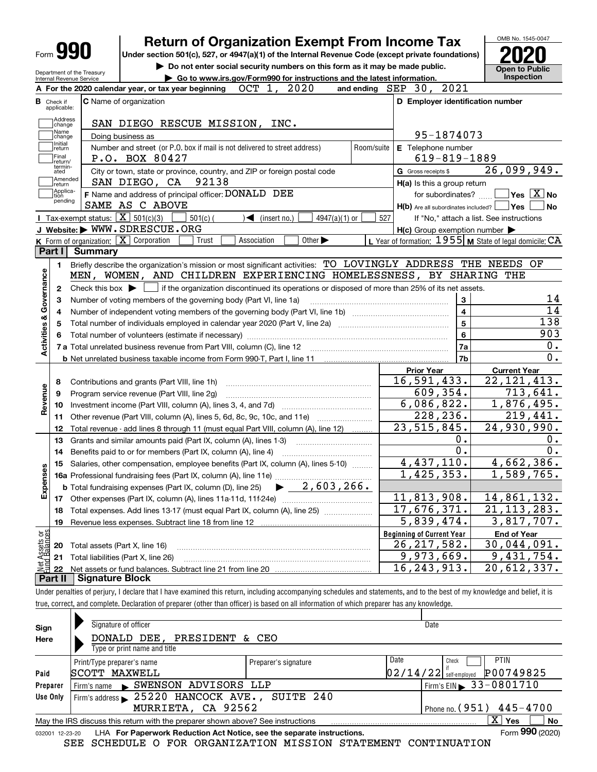| Form 990                                               |                                                                                                                                             | <b>Return of Organization Exempt From Income Tax</b>                                               |            |                                                             | OMB No. 1545-0047                                                                                                                                                                                        |
|--------------------------------------------------------|---------------------------------------------------------------------------------------------------------------------------------------------|----------------------------------------------------------------------------------------------------|------------|-------------------------------------------------------------|----------------------------------------------------------------------------------------------------------------------------------------------------------------------------------------------------------|
|                                                        |                                                                                                                                             | Under section 501(c), 527, or 4947(a)(1) of the Internal Revenue Code (except private foundations) |            |                                                             |                                                                                                                                                                                                          |
|                                                        |                                                                                                                                             | Do not enter social security numbers on this form as it may be made public.                        |            |                                                             | <b>Open to Public</b>                                                                                                                                                                                    |
| Department of the Treasury<br>Internal Revenue Service |                                                                                                                                             | Go to www.irs.gov/Form990 for instructions and the latest information.                             |            |                                                             | Inspection                                                                                                                                                                                               |
|                                                        | A For the 2020 calendar year, or tax year beginning                                                                                         | OCT 1, 2020                                                                                        | and ending | SEP 30, 2021                                                |                                                                                                                                                                                                          |
| <b>B</b> Check if<br>applicable:                       | <b>C</b> Name of organization                                                                                                               |                                                                                                    |            | D Employer identification number                            |                                                                                                                                                                                                          |
| Address<br>change                                      | SAN DIEGO RESCUE MISSION, INC.                                                                                                              |                                                                                                    |            |                                                             |                                                                                                                                                                                                          |
| Name<br>change                                         | Doing business as                                                                                                                           |                                                                                                    |            | 95-1874073                                                  |                                                                                                                                                                                                          |
| Initial<br>return<br>Final<br>return/                  | Number and street (or P.O. box if mail is not delivered to street address)<br>P.O. BOX 80427                                                |                                                                                                    | Room/suite | E Telephone number<br>$619 - 819 - 1889$                    |                                                                                                                                                                                                          |
| termin-<br>ated                                        | City or town, state or province, country, and ZIP or foreign postal code                                                                    |                                                                                                    |            | G Gross receipts \$                                         | 26,099,949.                                                                                                                                                                                              |
| Amended<br>return                                      | SAN DIEGO, CA 92138                                                                                                                         |                                                                                                    |            | H(a) Is this a group return                                 |                                                                                                                                                                                                          |
| Applica-<br>tion<br>pending                            | F Name and address of principal officer: DONALD DEE                                                                                         |                                                                                                    |            | for subordinates? $\frac{\Box}{\Box}$                       | $\sqrt{}$ Yes $\sqrt{}$ X $\sqrt{}$ No                                                                                                                                                                   |
|                                                        | SAME AS C ABOVE                                                                                                                             |                                                                                                    |            | H(b) Are all subordinates included?   Yes                   | ∣ No                                                                                                                                                                                                     |
|                                                        | <b>Tax-exempt status:</b> $\boxed{\mathbf{X}}$ 501(c)(3)<br>$501(c)$ (                                                                      | $\sqrt{\phantom{a}}$ (insert no.)<br>4947(a)(1) or                                                 | 527        |                                                             | If "No," attach a list. See instructions                                                                                                                                                                 |
|                                                        | J Website: WWW.SDRESCUE.ORG                                                                                                                 |                                                                                                    |            | $H(c)$ Group exemption number $\blacktriangleright$         |                                                                                                                                                                                                          |
| Part I                                                 | K Form of organization: X Corporation<br>Trust<br><b>Summary</b>                                                                            | Association<br>Other $\blacktriangleright$                                                         |            | L Year of formation: $1955$ M State of legal domicile: $CA$ |                                                                                                                                                                                                          |
|                                                        |                                                                                                                                             |                                                                                                    |            |                                                             |                                                                                                                                                                                                          |
| 1.                                                     | Briefly describe the organization's mission or most significant activities: TO LOVINGLY ADDRESS THE NEEDS OF                                |                                                                                                    |            |                                                             |                                                                                                                                                                                                          |
| Governance                                             | MEN, WOMEN, AND CHILDREN EXPERIENCING HOMELESSNESS, BY SHARING THE                                                                          |                                                                                                    |            |                                                             |                                                                                                                                                                                                          |
| 2                                                      | Check this box $\blacktriangleright$ $\Box$ if the organization discontinued its operations or disposed of more than 25% of its net assets. |                                                                                                    |            |                                                             |                                                                                                                                                                                                          |
| з                                                      | Number of voting members of the governing body (Part VI, line 1a)                                                                           |                                                                                                    |            | 3                                                           | 14                                                                                                                                                                                                       |
| 4                                                      |                                                                                                                                             |                                                                                                    |            | $\overline{\mathbf{4}}$                                     | $\overline{14}$                                                                                                                                                                                          |
| 5                                                      |                                                                                                                                             |                                                                                                    |            | 5                                                           | $\overline{138}$                                                                                                                                                                                         |
| 6                                                      |                                                                                                                                             |                                                                                                    |            |                                                             |                                                                                                                                                                                                          |
|                                                        |                                                                                                                                             |                                                                                                    |            | $\bf{6}$                                                    |                                                                                                                                                                                                          |
|                                                        |                                                                                                                                             |                                                                                                    |            | 7a                                                          |                                                                                                                                                                                                          |
|                                                        |                                                                                                                                             |                                                                                                    |            | 7b                                                          |                                                                                                                                                                                                          |
|                                                        |                                                                                                                                             |                                                                                                    |            | <b>Prior Year</b>                                           | <b>Current Year</b>                                                                                                                                                                                      |
| 8                                                      | Contributions and grants (Part VIII, line 1h)                                                                                               |                                                                                                    |            | 16, 591, 433.                                               |                                                                                                                                                                                                          |
| 9                                                      | Program service revenue (Part VIII, line 2g)                                                                                                |                                                                                                    |            | 609, 354.                                                   |                                                                                                                                                                                                          |
| 10                                                     |                                                                                                                                             |                                                                                                    |            | 6,086,822.                                                  |                                                                                                                                                                                                          |
| 11                                                     | Other revenue (Part VIII, column (A), lines 5, 6d, 8c, 9c, 10c, and 11e)                                                                    |                                                                                                    |            | 228,236.                                                    |                                                                                                                                                                                                          |
| 12                                                     | Total revenue - add lines 8 through 11 (must equal Part VIII, column (A), line 12)                                                          |                                                                                                    |            | $\overline{23}$ , 515, 845.                                 |                                                                                                                                                                                                          |
| 13                                                     | Grants and similar amounts paid (Part IX, column (A), lines 1-3)                                                                            |                                                                                                    |            | 0.                                                          |                                                                                                                                                                                                          |
| 14                                                     | Benefits paid to or for members (Part IX, column (A), line 4)                                                                               |                                                                                                    |            | $\overline{0}$ .                                            |                                                                                                                                                                                                          |
|                                                        |                                                                                                                                             |                                                                                                    |            | 4,437,110.                                                  |                                                                                                                                                                                                          |
|                                                        | 15 Salaries, other compensation, employee benefits (Part IX, column (A), lines 5-10)                                                        |                                                                                                    |            |                                                             |                                                                                                                                                                                                          |
|                                                        |                                                                                                                                             |                                                                                                    |            | 1,425,353.                                                  |                                                                                                                                                                                                          |
| 17                                                     | <b>b</b> Total fundraising expenses (Part IX, column (D), line 25)                                                                          | $\blacktriangleright$ 2,603,266.                                                                   |            | 11,813,908.                                                 |                                                                                                                                                                                                          |
|                                                        |                                                                                                                                             |                                                                                                    |            |                                                             |                                                                                                                                                                                                          |
| 18                                                     | Total expenses. Add lines 13-17 (must equal Part IX, column (A), line 25)                                                                   |                                                                                                    |            | 17,676,371.                                                 |                                                                                                                                                                                                          |
| 19                                                     | Revenue less expenses. Subtract line 18 from line 12                                                                                        |                                                                                                    |            | 5,839,474.                                                  |                                                                                                                                                                                                          |
|                                                        |                                                                                                                                             |                                                                                                    |            | <b>Beginning of Current Year</b>                            | <b>End of Year</b>                                                                                                                                                                                       |
| <b>Activities &amp;</b><br>Revenue<br>Expenses<br>20   | Total assets (Part X, line 16)                                                                                                              |                                                                                                    |            | 26, 217, 582.                                               | 903<br>0.<br>0.<br>$\overline{22}$ , 121, 413.<br>713,641.<br>1,876,495.<br>219,441.<br>24,930,990.<br>Ο.<br>0.<br>4,662,386.<br>1,589,765.<br>14,861,132.<br>21, 113, 283.<br>3,817,707.<br>30,044,091. |
| t Assets or<br>d.Balances<br>21<br>혏<br>22             | Total liabilities (Part X, line 26)<br>Net assets or fund balances. Subtract line 21 from line 20                                           |                                                                                                    |            | 9,973,669.<br>16, 243, 913.                                 | 9,431,754.<br>$\overline{20}$ , 612, 337.                                                                                                                                                                |

Under penalties of perjury, I declare that I have examined this return, including accompanying schedules and statements, and to the best of my knowledge and belief, it is true, correct, and complete. Declaration of preparer (other than officer) is based on all information of which preparer has any knowledge.

| Sign     | Signature of officer                                                                                         |                      | Date                                         |  |  |  |  |  |
|----------|--------------------------------------------------------------------------------------------------------------|----------------------|----------------------------------------------|--|--|--|--|--|
| Here     | DONALD DEE, PRESIDENT & CEO                                                                                  |                      |                                              |  |  |  |  |  |
|          | Type or print name and title                                                                                 |                      |                                              |  |  |  |  |  |
|          | Print/Type preparer's name                                                                                   | Preparer's signature | Date<br><b>PTIN</b><br>Check                 |  |  |  |  |  |
| Paid     | SCOTT MAXWELL                                                                                                |                      | P00749825<br>$02/14/22$ self-employed        |  |  |  |  |  |
| Preparer | Firm's name SWENSON ADVISORS LLP                                                                             |                      | $\frac{1}{2}$ Firm's EIN $\geq 33 - 0801710$ |  |  |  |  |  |
| Use Only | Firm's address 25220 HANCOCK AVE., SUITE 240                                                                 |                      |                                              |  |  |  |  |  |
|          | MURRIETA, CA 92562                                                                                           |                      | Phone no. $(951)$ $445 - 4700$               |  |  |  |  |  |
|          | $X \mid Y$ es<br>No<br>May the IRS discuss this return with the preparer shown above? See instructions       |                      |                                              |  |  |  |  |  |
|          | Form 990 (2020)<br>LHA For Paperwork Reduction Act Notice, see the separate instructions.<br>032001 12-23-20 |                      |                                              |  |  |  |  |  |

SEE SCHEDULE O FOR ORGANIZATION MISSION STATEMENT CONTINUATION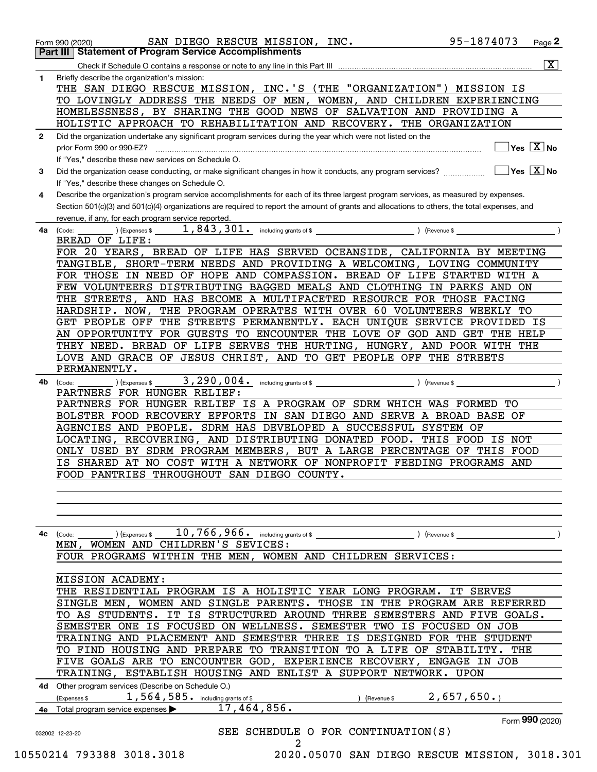|              | 95-1874073<br>SAN DIEGO RESCUE MISSION, INC.<br>Page $2$<br>Form 990 (2020)                                                                               |
|--------------|-----------------------------------------------------------------------------------------------------------------------------------------------------------|
|              | <b>Part III   Statement of Program Service Accomplishments</b><br>$\overline{\mathbf{x}}$                                                                 |
|              |                                                                                                                                                           |
| 1            | Briefly describe the organization's mission:<br>THE SAN DIEGO RESCUE MISSION, INC.'S (THE "ORGANIZATION")<br>MISSION IS                                   |
|              | TO LOVINGLY ADDRESS THE NEEDS OF MEN, WOMEN, AND CHILDREN EXPERIENCING                                                                                    |
|              | HOMELESSNESS, BY SHARING THE GOOD NEWS OF SALVATION AND PROVIDING A                                                                                       |
|              | HOLISTIC APPROACH TO REHABILITATION AND RECOVERY. THE ORGANIZATION                                                                                        |
|              |                                                                                                                                                           |
| $\mathbf{2}$ | Did the organization undertake any significant program services during the year which were not listed on the<br>$\overline{\ }$ Yes $\overline{\ \ X}$ No |
|              | prior Form 990 or 990-EZ?<br>If "Yes," describe these new services on Schedule O.                                                                         |
|              | $\overline{\ }$ Yes $\overline{\ \ X}$ No                                                                                                                 |
| 3            | If "Yes," describe these changes on Schedule O.                                                                                                           |
| 4            | Describe the organization's program service accomplishments for each of its three largest program services, as measured by expenses.                      |
|              | Section 501(c)(3) and 501(c)(4) organizations are required to report the amount of grants and allocations to others, the total expenses, and              |
|              | revenue, if any, for each program service reported.                                                                                                       |
|              |                                                                                                                                                           |
| 4a           | ) (Expenses \$<br>(Code:<br>BREAD OF LIFE:                                                                                                                |
|              | FOR 20 YEARS, BREAD OF LIFE HAS SERVED OCEANSIDE, CALIFORNIA BY MEETING                                                                                   |
|              | TANGIBLE, SHORT-TERM NEEDS AND PROVIDING A WELCOMING, LOVING COMMUNITY                                                                                    |
|              | FOR THOSE IN NEED OF HOPE AND COMPASSION. BREAD OF LIFE STARTED WITH A                                                                                    |
|              | FEW VOLUNTEERS DISTRIBUTING BAGGED MEALS AND CLOTHING IN PARKS AND ON                                                                                     |
|              | THE STREETS, AND HAS BECOME A MULTIFACETED RESOURCE FOR THOSE FACING                                                                                      |
|              | THE PROGRAM OPERATES WITH OVER 60 VOLUNTEERS WEEKLY TO<br>HARDSHIP. NOW,                                                                                  |
|              | GET PEOPLE OFF THE STREETS PERMANENTLY. EACH UNIQUE SERVICE PROVIDED IS                                                                                   |
|              | AN OPPORTUNITY FOR GUESTS TO ENCOUNTER THE LOVE OF GOD AND GET THE HELP                                                                                   |
|              | THEY NEED. BREAD OF LIFE SERVES THE HURTING, HUNGRY, AND POOR WITH THE                                                                                    |
|              |                                                                                                                                                           |
|              | LOVE AND GRACE OF JESUS CHRIST, AND TO GET PEOPLE OFF THE STREETS                                                                                         |
|              | PERMANENTLY.                                                                                                                                              |
| 4b.          | (Code:<br>(Expenses \$                                                                                                                                    |
|              | PARTNERS FOR HUNGER RELIEF:                                                                                                                               |
|              | PARTNERS FOR HUNGER RELIEF IS A PROGRAM OF SDRM WHICH WAS FORMED TO                                                                                       |
|              | BOLSTER FOOD RECOVERY EFFORTS IN SAN DIEGO AND SERVE A BROAD BASE OF                                                                                      |
|              | AGENCIES AND PEOPLE. SDRM HAS DEVELOPED A SUCCESSFUL SYSTEM OF                                                                                            |
|              | LOCATING, RECOVERING, AND DISTRIBUTING DONATED FOOD. THIS FOOD IS NOT                                                                                     |
|              | ONLY USED BY SDRM PROGRAM MEMBERS, BUT A LARGE PERCENTAGE OF THIS FOOD<br>IS SHARED AT NO COST WITH A NETWORK OF NONPROFIT FEEDING PROGRAMS AND           |
|              | FOOD PANTRIES THROUGHOUT SAN DIEGO COUNTY.                                                                                                                |
|              |                                                                                                                                                           |
|              |                                                                                                                                                           |
|              |                                                                                                                                                           |
|              |                                                                                                                                                           |
|              |                                                                                                                                                           |
| 4c           | (Expenses \$<br>(Code:<br>MEN, WOMEN AND CHILDREN'S SEVICES:                                                                                              |
|              |                                                                                                                                                           |
|              | FOUR PROGRAMS WITHIN THE MEN, WOMEN AND CHILDREN SERVICES:                                                                                                |
|              |                                                                                                                                                           |
|              | <b>MISSION ACADEMY:</b>                                                                                                                                   |
|              | THE RESIDENTIAL PROGRAM IS A HOLISTIC YEAR LONG PROGRAM. IT SERVES                                                                                        |
|              | SINGLE MEN, WOMEN AND SINGLE PARENTS. THOSE IN THE PROGRAM ARE REFERRED                                                                                   |
|              | TO AS STUDENTS. IT IS STRUCTURED AROUND THREE SEMESTERS AND FIVE GOALS.                                                                                   |
|              | SEMESTER ONE IS FOCUSED ON WELLNESS. SEMESTER TWO IS FOCUSED ON JOB                                                                                       |
|              | TRAINING AND PLACEMENT AND SEMESTER THREE IS DESIGNED FOR THE STUDENT                                                                                     |
|              | TO FIND HOUSING AND PREPARE TO TRANSITION TO A LIFE OF STABILITY. THE                                                                                     |
|              | FIVE GOALS ARE TO ENCOUNTER GOD, EXPERIENCE RECOVERY, ENGAGE IN JOB                                                                                       |
|              | TRAINING, ESTABLISH HOUSING AND ENLIST A SUPPORT NETWORK. UPON                                                                                            |
| 4d -         | Other program services (Describe on Schedule O.)                                                                                                          |
|              | 2,657,650.<br>1,564,585. including grants of \$<br>(Expenses \$<br>) (Revenue \$                                                                          |
|              | 17, 464, 856.<br>4e Total program service expenses $\blacktriangleright$                                                                                  |
|              | Form 990 (2020)                                                                                                                                           |
|              | SEE SCHEDULE O FOR CONTINUATION(S)<br>032002 12-23-20                                                                                                     |
|              | 2                                                                                                                                                         |
|              | 10550214 793388 3018.3018<br>2020.05070 SAN DIEGO RESCUE MISSION, 3018.301                                                                                |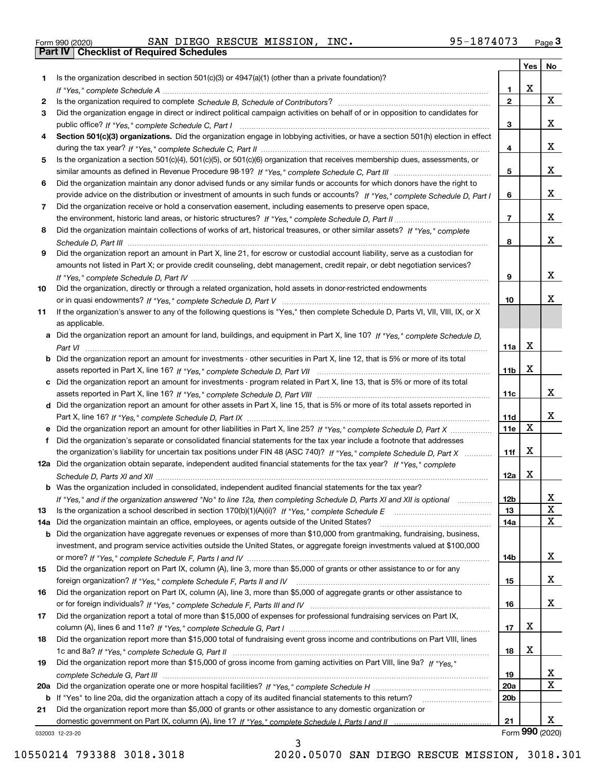|  | Form 990 (2020) |  |
|--|-----------------|--|

Form 990 (2020) SAN DIEGO RESCUE MISSION, INC**.** 95-1874073 <sub>Page</sub> 3<br><mark>Part IV | Checklist of Required Schedules</mark>

|     |                                                                                                                                       |                 | Yes         | No              |
|-----|---------------------------------------------------------------------------------------------------------------------------------------|-----------------|-------------|-----------------|
| 1.  | Is the organization described in section $501(c)(3)$ or $4947(a)(1)$ (other than a private foundation)?                               |                 |             |                 |
|     |                                                                                                                                       | 1.              | X           |                 |
| 2   |                                                                                                                                       | $\overline{2}$  |             | X               |
| 3   | Did the organization engage in direct or indirect political campaign activities on behalf of or in opposition to candidates for       |                 |             |                 |
|     |                                                                                                                                       | 3               |             | x               |
| 4   | Section 501(c)(3) organizations. Did the organization engage in lobbying activities, or have a section 501(h) election in effect      |                 |             |                 |
|     |                                                                                                                                       | 4               |             | x               |
| 5   | Is the organization a section 501(c)(4), 501(c)(5), or 501(c)(6) organization that receives membership dues, assessments, or          |                 |             |                 |
|     |                                                                                                                                       | 5               |             | x               |
| 6   | Did the organization maintain any donor advised funds or any similar funds or accounts for which donors have the right to             |                 |             | x               |
|     | provide advice on the distribution or investment of amounts in such funds or accounts? If "Yes," complete Schedule D, Part I          | 6               |             |                 |
| 7   | Did the organization receive or hold a conservation easement, including easements to preserve open space,                             |                 |             | X               |
|     |                                                                                                                                       | $\overline{7}$  |             |                 |
| 8   | Did the organization maintain collections of works of art, historical treasures, or other similar assets? If "Yes," complete          | 8               |             | x               |
|     | Did the organization report an amount in Part X, line 21, for escrow or custodial account liability, serve as a custodian for         |                 |             |                 |
| 9   |                                                                                                                                       |                 |             |                 |
|     | amounts not listed in Part X; or provide credit counseling, debt management, credit repair, or debt negotiation services?             | 9               |             | x               |
| 10  | Did the organization, directly or through a related organization, hold assets in donor-restricted endowments                          |                 |             |                 |
|     |                                                                                                                                       | 10              |             | х               |
| 11  | If the organization's answer to any of the following questions is "Yes," then complete Schedule D, Parts VI, VIII, VIII, IX, or X     |                 |             |                 |
|     | as applicable.                                                                                                                        |                 |             |                 |
|     | a Did the organization report an amount for land, buildings, and equipment in Part X, line 10? If "Yes," complete Schedule D,         |                 |             |                 |
|     |                                                                                                                                       | 11a             | X           |                 |
|     | <b>b</b> Did the organization report an amount for investments - other securities in Part X, line 12, that is 5% or more of its total |                 |             |                 |
|     |                                                                                                                                       | 11 <sub>b</sub> | X           |                 |
|     | c Did the organization report an amount for investments - program related in Part X, line 13, that is 5% or more of its total         |                 |             |                 |
|     |                                                                                                                                       | 11c             |             | х               |
|     | d Did the organization report an amount for other assets in Part X, line 15, that is 5% or more of its total assets reported in       |                 |             |                 |
|     |                                                                                                                                       | 11d             |             | х               |
|     | e Did the organization report an amount for other liabilities in Part X, line 25? If "Yes," complete Schedule D, Part X               | 11e             | $\mathbf X$ |                 |
| f   | Did the organization's separate or consolidated financial statements for the tax year include a footnote that addresses               |                 |             |                 |
|     | the organization's liability for uncertain tax positions under FIN 48 (ASC 740)? If "Yes," complete Schedule D, Part X                | 11f             | X           |                 |
|     | 12a Did the organization obtain separate, independent audited financial statements for the tax year? If "Yes," complete               |                 |             |                 |
|     |                                                                                                                                       | 12a             | X           |                 |
|     | <b>b</b> Was the organization included in consolidated, independent audited financial statements for the tax year?                    |                 |             |                 |
|     | If "Yes," and if the organization answered "No" to line 12a, then completing Schedule D, Parts XI and XII is optional                 | 12D             |             | ᅀ               |
| 13  |                                                                                                                                       | 13              |             | $\mathbf X$     |
| 14a | Did the organization maintain an office, employees, or agents outside of the United States?                                           | 14a             |             | $\mathbf X$     |
|     | <b>b</b> Did the organization have aggregate revenues or expenses of more than \$10,000 from grantmaking, fundraising, business,      |                 |             |                 |
|     | investment, and program service activities outside the United States, or aggregate foreign investments valued at \$100,000            |                 |             |                 |
|     |                                                                                                                                       | 14b             |             | x               |
| 15  | Did the organization report on Part IX, column (A), line 3, more than \$5,000 of grants or other assistance to or for any             |                 |             |                 |
|     |                                                                                                                                       | 15              |             | x               |
| 16  | Did the organization report on Part IX, column (A), line 3, more than \$5,000 of aggregate grants or other assistance to              |                 |             |                 |
|     |                                                                                                                                       | 16              |             | x               |
| 17  | Did the organization report a total of more than \$15,000 of expenses for professional fundraising services on Part IX,               |                 | х           |                 |
|     |                                                                                                                                       | 17              |             |                 |
| 18  | Did the organization report more than \$15,000 total of fundraising event gross income and contributions on Part VIII, lines          | 18              | х           |                 |
|     | Did the organization report more than \$15,000 of gross income from gaming activities on Part VIII, line 9a? If "Yes."                |                 |             |                 |
| 19  |                                                                                                                                       | 19              |             | X               |
|     |                                                                                                                                       | 20a             |             | $\mathbf X$     |
|     | b If "Yes" to line 20a, did the organization attach a copy of its audited financial statements to this return?                        | 20 <sub>b</sub> |             |                 |
| 21  | Did the organization report more than \$5,000 of grants or other assistance to any domestic organization or                           |                 |             |                 |
|     |                                                                                                                                       | 21              |             | х               |
|     | 032003 12-23-20                                                                                                                       |                 |             | Form 990 (2020) |

032003 12-23-20

3 10550214 793388 3018.3018 2020.05070 SAN DIEGO RESCUE MISSION, 3018.301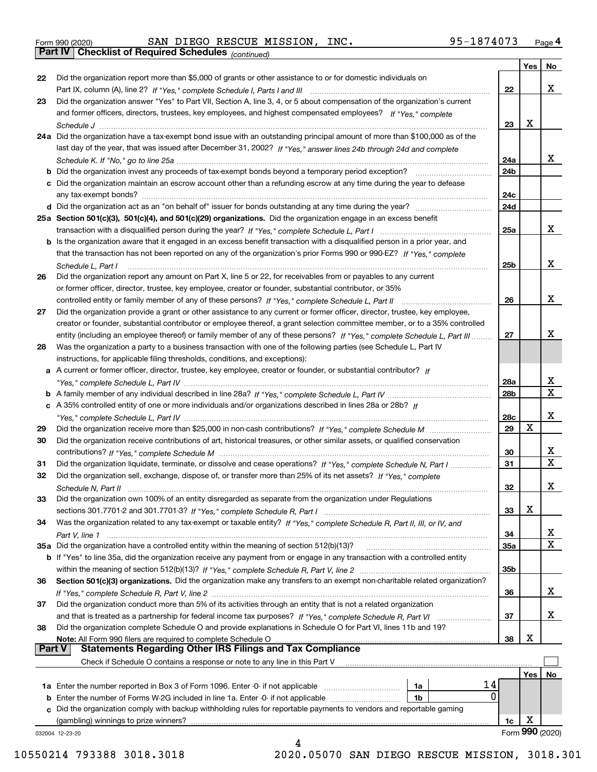|  | Form 990 (2020) |
|--|-----------------|

Form 990 (2020) SAN DIEGO RESCUE MISSION, INC**.** 95-1874073 <sub>Page</sub> 4<br>**Part IV | Checklist of Required Schedules** <sub>(continued)</sub>

*(continued)*

|               |                                                                                                                                    |            | Yes | No              |
|---------------|------------------------------------------------------------------------------------------------------------------------------------|------------|-----|-----------------|
| 22            | Did the organization report more than \$5,000 of grants or other assistance to or for domestic individuals on                      |            |     |                 |
|               |                                                                                                                                    | 22         |     | x               |
| 23            | Did the organization answer "Yes" to Part VII, Section A, line 3, 4, or 5 about compensation of the organization's current         |            |     |                 |
|               | and former officers, directors, trustees, key employees, and highest compensated employees? If "Yes," complete                     |            |     |                 |
|               |                                                                                                                                    | 23         | x   |                 |
|               | 24a Did the organization have a tax-exempt bond issue with an outstanding principal amount of more than \$100,000 as of the        |            |     |                 |
|               | last day of the year, that was issued after December 31, 2002? If "Yes," answer lines 24b through 24d and complete                 |            |     |                 |
|               |                                                                                                                                    | 24a        |     | x               |
|               | <b>b</b> Did the organization invest any proceeds of tax-exempt bonds beyond a temporary period exception?                         | 24b        |     |                 |
|               | c Did the organization maintain an escrow account other than a refunding escrow at any time during the year to defease             |            |     |                 |
|               |                                                                                                                                    | 24c        |     |                 |
|               |                                                                                                                                    | 24d        |     |                 |
|               |                                                                                                                                    |            |     |                 |
|               | 25a Section 501(c)(3), 501(c)(4), and 501(c)(29) organizations. Did the organization engage in an excess benefit                   |            |     |                 |
|               |                                                                                                                                    | 25a        |     | x               |
|               | b Is the organization aware that it engaged in an excess benefit transaction with a disqualified person in a prior year, and       |            |     |                 |
|               | that the transaction has not been reported on any of the organization's prior Forms 990 or 990-EZ? If "Yes," complete              |            |     |                 |
|               | Schedule L, Part I                                                                                                                 | 25b        |     | x               |
| 26            | Did the organization report any amount on Part X, line 5 or 22, for receivables from or payables to any current                    |            |     |                 |
|               | or former officer, director, trustee, key employee, creator or founder, substantial contributor, or 35%                            |            |     |                 |
|               |                                                                                                                                    | 26         |     | x               |
| 27            | Did the organization provide a grant or other assistance to any current or former officer, director, trustee, key employee,        |            |     |                 |
|               | creator or founder, substantial contributor or employee thereof, a grant selection committee member, or to a 35% controlled        |            |     |                 |
|               | entity (including an employee thereof) or family member of any of these persons? If "Yes," complete Schedule L, Part III           | 27         |     | x               |
| 28            | Was the organization a party to a business transaction with one of the following parties (see Schedule L, Part IV                  |            |     |                 |
|               | instructions, for applicable filing thresholds, conditions, and exceptions):                                                       |            |     |                 |
|               | a A current or former officer, director, trustee, key employee, creator or founder, or substantial contributor? If                 |            |     |                 |
|               |                                                                                                                                    | 28a        |     | х               |
|               |                                                                                                                                    | 28b        |     | $\mathbf X$     |
|               | c A 35% controlled entity of one or more individuals and/or organizations described in lines 28a or 28b? If                        |            |     |                 |
|               |                                                                                                                                    | 28c        |     | x               |
| 29            |                                                                                                                                    | 29         | X   |                 |
| 30            | Did the organization receive contributions of art, historical treasures, or other similar assets, or qualified conservation        |            |     |                 |
|               |                                                                                                                                    | 30         |     | х               |
|               |                                                                                                                                    |            |     | X               |
| 31            | Did the organization liquidate, terminate, or dissolve and cease operations? If "Yes," complete Schedule N, Part I                 | 31         |     |                 |
| 32            | Did the organization sell, exchange, dispose of, or transfer more than 25% of its net assets? If "Yes," complete                   |            |     |                 |
|               |                                                                                                                                    | 32         |     | х               |
|               | Did the organization own 100% of an entity disregarded as separate from the organization under Regulations                         |            |     |                 |
|               |                                                                                                                                    | 33         | х   |                 |
| 34            | Was the organization related to any tax-exempt or taxable entity? If "Yes," complete Schedule R, Part II, III, or IV, and          |            |     |                 |
|               |                                                                                                                                    | 34         |     | x               |
|               | 35a Did the organization have a controlled entity within the meaning of section 512(b)(13)?                                        | <b>35a</b> |     | X               |
|               | <b>b</b> If "Yes" to line 35a, did the organization receive any payment from or engage in any transaction with a controlled entity |            |     |                 |
|               |                                                                                                                                    | 35b        |     |                 |
| 36            | Section 501(c)(3) organizations. Did the organization make any transfers to an exempt non-charitable related organization?         |            |     |                 |
|               |                                                                                                                                    | 36         |     | x               |
| 37            | Did the organization conduct more than 5% of its activities through an entity that is not a related organization                   |            |     |                 |
|               |                                                                                                                                    | 37         |     | x               |
| 38            | Did the organization complete Schedule O and provide explanations in Schedule O for Part VI, lines 11b and 19?                     |            |     |                 |
|               | Note: All Form 990 filers are required to complete Schedule O                                                                      | 38         | х   |                 |
| <b>Part V</b> | <b>Statements Regarding Other IRS Filings and Tax Compliance</b>                                                                   |            |     |                 |
|               | Check if Schedule O contains a response or note to any line in this Part V                                                         |            |     |                 |
|               |                                                                                                                                    |            | Yes | No              |
|               | 14<br>1a                                                                                                                           |            |     |                 |
|               | 0<br>1b                                                                                                                            |            |     |                 |
|               | c Did the organization comply with backup withholding rules for reportable payments to vendors and reportable gaming               |            |     |                 |
|               | (gambling) winnings to prize winners?                                                                                              | 1c         | х   |                 |
|               | 032004 12-23-20                                                                                                                    |            |     | Form 990 (2020) |
|               | 4                                                                                                                                  |            |     |                 |

10550214 793388 3018.3018 2020.05070 SAN DIEGO RESCUE MISSION, 3018.301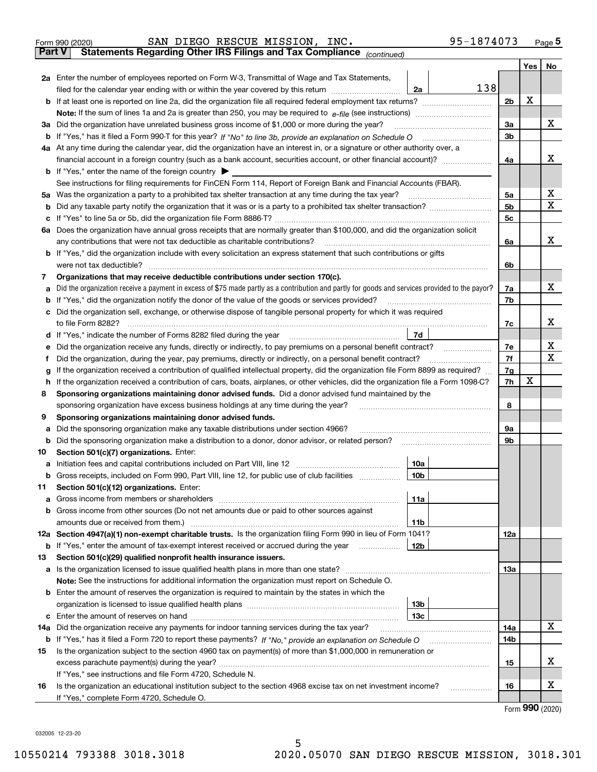|               | SAN DIEGO RESCUE MISSION, INC.<br>95-1874073<br>Form 990 (2020)                                                                                 |                |                   | $_{\text{Page}}$ 5 |  |  |  |  |  |
|---------------|-------------------------------------------------------------------------------------------------------------------------------------------------|----------------|-------------------|--------------------|--|--|--|--|--|
| <b>Part V</b> | Statements Regarding Other IRS Filings and Tax Compliance (continued)                                                                           |                |                   |                    |  |  |  |  |  |
|               |                                                                                                                                                 |                | Yes               | No                 |  |  |  |  |  |
|               | 2a Enter the number of employees reported on Form W-3, Transmittal of Wage and Tax Statements,                                                  |                |                   |                    |  |  |  |  |  |
|               | 138<br>filed for the calendar year ending with or within the year covered by this return<br>2a                                                  |                | х                 |                    |  |  |  |  |  |
| b             |                                                                                                                                                 |                |                   |                    |  |  |  |  |  |
|               |                                                                                                                                                 |                |                   |                    |  |  |  |  |  |
| За            | Did the organization have unrelated business gross income of \$1,000 or more during the year?                                                   | 3a             |                   | x                  |  |  |  |  |  |
| b             |                                                                                                                                                 | 3 <sub>b</sub> |                   |                    |  |  |  |  |  |
|               | 4a At any time during the calendar year, did the organization have an interest in, or a signature or other authority over, a                    |                |                   |                    |  |  |  |  |  |
|               |                                                                                                                                                 | 4a             |                   | x                  |  |  |  |  |  |
|               | <b>b</b> If "Yes," enter the name of the foreign country $\blacktriangleright$                                                                  |                |                   |                    |  |  |  |  |  |
|               | See instructions for filing requirements for FinCEN Form 114, Report of Foreign Bank and Financial Accounts (FBAR).                             |                |                   |                    |  |  |  |  |  |
| 5a            | Was the organization a party to a prohibited tax shelter transaction at any time during the tax year?                                           | 5a             |                   | х                  |  |  |  |  |  |
| b             |                                                                                                                                                 | 5 <sub>b</sub> |                   | X                  |  |  |  |  |  |
| с             |                                                                                                                                                 | 5c             |                   |                    |  |  |  |  |  |
|               | 6a Does the organization have annual gross receipts that are normally greater than \$100,000, and did the organization solicit                  |                |                   |                    |  |  |  |  |  |
|               | any contributions that were not tax deductible as charitable contributions?                                                                     | 6a             |                   | x                  |  |  |  |  |  |
| b             | If "Yes," did the organization include with every solicitation an express statement that such contributions or gifts                            |                |                   |                    |  |  |  |  |  |
|               | were not tax deductible?                                                                                                                        | 6b             |                   |                    |  |  |  |  |  |
| 7             | Organizations that may receive deductible contributions under section 170(c).                                                                   |                |                   |                    |  |  |  |  |  |
| а             | Did the organization receive a payment in excess of \$75 made partly as a contribution and partly for goods and services provided to the payor? | 7a             |                   | x                  |  |  |  |  |  |
| b             | If "Yes," did the organization notify the donor of the value of the goods or services provided?                                                 | 7b             |                   |                    |  |  |  |  |  |
| c             | Did the organization sell, exchange, or otherwise dispose of tangible personal property for which it was required                               |                |                   |                    |  |  |  |  |  |
|               |                                                                                                                                                 | 7c             |                   | х                  |  |  |  |  |  |
| d             | 7d                                                                                                                                              |                |                   |                    |  |  |  |  |  |
| е             | Did the organization receive any funds, directly or indirectly, to pay premiums on a personal benefit contract?                                 | 7e<br>7f       |                   | х<br>X             |  |  |  |  |  |
|               | Did the organization, during the year, pay premiums, directly or indirectly, on a personal benefit contract?<br>f                               |                |                   |                    |  |  |  |  |  |
|               | If the organization received a contribution of qualified intellectual property, did the organization file Form 8899 as required?<br>g           |                |                   |                    |  |  |  |  |  |
|               | If the organization received a contribution of cars, boats, airplanes, or other vehicles, did the organization file a Form 1098-C?<br>h         |                |                   |                    |  |  |  |  |  |
| 8             | Sponsoring organizations maintaining donor advised funds. Did a donor advised fund maintained by the                                            |                |                   |                    |  |  |  |  |  |
|               | sponsoring organization have excess business holdings at any time during the year?                                                              | 8              |                   |                    |  |  |  |  |  |
| 9             | Sponsoring organizations maintaining donor advised funds.<br>Did the sponsoring organization make any taxable distributions under section 4966? | 9а             |                   |                    |  |  |  |  |  |
| а<br>b        | Did the sponsoring organization make a distribution to a donor, donor advisor, or related person?                                               | 9b             |                   |                    |  |  |  |  |  |
| 10            | Section 501(c)(7) organizations. Enter:                                                                                                         |                |                   |                    |  |  |  |  |  |
| а             | 10a                                                                                                                                             |                |                   |                    |  |  |  |  |  |
|               | 10b <br>Gross receipts, included on Form 990, Part VIII, line 12, for public use of club facilities                                             |                |                   |                    |  |  |  |  |  |
| 11            | Section 501(c)(12) organizations. Enter:                                                                                                        |                |                   |                    |  |  |  |  |  |
| a             | Gross income from members or shareholders<br>11a                                                                                                |                |                   |                    |  |  |  |  |  |
| b             | Gross income from other sources (Do not net amounts due or paid to other sources against                                                        |                |                   |                    |  |  |  |  |  |
|               | 11 <sub>b</sub><br>amounts due or received from them.)                                                                                          |                |                   |                    |  |  |  |  |  |
|               | 12a Section 4947(a)(1) non-exempt charitable trusts. Is the organization filing Form 990 in lieu of Form 1041?                                  | <b>12a</b>     |                   |                    |  |  |  |  |  |
|               | b If "Yes," enter the amount of tax-exempt interest received or accrued during the year<br>12b                                                  |                |                   |                    |  |  |  |  |  |
| 13            | Section 501(c)(29) qualified nonprofit health insurance issuers.                                                                                |                |                   |                    |  |  |  |  |  |
| a             | Is the organization licensed to issue qualified health plans in more than one state?                                                            | <b>13a</b>     |                   |                    |  |  |  |  |  |
|               | Note: See the instructions for additional information the organization must report on Schedule O.                                               |                |                   |                    |  |  |  |  |  |
| b             | Enter the amount of reserves the organization is required to maintain by the states in which the                                                |                |                   |                    |  |  |  |  |  |
|               | 13 <sub>b</sub>                                                                                                                                 |                |                   |                    |  |  |  |  |  |
| c             | 13 <sub>c</sub>                                                                                                                                 |                |                   |                    |  |  |  |  |  |
| 14a           | Did the organization receive any payments for indoor tanning services during the tax year?                                                      | 14a            |                   | X                  |  |  |  |  |  |
|               | <b>b</b> If "Yes," has it filed a Form 720 to report these payments? If "No," provide an explanation on Schedule O                              | 14b            |                   |                    |  |  |  |  |  |
| 15            | Is the organization subject to the section 4960 tax on payment(s) of more than \$1,000,000 in remuneration or                                   |                |                   |                    |  |  |  |  |  |
|               |                                                                                                                                                 | 15             |                   | х                  |  |  |  |  |  |
|               | If "Yes," see instructions and file Form 4720, Schedule N.                                                                                      |                |                   |                    |  |  |  |  |  |
| 16            | Is the organization an educational institution subject to the section 4968 excise tax on net investment income?                                 | 16             |                   | х                  |  |  |  |  |  |
|               | If "Yes," complete Form 4720, Schedule O.                                                                                                       |                | $000 \; \text{m}$ |                    |  |  |  |  |  |

Form (2020) **990**

032005 12-23-20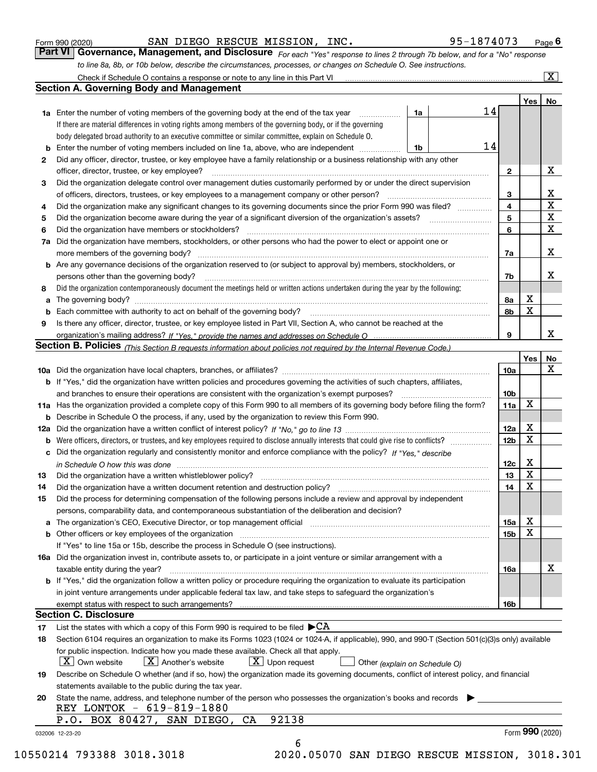|  | Form 990 (2020) |
|--|-----------------|
|  |                 |

SAN DIEGO RESCUE MISSION, INC. 95-1874073

Check if Schedule O contains a response or note to any line in this Part VI

 $\boxed{\text{X}}$ 

| Form 990 (2020) |  | SAN DIEGO RESCUE MISSION, INC. | 95-1874073                                                                                                                         | $P$ aqe $6$ |
|-----------------|--|--------------------------------|------------------------------------------------------------------------------------------------------------------------------------|-------------|
|                 |  |                                | <b>Part VI</b> Governance, Management, and Disclosure For each "Yes" response to lines 2 through 7b below, and for a "No" response |             |

*For each "Yes" response to lines 2 through 7b below, and for a "No" response to line 8a, 8b, or 10b below, describe the circumstances, processes, or changes on Schedule O. See instructions.*

|    |                                                                                                                                                                                                                                                         |    |    |                         | Yes             | No                        |
|----|---------------------------------------------------------------------------------------------------------------------------------------------------------------------------------------------------------------------------------------------------------|----|----|-------------------------|-----------------|---------------------------|
|    | 1a Enter the number of voting members of the governing body at the end of the tax year                                                                                                                                                                  | 1a | 14 |                         |                 |                           |
|    | If there are material differences in voting rights among members of the governing body, or if the governing                                                                                                                                             |    |    |                         |                 |                           |
|    | body delegated broad authority to an executive committee or similar committee, explain on Schedule O.                                                                                                                                                   |    |    |                         |                 |                           |
| b  | Enter the number of voting members included on line 1a, above, who are independent                                                                                                                                                                      | 1b | 14 |                         |                 |                           |
| 2  | Did any officer, director, trustee, or key employee have a family relationship or a business relationship with any other                                                                                                                                |    |    |                         |                 |                           |
|    | officer, director, trustee, or key employee?                                                                                                                                                                                                            |    |    | $\mathbf{2}$            |                 | х                         |
| 3  | Did the organization delegate control over management duties customarily performed by or under the direct supervision                                                                                                                                   |    |    |                         |                 |                           |
|    | of officers, directors, trustees, or key employees to a management company or other person?                                                                                                                                                             |    |    | 3                       |                 |                           |
| 4  | Did the organization make any significant changes to its governing documents since the prior Form 990 was filed?                                                                                                                                        |    |    | $\overline{\mathbf{4}}$ |                 | $rac{\text{X}}{\text{X}}$ |
| 5  |                                                                                                                                                                                                                                                         |    |    | 5                       |                 | $\overline{\mathbf{x}}$   |
| 6  | Did the organization have members or stockholders?                                                                                                                                                                                                      |    |    | 6                       |                 | $\overline{\mathbf{x}}$   |
| 7a | Did the organization have members, stockholders, or other persons who had the power to elect or appoint one or                                                                                                                                          |    |    |                         |                 |                           |
|    |                                                                                                                                                                                                                                                         |    |    | 7a                      |                 | X                         |
| b  | Are any governance decisions of the organization reserved to (or subject to approval by) members, stockholders, or                                                                                                                                      |    |    |                         |                 |                           |
|    | persons other than the governing body?                                                                                                                                                                                                                  |    |    | 7b                      |                 | X                         |
| 8  | Did the organization contemporaneously document the meetings held or written actions undertaken during the year by the following:                                                                                                                       |    |    |                         |                 |                           |
|    |                                                                                                                                                                                                                                                         |    |    |                         | х               |                           |
| а  |                                                                                                                                                                                                                                                         |    |    | 8а                      | X               |                           |
|    | Each committee with authority to act on behalf of the governing body? [11] manufacture manufacture with authority to act on behalf of the governing body?                                                                                               |    |    | 8b                      |                 |                           |
| 9  | Is there any officer, director, trustee, or key employee listed in Part VII, Section A, who cannot be reached at the                                                                                                                                    |    |    |                         |                 |                           |
|    |                                                                                                                                                                                                                                                         |    |    | 9                       |                 | X                         |
|    | Section B. Policies (This Section B requests information about policies not required by the Internal Revenue Code.)                                                                                                                                     |    |    |                         |                 |                           |
|    |                                                                                                                                                                                                                                                         |    |    |                         | Yes             | <u>No</u>                 |
|    |                                                                                                                                                                                                                                                         |    |    | 10a                     |                 | X                         |
|    | <b>b</b> If "Yes," did the organization have written policies and procedures governing the activities of such chapters, affiliates,                                                                                                                     |    |    |                         |                 |                           |
|    |                                                                                                                                                                                                                                                         |    |    | 10 <sub>b</sub>         |                 |                           |
|    | 11a Has the organization provided a complete copy of this Form 990 to all members of its governing body before filing the form?                                                                                                                         |    |    | 11a                     | X               |                           |
|    | <b>b</b> Describe in Schedule O the process, if any, used by the organization to review this Form 990.                                                                                                                                                  |    |    |                         |                 |                           |
|    |                                                                                                                                                                                                                                                         |    |    | 12a                     | X               |                           |
| b  | Were officers, directors, or trustees, and key employees required to disclose annually interests that could give rise to conflicts?                                                                                                                     |    |    | 12 <sub>b</sub>         | X               |                           |
|    | c Did the organization regularly and consistently monitor and enforce compliance with the policy? If "Yes," describe                                                                                                                                    |    |    |                         |                 |                           |
|    | in Schedule O how this was done measured and the control of the control of the state of the control of the control of the control of the control of the control of the control of the control of the control of the control of                          |    |    | 12c                     | X               |                           |
| 13 |                                                                                                                                                                                                                                                         |    |    | 13                      | $\mathbf x$     |                           |
| 14 | Did the organization have a written document retention and destruction policy?<br>The organization have a written document retention and destruction policy?                                                                                            |    |    | 14                      | X               |                           |
| 15 | Did the process for determining compensation of the following persons include a review and approval by independent                                                                                                                                      |    |    |                         |                 |                           |
|    | persons, comparability data, and contemporaneous substantiation of the deliberation and decision?                                                                                                                                                       |    |    |                         |                 |                           |
|    | The organization's CEO, Executive Director, or top management official [11] [11] The organization's CEO, Executive Director, or top management official [11] [11] [11] [11] The organization:                                                           |    |    | 15a                     | $\mathbf X$     |                           |
|    |                                                                                                                                                                                                                                                         |    |    | 15 <sub>b</sub>         | X               |                           |
|    | If "Yes" to line 15a or 15b, describe the process in Schedule O (see instructions).                                                                                                                                                                     |    |    |                         |                 |                           |
|    | 16a Did the organization invest in, contribute assets to, or participate in a joint venture or similar arrangement with a                                                                                                                               |    |    |                         |                 |                           |
|    | taxable entity during the year?                                                                                                                                                                                                                         |    |    | 16a                     |                 | х                         |
|    | <b>b</b> If "Yes," did the organization follow a written policy or procedure requiring the organization to evaluate its participation                                                                                                                   |    |    |                         |                 |                           |
|    | in joint venture arrangements under applicable federal tax law, and take steps to safeguard the organization's                                                                                                                                          |    |    |                         |                 |                           |
|    |                                                                                                                                                                                                                                                         |    |    | 16b                     |                 |                           |
|    | exempt status with respect to such arrangements?<br><b>Section C. Disclosure</b>                                                                                                                                                                        |    |    |                         |                 |                           |
|    |                                                                                                                                                                                                                                                         |    |    |                         |                 |                           |
| 17 | List the states with which a copy of this Form 990 is required to be filed $\blacktriangleright$ CA<br>Section 6104 requires an organization to make its Forms 1023 (1024 or 1024-A, if applicable), 990, and 990-T (Section 501(c)(3)s only) available |    |    |                         |                 |                           |
| 18 |                                                                                                                                                                                                                                                         |    |    |                         |                 |                           |
|    | for public inspection. Indicate how you made these available. Check all that apply.                                                                                                                                                                     |    |    |                         |                 |                           |
|    | $X$ Upon request<br>$\mid$ $\rm X \mid$ Own website<br>$ X $ Another's website<br>Other (explain on Schedule O)                                                                                                                                         |    |    |                         |                 |                           |
| 19 | Describe on Schedule O whether (and if so, how) the organization made its governing documents, conflict of interest policy, and financial                                                                                                               |    |    |                         |                 |                           |
|    | statements available to the public during the tax year.                                                                                                                                                                                                 |    |    |                         |                 |                           |
| 20 | State the name, address, and telephone number of the person who possesses the organization's books and records<br>REY LONTOK - 619-819-1880                                                                                                             |    |    |                         |                 |                           |
|    | 92138<br>P.O. BOX 80427, SAN DIEGO, CA                                                                                                                                                                                                                  |    |    |                         |                 |                           |
|    |                                                                                                                                                                                                                                                         |    |    |                         | Form 990 (2020) |                           |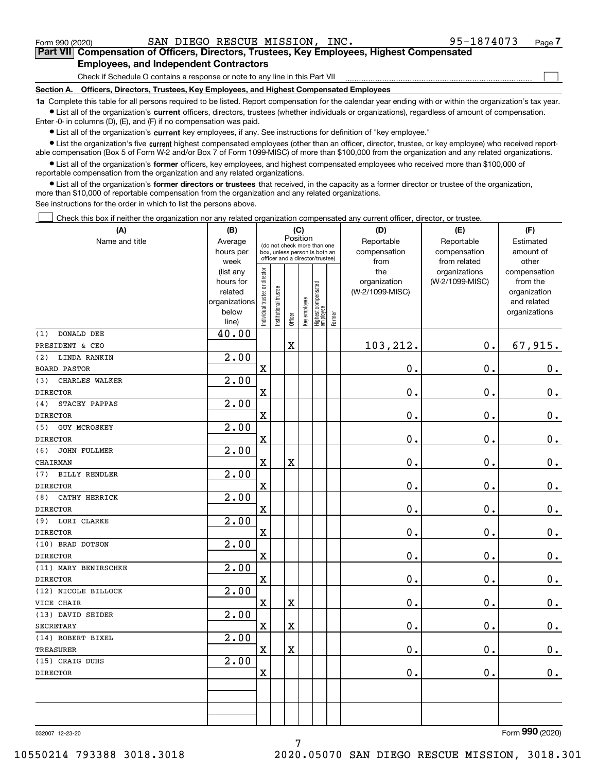$\mathcal{L}^{\text{max}}$ 

**7Part VII Compensation of Officers, Directors, Trustees, Key Employees, Highest Compensated Employees, and Independent Contractors**

Check if Schedule O contains a response or note to any line in this Part VII

**Section A. Officers, Directors, Trustees, Key Employees, and Highest Compensated Employees**

**1a**  Complete this table for all persons required to be listed. Report compensation for the calendar year ending with or within the organization's tax year. **•** List all of the organization's current officers, directors, trustees (whether individuals or organizations), regardless of amount of compensation.

Enter -0- in columns (D), (E), and (F) if no compensation was paid.

 $\bullet$  List all of the organization's  $\,$ current key employees, if any. See instructions for definition of "key employee."

**•** List the organization's five current highest compensated employees (other than an officer, director, trustee, or key employee) who received reportable compensation (Box 5 of Form W-2 and/or Box 7 of Form 1099-MISC) of more than \$100,000 from the organization and any related organizations.

**•** List all of the organization's former officers, key employees, and highest compensated employees who received more than \$100,000 of reportable compensation from the organization and any related organizations.

**former directors or trustees**  ¥ List all of the organization's that received, in the capacity as a former director or trustee of the organization, more than \$10,000 of reportable compensation from the organization and any related organizations.

See instructions for the order in which to list the persons above.

Check this box if neither the organization nor any related organization compensated any current officer, director, or trustee.  $\mathcal{L}^{\text{max}}$ 

| (A)                         | (B)                    |                               |                       |                         | (C)          |                                                                  |        | (D)                 | (E)                              | (F)                      |
|-----------------------------|------------------------|-------------------------------|-----------------------|-------------------------|--------------|------------------------------------------------------------------|--------|---------------------|----------------------------------|--------------------------|
| Name and title              | Average                |                               |                       | Position                |              | (do not check more than one                                      |        | Reportable          | Reportable                       | Estimated                |
|                             | hours per              |                               |                       |                         |              | box, unless person is both an<br>officer and a director/trustee) |        | compensation        | compensation                     | amount of                |
|                             | week                   |                               |                       |                         |              |                                                                  |        | from                | from related                     | other                    |
|                             | (list any<br>hours for |                               |                       |                         |              |                                                                  |        | the<br>organization | organizations<br>(W-2/1099-MISC) | compensation<br>from the |
|                             | related                |                               |                       |                         |              |                                                                  |        | (W-2/1099-MISC)     |                                  | organization             |
|                             | organizations          |                               |                       |                         |              |                                                                  |        |                     |                                  | and related              |
|                             | below                  | ndividual trustee or director | Institutional trustee |                         | Key employee |                                                                  |        |                     |                                  | organizations            |
|                             | line)                  |                               |                       | Officer                 |              | Highest compensated<br> employee                                 | Former |                     |                                  |                          |
| DONALD DEE<br>(1)           | 40.00                  |                               |                       |                         |              |                                                                  |        |                     |                                  |                          |
| PRESIDENT & CEO             |                        |                               |                       | $\overline{\mathbf{X}}$ |              |                                                                  |        | 103,212.            | 0.                               | 67,915.                  |
| LINDA RANKIN<br>(2)         | 2.00                   |                               |                       |                         |              |                                                                  |        |                     |                                  |                          |
| <b>BOARD PASTOR</b>         |                        | $\mathbf X$                   |                       |                         |              |                                                                  |        | 0.                  | 0.                               | $0_{.}$                  |
| (3)<br>CHARLES WALKER       | 2.00                   |                               |                       |                         |              |                                                                  |        |                     |                                  |                          |
| <b>DIRECTOR</b>             |                        | $\mathbf X$                   |                       |                         |              |                                                                  |        | 0.                  | $\mathbf 0$ .                    | $0_{.}$                  |
| STACEY PAPPAS<br>(4)        | 2.00                   |                               |                       |                         |              |                                                                  |        |                     |                                  |                          |
| <b>DIRECTOR</b>             |                        | $\mathbf X$                   |                       |                         |              |                                                                  |        | 0.                  | $\mathbf 0$ .                    | $0_{.}$                  |
| (5)<br><b>GUY MCROSKEY</b>  | 2.00                   |                               |                       |                         |              |                                                                  |        |                     |                                  |                          |
| <b>DIRECTOR</b>             |                        | $\mathbf x$                   |                       |                         |              |                                                                  |        | 0.                  | 0.                               | $0_{.}$                  |
| (6)<br><b>JOHN FULLMER</b>  | 2.00                   |                               |                       |                         |              |                                                                  |        |                     |                                  |                          |
| CHAIRMAN                    |                        | $\mathbf X$                   |                       | $\overline{\textbf{X}}$ |              |                                                                  |        | 0.                  | $\mathbf 0$ .                    | $\mathbf 0$ .            |
| <b>BILLY RENDLER</b><br>(7) | 2.00                   |                               |                       |                         |              |                                                                  |        |                     |                                  |                          |
| <b>DIRECTOR</b>             |                        | $\mathbf X$                   |                       |                         |              |                                                                  |        | 0.                  | $\mathbf 0$ .                    | $0_{.}$                  |
| CATHY HERRICK<br>(8)        | 2.00                   |                               |                       |                         |              |                                                                  |        |                     |                                  |                          |
| <b>DIRECTOR</b>             |                        | $\mathbf X$                   |                       |                         |              |                                                                  |        | 0.                  | $\mathbf 0$ .                    | $\mathbf 0$ .            |
| (9)<br>LORI CLARKE          | 2.00                   |                               |                       |                         |              |                                                                  |        |                     |                                  |                          |
| <b>DIRECTOR</b>             |                        | $\mathbf x$                   |                       |                         |              |                                                                  |        | 0.                  | 0.                               | $\mathbf 0$ .            |
| (10) BRAD DOTSON            | $\overline{2.00}$      |                               |                       |                         |              |                                                                  |        |                     |                                  |                          |
| <b>DIRECTOR</b>             |                        | X                             |                       |                         |              |                                                                  |        | 0.                  | $\mathbf 0$ .                    | $\mathbf 0$ .            |
| (11) MARY BENIRSCHKE        | $\overline{2.00}$      |                               |                       |                         |              |                                                                  |        |                     |                                  |                          |
| <b>DIRECTOR</b>             |                        | $\mathbf x$                   |                       |                         |              |                                                                  |        | 0.                  | $\mathbf 0$ .                    | 0.                       |
| (12) NICOLE BILLOCK         | 2.00                   |                               |                       |                         |              |                                                                  |        |                     |                                  |                          |
| VICE CHAIR                  |                        | $\mathbf X$                   |                       | $\overline{\textbf{X}}$ |              |                                                                  |        | 0.                  | $\mathbf 0$ .                    | $\mathbf 0$ .            |
| (13) DAVID SEIDER           | 2.00                   |                               |                       |                         |              |                                                                  |        |                     |                                  |                          |
| SECRETARY                   |                        | $\mathbf x$                   |                       | $\overline{\textbf{X}}$ |              |                                                                  |        | 0.                  | $\mathbf 0$ .                    | $\mathbf 0$ .            |
| (14) ROBERT BIXEL           | $\overline{2.00}$      |                               |                       |                         |              |                                                                  |        |                     |                                  |                          |
| <b>TREASURER</b>            |                        | Χ                             |                       | $\overline{\mathbf{X}}$ |              |                                                                  |        | 0.                  | 0.                               | $0$ .                    |
| (15) CRAIG DUHS             | 2.00                   |                               |                       |                         |              |                                                                  |        |                     |                                  |                          |
| <b>DIRECTOR</b>             |                        | $\mathbf X$                   |                       |                         |              |                                                                  |        | 0.                  | $\mathbf 0$ .                    | 0.                       |
|                             |                        |                               |                       |                         |              |                                                                  |        |                     |                                  |                          |
|                             |                        |                               |                       |                         |              |                                                                  |        |                     |                                  |                          |
|                             |                        |                               |                       |                         |              |                                                                  |        |                     |                                  |                          |
|                             |                        |                               |                       |                         |              |                                                                  |        |                     |                                  |                          |

7

032007 12-23-20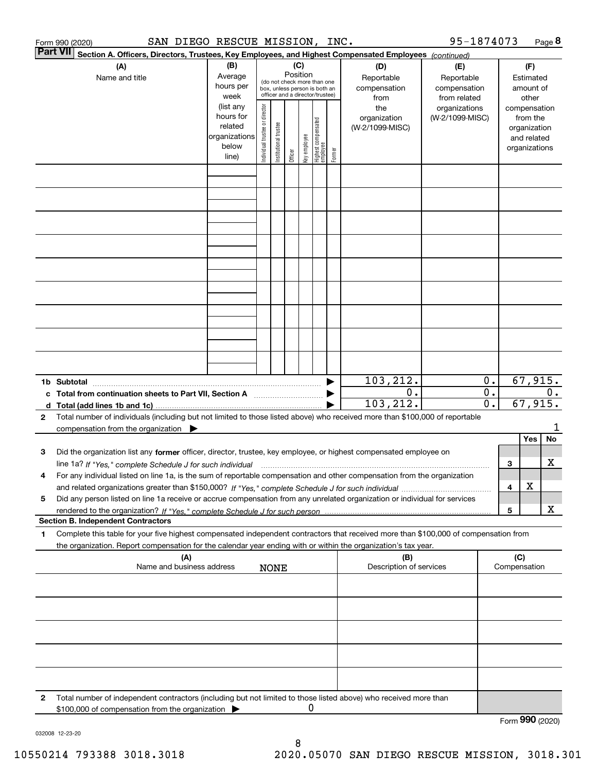| Part VII <br>Section A. Officers, Directors, Trustees, Key Employees, and Highest Compensated Employees (continued)<br>(B)<br>(C)<br>(A)<br>(D)<br>(F)<br>(E)<br>Position<br>Average<br>Reportable<br>Name and title<br>Reportable<br>Estimated<br>(do not check more than one<br>hours per<br>compensation<br>compensation<br>amount of<br>box, unless person is both an<br>officer and a director/trustee)<br>week<br>from related<br>from<br>other<br>Individual trustee or director<br>(list any<br>the<br>organizations<br>compensation<br>hours for<br>(W-2/1099-MISC)<br>organization<br>from the<br>  Highest compensated<br>  employee<br>In stitutional trustee<br>related<br>(W-2/1099-MISC)<br>organization<br>organizations<br>key employee<br>and related<br>below<br>organizations<br>Former<br>Officer<br>line) |         |
|---------------------------------------------------------------------------------------------------------------------------------------------------------------------------------------------------------------------------------------------------------------------------------------------------------------------------------------------------------------------------------------------------------------------------------------------------------------------------------------------------------------------------------------------------------------------------------------------------------------------------------------------------------------------------------------------------------------------------------------------------------------------------------------------------------------------------------|---------|
|                                                                                                                                                                                                                                                                                                                                                                                                                                                                                                                                                                                                                                                                                                                                                                                                                                 |         |
|                                                                                                                                                                                                                                                                                                                                                                                                                                                                                                                                                                                                                                                                                                                                                                                                                                 |         |
|                                                                                                                                                                                                                                                                                                                                                                                                                                                                                                                                                                                                                                                                                                                                                                                                                                 |         |
|                                                                                                                                                                                                                                                                                                                                                                                                                                                                                                                                                                                                                                                                                                                                                                                                                                 |         |
|                                                                                                                                                                                                                                                                                                                                                                                                                                                                                                                                                                                                                                                                                                                                                                                                                                 |         |
|                                                                                                                                                                                                                                                                                                                                                                                                                                                                                                                                                                                                                                                                                                                                                                                                                                 |         |
|                                                                                                                                                                                                                                                                                                                                                                                                                                                                                                                                                                                                                                                                                                                                                                                                                                 |         |
|                                                                                                                                                                                                                                                                                                                                                                                                                                                                                                                                                                                                                                                                                                                                                                                                                                 |         |
|                                                                                                                                                                                                                                                                                                                                                                                                                                                                                                                                                                                                                                                                                                                                                                                                                                 |         |
|                                                                                                                                                                                                                                                                                                                                                                                                                                                                                                                                                                                                                                                                                                                                                                                                                                 |         |
|                                                                                                                                                                                                                                                                                                                                                                                                                                                                                                                                                                                                                                                                                                                                                                                                                                 |         |
| 103, 212.<br>0.<br>1b Subtotal                                                                                                                                                                                                                                                                                                                                                                                                                                                                                                                                                                                                                                                                                                                                                                                                  | 67,915. |
| $\overline{0}$ .<br>0.<br>c Total from continuation sheets to Part VII, Section A<br>$\overline{\mathfrak{o}}$ .<br>67,915.<br>103,212.                                                                                                                                                                                                                                                                                                                                                                                                                                                                                                                                                                                                                                                                                         | 0.      |
| Total number of individuals (including but not limited to those listed above) who received more than \$100,000 of reportable<br>2<br>compensation from the organization $\blacktriangleright$                                                                                                                                                                                                                                                                                                                                                                                                                                                                                                                                                                                                                                   | 1       |
| Yes                                                                                                                                                                                                                                                                                                                                                                                                                                                                                                                                                                                                                                                                                                                                                                                                                             | No      |
| Did the organization list any former officer, director, trustee, key employee, or highest compensated employee on<br>з<br>3                                                                                                                                                                                                                                                                                                                                                                                                                                                                                                                                                                                                                                                                                                     | х       |
| line 1a? If "Yes," complete Schedule J for such individual manufactured contained and the 1a? If "Yes," complete Schedule J for such individual<br>For any individual listed on line 1a, is the sum of reportable compensation and other compensation from the organization<br>4                                                                                                                                                                                                                                                                                                                                                                                                                                                                                                                                                |         |
| X<br>4                                                                                                                                                                                                                                                                                                                                                                                                                                                                                                                                                                                                                                                                                                                                                                                                                          |         |
| Did any person listed on line 1a receive or accrue compensation from any unrelated organization or individual for services<br>5                                                                                                                                                                                                                                                                                                                                                                                                                                                                                                                                                                                                                                                                                                 |         |
| 5<br><b>Section B. Independent Contractors</b>                                                                                                                                                                                                                                                                                                                                                                                                                                                                                                                                                                                                                                                                                                                                                                                  | х       |
| Complete this table for your five highest compensated independent contractors that received more than \$100,000 of compensation from<br>1                                                                                                                                                                                                                                                                                                                                                                                                                                                                                                                                                                                                                                                                                       |         |
| the organization. Report compensation for the calendar year ending with or within the organization's tax year.                                                                                                                                                                                                                                                                                                                                                                                                                                                                                                                                                                                                                                                                                                                  |         |
| (A)<br>(C)<br>(B)<br>Name and business address<br>Description of services<br>Compensation<br><b>NONE</b>                                                                                                                                                                                                                                                                                                                                                                                                                                                                                                                                                                                                                                                                                                                        |         |
|                                                                                                                                                                                                                                                                                                                                                                                                                                                                                                                                                                                                                                                                                                                                                                                                                                 |         |
|                                                                                                                                                                                                                                                                                                                                                                                                                                                                                                                                                                                                                                                                                                                                                                                                                                 |         |
|                                                                                                                                                                                                                                                                                                                                                                                                                                                                                                                                                                                                                                                                                                                                                                                                                                 |         |
|                                                                                                                                                                                                                                                                                                                                                                                                                                                                                                                                                                                                                                                                                                                                                                                                                                 |         |
| Total number of independent contractors (including but not limited to those listed above) who received more than<br>2                                                                                                                                                                                                                                                                                                                                                                                                                                                                                                                                                                                                                                                                                                           |         |
| 0<br>\$100,000 of compensation from the organization<br>Form 990 (2020)                                                                                                                                                                                                                                                                                                                                                                                                                                                                                                                                                                                                                                                                                                                                                         |         |

032008 12-23-20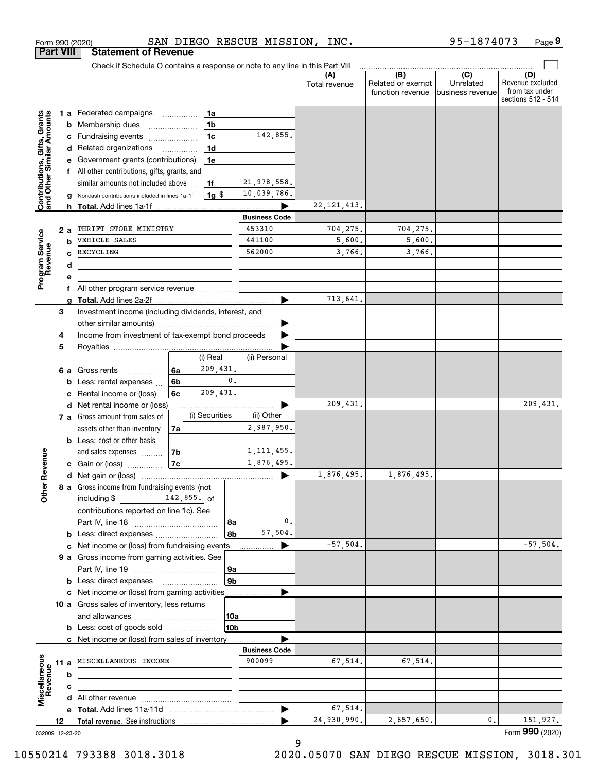|                                                           |                  |        | Form 990 (2020)                                                                |    |                    | SAN DIEGO RESCUE MISSION, | INC.                 |                                                                                              | 95-1874073                    | Page 9                                                          |
|-----------------------------------------------------------|------------------|--------|--------------------------------------------------------------------------------|----|--------------------|---------------------------|----------------------|----------------------------------------------------------------------------------------------|-------------------------------|-----------------------------------------------------------------|
|                                                           | <b>Part VIII</b> |        | <b>Statement of Revenue</b>                                                    |    |                    |                           |                      |                                                                                              |                               |                                                                 |
|                                                           |                  |        | Check if Schedule O contains a response or note to any line in this Part VIII  |    |                    |                           |                      |                                                                                              |                               |                                                                 |
|                                                           |                  |        |                                                                                |    |                    |                           | (A)<br>Total revenue | $\overline{(\mathsf{B})}$ $\overline{(\mathsf{C})}$<br>Related or exempt<br>function revenue | Unrelated<br>business revenue | (D)<br>Revenue excluded<br>from tax under<br>sections 512 - 514 |
|                                                           |                  |        | 1 a Federated campaigns                                                        |    | 1a                 |                           |                      |                                                                                              |                               |                                                                 |
| Contributions, Gifts, Grants<br>and Other Similar Amounts |                  |        | <b>b</b> Membership dues                                                       |    | 1 <sub>b</sub>     |                           |                      |                                                                                              |                               |                                                                 |
|                                                           |                  |        | c Fundraising events                                                           |    | 1 <sub>c</sub>     | 142,855.                  |                      |                                                                                              |                               |                                                                 |
|                                                           |                  |        | d Related organizations                                                        |    | 1 <sub>d</sub>     |                           |                      |                                                                                              |                               |                                                                 |
|                                                           |                  |        | e Government grants (contributions)                                            |    | 1e                 |                           |                      |                                                                                              |                               |                                                                 |
|                                                           |                  |        | f All other contributions, gifts, grants, and                                  |    |                    |                           |                      |                                                                                              |                               |                                                                 |
|                                                           |                  |        | similar amounts not included above                                             |    | 1f                 | 21,978,558.               |                      |                                                                                              |                               |                                                                 |
|                                                           |                  |        | Noncash contributions included in lines 1a-1f                                  |    | $1g$ $\frac{1}{3}$ | 10,039,786.               |                      |                                                                                              |                               |                                                                 |
|                                                           |                  | h.     |                                                                                |    |                    | ▶                         | 22, 121, 413.        |                                                                                              |                               |                                                                 |
|                                                           |                  |        |                                                                                |    |                    | <b>Business Code</b>      |                      |                                                                                              |                               |                                                                 |
|                                                           |                  | 2 a    | THRIFT STORE MINISTRY                                                          |    |                    | 453310                    | 704, 275.            | 704,275.                                                                                     |                               |                                                                 |
|                                                           |                  | b      | VEHICLE SALES                                                                  |    |                    | 441100                    | 5,600.               | 5,600.                                                                                       |                               |                                                                 |
|                                                           |                  | C.     | RECYCLING                                                                      |    |                    | 562000                    | 3,766.               | 3,766.                                                                                       |                               |                                                                 |
| Program Service<br>Revenue                                |                  | d      |                                                                                |    |                    |                           |                      |                                                                                              |                               |                                                                 |
|                                                           |                  | е      | All other program service revenue                                              |    |                    |                           |                      |                                                                                              |                               |                                                                 |
|                                                           |                  | f<br>a |                                                                                |    |                    | ▶                         | 713,641.             |                                                                                              |                               |                                                                 |
|                                                           | 3                |        | Investment income (including dividends, interest, and                          |    |                    |                           |                      |                                                                                              |                               |                                                                 |
|                                                           |                  |        |                                                                                |    |                    | ▶                         |                      |                                                                                              |                               |                                                                 |
|                                                           | 4                |        | Income from investment of tax-exempt bond proceeds                             |    |                    |                           |                      |                                                                                              |                               |                                                                 |
|                                                           | 5                |        |                                                                                |    |                    |                           |                      |                                                                                              |                               |                                                                 |
|                                                           |                  |        |                                                                                |    | (i) Real           | (ii) Personal             |                      |                                                                                              |                               |                                                                 |
|                                                           |                  |        | <b>6 a</b> Gross rents<br>.                                                    | 6a | 209,431.           |                           |                      |                                                                                              |                               |                                                                 |
|                                                           |                  | b      | Less: rental expenses                                                          | 6b | 0.                 |                           |                      |                                                                                              |                               |                                                                 |
|                                                           |                  | c      | Rental income or (loss)                                                        | 6c | 209,431.           |                           |                      |                                                                                              |                               |                                                                 |
|                                                           |                  |        | d Net rental income or (loss)                                                  |    |                    | ▶                         | 209,431.             |                                                                                              |                               | 209,431.                                                        |
|                                                           |                  |        | 7 a Gross amount from sales of                                                 |    | (i) Securities     | (ii) Other                |                      |                                                                                              |                               |                                                                 |
|                                                           |                  |        | assets other than inventory                                                    | 7a |                    | 2,987,950.                |                      |                                                                                              |                               |                                                                 |
|                                                           |                  |        | <b>b</b> Less: cost or other basis                                             |    |                    |                           |                      |                                                                                              |                               |                                                                 |
|                                                           |                  |        | and sales expenses                                                             | 7b |                    | 1, 111, 455.              |                      |                                                                                              |                               |                                                                 |
| evenue                                                    |                  |        | c Gain or (loss)                                                               | 7c |                    | 1,876,495.                |                      |                                                                                              |                               |                                                                 |
|                                                           |                  |        |                                                                                |    |                    |                           | 1,876,495.           | 1,876,495.                                                                                   |                               |                                                                 |
| Other R                                                   |                  |        | 8 a Gross income from fundraising events (not<br>$142,855.$ of<br>including \$ |    |                    |                           |                      |                                                                                              |                               |                                                                 |
|                                                           |                  |        | contributions reported on line 1c). See                                        |    | 8a                 | 0.                        |                      |                                                                                              |                               |                                                                 |
|                                                           |                  |        | <b>b</b> Less: direct expenses                                                 |    | 8b                 | 57,504.                   |                      |                                                                                              |                               |                                                                 |
|                                                           |                  |        | c Net income or (loss) from fundraising events                                 |    |                    | ▶                         | $-57,504.$           |                                                                                              |                               | $-57,504.$                                                      |
|                                                           |                  |        | 9 a Gross income from gaming activities. See                                   |    |                    |                           |                      |                                                                                              |                               |                                                                 |
|                                                           |                  |        |                                                                                |    | 9a                 |                           |                      |                                                                                              |                               |                                                                 |
|                                                           |                  |        | <b>b</b> Less: direct expenses <b>manually</b>                                 |    | 9 <sub>b</sub>     |                           |                      |                                                                                              |                               |                                                                 |
|                                                           |                  |        | c Net income or (loss) from gaming activities                                  |    |                    | .                         |                      |                                                                                              |                               |                                                                 |
|                                                           |                  |        | 10 a Gross sales of inventory, less returns                                    |    |                    |                           |                      |                                                                                              |                               |                                                                 |
|                                                           |                  |        |                                                                                |    | <b>10a</b>         |                           |                      |                                                                                              |                               |                                                                 |
|                                                           |                  |        | <b>b</b> Less: cost of goods sold                                              |    | 10bl               |                           |                      |                                                                                              |                               |                                                                 |
|                                                           |                  |        | c Net income or (loss) from sales of inventory                                 |    |                    |                           |                      |                                                                                              |                               |                                                                 |
|                                                           |                  |        |                                                                                |    |                    | <b>Business Code</b>      |                      |                                                                                              |                               |                                                                 |
|                                                           |                  |        | 11 a MISCELLANEOUS INCOME                                                      |    |                    | 900099                    | 67,514.              | 67,514.                                                                                      |                               |                                                                 |
| Miscellaneous<br>Revenue                                  |                  | b      |                                                                                |    |                    |                           |                      |                                                                                              |                               |                                                                 |
|                                                           |                  | c      |                                                                                |    |                    |                           |                      |                                                                                              |                               |                                                                 |
|                                                           |                  |        |                                                                                |    |                    |                           |                      |                                                                                              |                               |                                                                 |
|                                                           |                  |        |                                                                                |    |                    | ▶                         | 67,514.              |                                                                                              |                               |                                                                 |
|                                                           | 12               |        |                                                                                |    |                    |                           | 24,930,990.          | 2,657,650.                                                                                   | 0.                            | 151,927.                                                        |
| 032009 12-23-20                                           |                  |        |                                                                                |    |                    |                           |                      |                                                                                              |                               | Form 990 (2020)                                                 |

9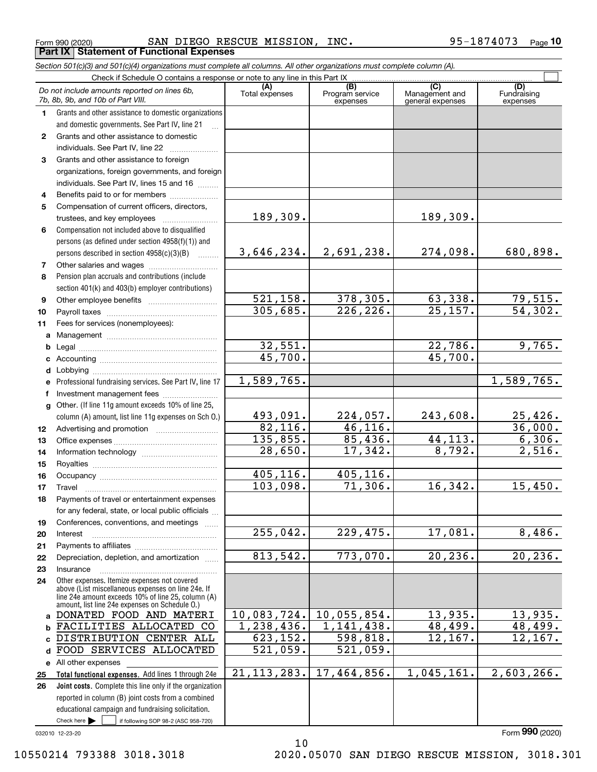Form 990 (2020) SAN DIEGO RESCUE MISSION , INC 95-1874073 <sub>Page</sub> **Part IX Statement of Functional Expenses**

|              | Section 501(c)(3) and 501(c)(4) organizations must complete all columns. All other organizations must complete column (A).                                                                                 |                       |                                    |                                           |                                |
|--------------|------------------------------------------------------------------------------------------------------------------------------------------------------------------------------------------------------------|-----------------------|------------------------------------|-------------------------------------------|--------------------------------|
|              | Check if Schedule O contains a response or note to any line in this Part IX                                                                                                                                |                       |                                    |                                           |                                |
|              | Do not include amounts reported on lines 6b,<br>7b, 8b, 9b, and 10b of Part VIII.                                                                                                                          | (A)<br>Total expenses | (B)<br>Program service<br>expenses | (C)<br>Management and<br>general expenses | (D)<br>Fundraising<br>expenses |
| 1.           | Grants and other assistance to domestic organizations                                                                                                                                                      |                       |                                    |                                           |                                |
|              | and domestic governments. See Part IV, line 21                                                                                                                                                             |                       |                                    |                                           |                                |
| $\mathbf{2}$ | Grants and other assistance to domestic                                                                                                                                                                    |                       |                                    |                                           |                                |
|              | individuals. See Part IV, line 22                                                                                                                                                                          |                       |                                    |                                           |                                |
| 3            | Grants and other assistance to foreign                                                                                                                                                                     |                       |                                    |                                           |                                |
|              | organizations, foreign governments, and foreign                                                                                                                                                            |                       |                                    |                                           |                                |
|              | individuals. See Part IV, lines 15 and 16                                                                                                                                                                  |                       |                                    |                                           |                                |
| 4            | Benefits paid to or for members                                                                                                                                                                            |                       |                                    |                                           |                                |
| 5            | Compensation of current officers, directors,                                                                                                                                                               |                       |                                    |                                           |                                |
|              |                                                                                                                                                                                                            | 189, 309.             |                                    | 189,309.                                  |                                |
| 6            | Compensation not included above to disqualified                                                                                                                                                            |                       |                                    |                                           |                                |
|              | persons (as defined under section 4958(f)(1)) and                                                                                                                                                          |                       |                                    |                                           |                                |
|              | persons described in section $4958(c)(3)(B)$<br>$\overline{\phantom{a}}$                                                                                                                                   | 3,646,234.            | 2,691,238.                         | 274,098.                                  | 680,898.                       |
| 7            |                                                                                                                                                                                                            |                       |                                    |                                           |                                |
| 8            | Pension plan accruals and contributions (include                                                                                                                                                           |                       |                                    |                                           |                                |
|              | section 401(k) and 403(b) employer contributions)                                                                                                                                                          |                       |                                    |                                           |                                |
| 9            |                                                                                                                                                                                                            | 521, 158.             | 378,305.                           | 63,338.                                   | <u>79,515.</u>                 |
| 10           |                                                                                                                                                                                                            | 305,685.              | 226, 226.                          | $\overline{25,157}$ .                     | $\overline{54,302.}$           |
| 11           | Fees for services (nonemployees):                                                                                                                                                                          |                       |                                    |                                           |                                |
| a            |                                                                                                                                                                                                            |                       |                                    |                                           |                                |
| b            |                                                                                                                                                                                                            | 32,551.               |                                    | 22,786.                                   | 9,765.                         |
| c            |                                                                                                                                                                                                            | 45,700.               |                                    | 45,700.                                   |                                |
| d            |                                                                                                                                                                                                            |                       |                                    |                                           |                                |
| е            | Professional fundraising services. See Part IV, line 17                                                                                                                                                    | 1,589,765.            |                                    |                                           | 1,589,765.                     |
| f            | Investment management fees                                                                                                                                                                                 |                       |                                    |                                           |                                |
| g            | Other. (If line 11g amount exceeds 10% of line 25,                                                                                                                                                         |                       |                                    |                                           |                                |
|              | column (A) amount, list line 11g expenses on Sch O.)                                                                                                                                                       | 493,091.              | 224,057.                           | 243,608.                                  | $\frac{25,426}{36,000}$ .      |
| 12           |                                                                                                                                                                                                            | 82,116.               | 46, 116.                           |                                           |                                |
| 13           |                                                                                                                                                                                                            | 135,855.              | 85,436.                            | 44, 113.                                  | 6,306.                         |
| 14           |                                                                                                                                                                                                            | 28,650.               | 17,342.                            | 8,792.                                    | 2,516.                         |
| 15           |                                                                                                                                                                                                            |                       |                                    |                                           |                                |
| 16           |                                                                                                                                                                                                            | 405,116.              | 405,116.                           |                                           |                                |
| 17           |                                                                                                                                                                                                            | 103,098.              | 71,306.                            | 16, 342.                                  | 15,450.                        |
| 18           | Payments of travel or entertainment expenses                                                                                                                                                               |                       |                                    |                                           |                                |
|              | for any federal, state, or local public officials                                                                                                                                                          |                       |                                    |                                           |                                |
| 19           | Conferences, conventions, and meetings                                                                                                                                                                     |                       |                                    |                                           |                                |
| 20           | Interest                                                                                                                                                                                                   | 255,042.              | 229,475.                           | 17,081.                                   | 8,486.                         |
| 21           |                                                                                                                                                                                                            |                       |                                    |                                           |                                |
| 22           | Depreciation, depletion, and amortization                                                                                                                                                                  | 813,542.              | 773,070.                           | 20, 236.                                  | 20, 236.                       |
| 23           | Insurance                                                                                                                                                                                                  |                       |                                    |                                           |                                |
| 24           | Other expenses. Itemize expenses not covered<br>above (List miscellaneous expenses on line 24e. If<br>line 24e amount exceeds 10% of line 25, column (A)<br>amount, list line 24e expenses on Schedule O.) |                       |                                    |                                           |                                |
|              | a DONATED FOOD AND MATERI                                                                                                                                                                                  | 10,083,724.           | 10,055,854.                        | 13,935.                                   | 13,935.                        |
| b            | FACILITIES ALLOCATED CO                                                                                                                                                                                    | 1,238,436.            | 1, 141, 438.                       | 48,499.                                   | 48,499.                        |
|              | DISTRIBUTION CENTER ALL                                                                                                                                                                                    | 623,152.              | 598,818.                           | 12,167.                                   | 12,167.                        |
| d            | FOOD SERVICES ALLOCATED                                                                                                                                                                                    | 521,059.              | $\overline{521}$ , 059.            |                                           |                                |
|              | e All other expenses                                                                                                                                                                                       |                       |                                    |                                           |                                |
| 25           | Total functional expenses. Add lines 1 through 24e                                                                                                                                                         | 21, 113, 283.         | 17,464,856.                        | 1,045,161.                                | 2,603,266.                     |
| 26           | Joint costs. Complete this line only if the organization                                                                                                                                                   |                       |                                    |                                           |                                |
|              | reported in column (B) joint costs from a combined                                                                                                                                                         |                       |                                    |                                           |                                |
|              | educational campaign and fundraising solicitation.                                                                                                                                                         |                       |                                    |                                           |                                |
|              | Check here $\blacktriangleright$<br>if following SOP 98-2 (ASC 958-720)                                                                                                                                    |                       |                                    |                                           |                                |

032010 12-23-20

10 10550214 793388 3018.3018 2020.05070 SAN DIEGO RESCUE MISSION, 3018.301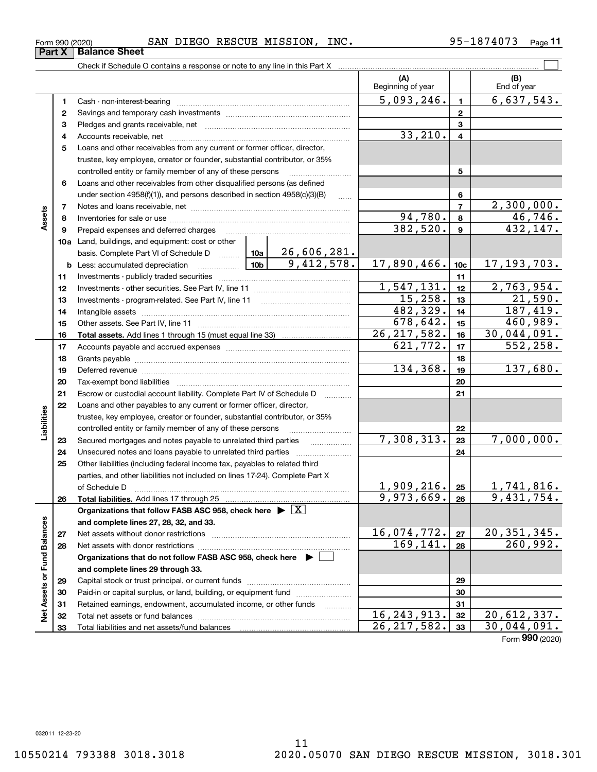**33**

Total liabilities and net assets/fund balances

| Form 990 (2020)               |  |  |
|-------------------------------|--|--|
| <b>Part X   Balance Sheet</b> |  |  |

### Form 990 (2020) SAN DIEGO RESCUE MISSION , INC 95-1874073 <sub>Page</sub>

|                                    |    |                                                                                                                                                                                                   |               | (A)<br>Beginning of year |                 | (B)<br>End of year             |
|------------------------------------|----|---------------------------------------------------------------------------------------------------------------------------------------------------------------------------------------------------|---------------|--------------------------|-----------------|--------------------------------|
|                                    | 1  |                                                                                                                                                                                                   |               | 5,093,246.               | $\mathbf{1}$    | 6,637,543.                     |
|                                    | 2  |                                                                                                                                                                                                   |               | $\overline{2}$           |                 |                                |
|                                    | з  |                                                                                                                                                                                                   |               | 3                        |                 |                                |
|                                    | 4  |                                                                                                                                                                                                   | 33,210.       | $\overline{\mathbf{4}}$  |                 |                                |
|                                    | 5  | Loans and other receivables from any current or former officer, director,                                                                                                                         |               |                          |                 |                                |
|                                    |    | trustee, key employee, creator or founder, substantial contributor, or 35%                                                                                                                        |               |                          |                 |                                |
|                                    |    | controlled entity or family member of any of these persons                                                                                                                                        | .             |                          | 5               |                                |
|                                    | 6  | Loans and other receivables from other disqualified persons (as defined                                                                                                                           |               |                          |                 |                                |
|                                    |    | under section $4958(f)(1)$ , and persons described in section $4958(c)(3)(B)$                                                                                                                     |               |                          | 6               |                                |
|                                    | 7  |                                                                                                                                                                                                   |               |                          | $\overline{7}$  | 2,300,000.                     |
| Assets                             | 8  |                                                                                                                                                                                                   |               | 94,780.                  | 8               | 46,746.                        |
|                                    | 9  | Prepaid expenses and deferred charges                                                                                                                                                             |               | 382,520.                 | $\mathbf{9}$    | 432, 147.                      |
|                                    |    | 10a Land, buildings, and equipment: cost or other                                                                                                                                                 |               |                          |                 |                                |
|                                    |    | basis. Complete Part VI of Schedule D $\begin{array}{ c c c c c c }\n\hline\n10a & 26,606,281. \\ \hline\n\text{Less: accumulated depreciation} & \text{10b} & 9,412,578. \\ \hline\n\end{array}$ |               |                          |                 |                                |
|                                    |    | <b>b</b> Less: accumulated depreciation<br>$\ldots \ldots \ldots \ldots$                                                                                                                          |               | 17,890,466.              | 10 <sub>c</sub> | 17, 193, 703.                  |
|                                    | 11 |                                                                                                                                                                                                   |               | 11                       |                 |                                |
|                                    | 12 |                                                                                                                                                                                                   | 1,547,131.    | 12                       | 2,763,954.      |                                |
|                                    | 13 |                                                                                                                                                                                                   | 15,258.       | 13                       | 21,590.         |                                |
|                                    | 14 |                                                                                                                                                                                                   | 482,329.      | 14                       | 187,419.        |                                |
|                                    | 15 |                                                                                                                                                                                                   |               | 678,642.                 | 15              | 460,989.                       |
|                                    | 16 |                                                                                                                                                                                                   |               | 26, 217, 582.            | 16              | 30,044,091.                    |
|                                    | 17 |                                                                                                                                                                                                   | 621,772.      | 17                       | 552, 258.       |                                |
|                                    | 18 |                                                                                                                                                                                                   |               | 18                       |                 |                                |
|                                    | 19 |                                                                                                                                                                                                   |               | 134,368.                 | 19              | 137,680.                       |
|                                    | 20 |                                                                                                                                                                                                   |               |                          | 20              |                                |
|                                    | 21 | Escrow or custodial account liability. Complete Part IV of Schedule D                                                                                                                             |               |                          | 21              |                                |
|                                    | 22 | Loans and other payables to any current or former officer, director,                                                                                                                              |               |                          |                 |                                |
|                                    |    | trustee, key employee, creator or founder, substantial contributor, or 35%                                                                                                                        |               |                          |                 |                                |
| Liabilities                        |    | controlled entity or family member of any of these persons                                                                                                                                        |               | 7,308,313.               | 22              | 7,000,000.                     |
|                                    | 23 | Secured mortgages and notes payable to unrelated third parties                                                                                                                                    |               |                          | 23              |                                |
|                                    | 24 | Unsecured notes and loans payable to unrelated third parties                                                                                                                                      |               |                          | 24              |                                |
|                                    | 25 | Other liabilities (including federal income tax, payables to related third                                                                                                                        |               |                          |                 |                                |
|                                    |    | parties, and other liabilities not included on lines 17-24). Complete Part X                                                                                                                      |               | 1,909,216.               |                 | 1,741,816.                     |
|                                    | 26 | of Schedule D<br>Total liabilities. Add lines 17 through 25                                                                                                                                       |               | 9,973,669.               | 25<br>26        | 9,431,754.                     |
|                                    |    | Organizations that follow FASB ASC 958, check here $\blacktriangleright \boxed{X}$                                                                                                                |               |                          |                 |                                |
|                                    |    | and complete lines 27, 28, 32, and 33.                                                                                                                                                            |               |                          |                 |                                |
|                                    | 27 | Net assets without donor restrictions                                                                                                                                                             |               | 16,074,772.              | 27              |                                |
|                                    | 28 | Net assets with donor restrictions                                                                                                                                                                |               | 169, 141.                | 28              | $\frac{20,351,345.}{260,992.}$ |
|                                    |    | Organizations that do not follow FASB ASC 958, check here $\blacktriangleright$                                                                                                                   |               |                          |                 |                                |
|                                    |    | and complete lines 29 through 33.                                                                                                                                                                 |               |                          |                 |                                |
|                                    | 29 |                                                                                                                                                                                                   |               |                          | 29              |                                |
|                                    | 30 | Paid-in or capital surplus, or land, building, or equipment fund                                                                                                                                  |               |                          | 30              |                                |
|                                    | 31 | Retained earnings, endowment, accumulated income, or other funds                                                                                                                                  | .             |                          | 31              |                                |
| <b>Net Assets or Fund Balances</b> | 32 |                                                                                                                                                                                                   | 16, 243, 913. | 32                       | 20,612,337.     |                                |
|                                    |    |                                                                                                                                                                                                   |               |                          |                 |                                |

 $26, 217, 582.$  30,044,091.

**33**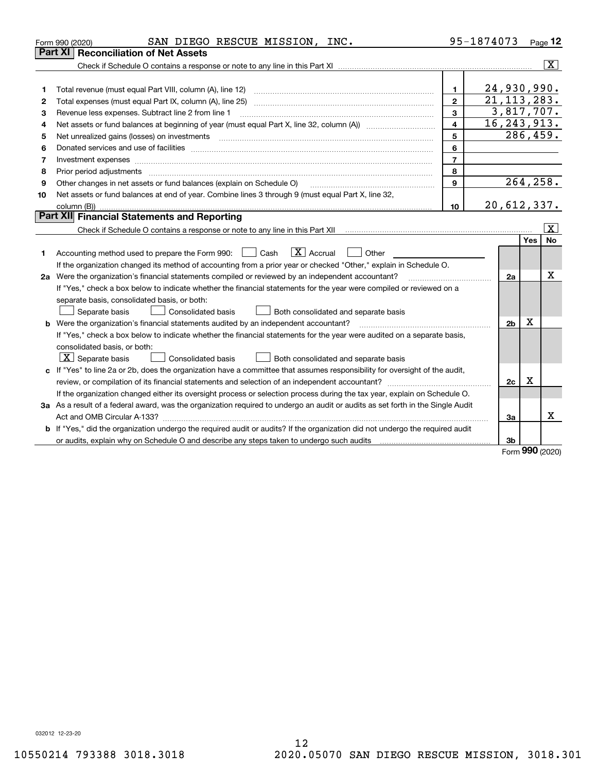|    | SAN DIEGO RESCUE MISSION, INC.<br>Form 990 (2020)                                                                                                                                                                                                                                                                                                                                                                                                                            |                         | 95-1874073     |                  | <u>Page</u> 12          |
|----|------------------------------------------------------------------------------------------------------------------------------------------------------------------------------------------------------------------------------------------------------------------------------------------------------------------------------------------------------------------------------------------------------------------------------------------------------------------------------|-------------------------|----------------|------------------|-------------------------|
|    | Part XI<br><b>Reconciliation of Net Assets</b>                                                                                                                                                                                                                                                                                                                                                                                                                               |                         |                |                  |                         |
|    |                                                                                                                                                                                                                                                                                                                                                                                                                                                                              |                         |                |                  | $\overline{\mathbf{X}}$ |
|    |                                                                                                                                                                                                                                                                                                                                                                                                                                                                              |                         |                |                  |                         |
| 1  |                                                                                                                                                                                                                                                                                                                                                                                                                                                                              | $\blacksquare$          | 24,930,990.    |                  |                         |
| 2  | Total expenses (must equal Part IX, column (A), line 25)                                                                                                                                                                                                                                                                                                                                                                                                                     | $\mathbf{2}$            | 21, 113, 283.  |                  |                         |
| 3  | Revenue less expenses. Subtract line 2 from line 1                                                                                                                                                                                                                                                                                                                                                                                                                           | 3                       | 3,817,707.     |                  |                         |
| 4  | Net assets or fund balances at beginning of year (must equal Part X, line 32, column (A)) <i></i>                                                                                                                                                                                                                                                                                                                                                                            | $\overline{\mathbf{4}}$ | 16, 243, 913.  |                  |                         |
| 5  |                                                                                                                                                                                                                                                                                                                                                                                                                                                                              | 5                       | 286,459.       |                  |                         |
| 6  |                                                                                                                                                                                                                                                                                                                                                                                                                                                                              | 6                       |                |                  |                         |
| 7  | Investment expenses www.communication.com/www.communication.com/www.communication.com/www.communication.com                                                                                                                                                                                                                                                                                                                                                                  | $\overline{7}$          |                |                  |                         |
| 8  | Prior period adjustments<br>$\begin{minipage}{0.5\textwidth} \begin{tabular}{ l l l } \hline \multicolumn{1}{ l l l } \hline \multicolumn{1}{ l l } \hline \multicolumn{1}{ l } \multicolumn{1}{ l } \hline \multicolumn{1}{ l } \multicolumn{1}{ l } \multicolumn{1}{ l } \hline \multicolumn{1}{ l } \multicolumn{1}{ l } \multicolumn{1}{ l } \hline \multicolumn{1}{ l } \multicolumn{1}{ l } \hline \multicolumn{1}{ l } \multicolumn{1}{ l } \hline \multicolumn{1}{ $ | 8                       |                |                  |                         |
| 9  | Other changes in net assets or fund balances (explain on Schedule O)                                                                                                                                                                                                                                                                                                                                                                                                         | 9                       | 264, 258.      |                  |                         |
| 10 | Net assets or fund balances at end of year. Combine lines 3 through 9 (must equal Part X, line 32,                                                                                                                                                                                                                                                                                                                                                                           |                         |                |                  |                         |
|    |                                                                                                                                                                                                                                                                                                                                                                                                                                                                              | 10                      | 20,612,337.    |                  |                         |
|    | Part XII Financial Statements and Reporting                                                                                                                                                                                                                                                                                                                                                                                                                                  |                         |                |                  |                         |
|    |                                                                                                                                                                                                                                                                                                                                                                                                                                                                              |                         |                |                  | x                       |
|    |                                                                                                                                                                                                                                                                                                                                                                                                                                                                              |                         |                | Yes              | <b>No</b>               |
| 1  | $\boxed{\mathbf{X}}$ Accrual<br>Accounting method used to prepare the Form 990: [16] Cash<br>Other                                                                                                                                                                                                                                                                                                                                                                           |                         |                |                  |                         |
|    | If the organization changed its method of accounting from a prior year or checked "Other," explain in Schedule O.                                                                                                                                                                                                                                                                                                                                                            |                         |                |                  |                         |
|    | 2a Were the organization's financial statements compiled or reviewed by an independent accountant?                                                                                                                                                                                                                                                                                                                                                                           |                         | 2a             |                  | х                       |
|    | If "Yes," check a box below to indicate whether the financial statements for the year were compiled or reviewed on a                                                                                                                                                                                                                                                                                                                                                         |                         |                |                  |                         |
|    | separate basis, consolidated basis, or both:                                                                                                                                                                                                                                                                                                                                                                                                                                 |                         |                |                  |                         |
|    | Separate basis<br>Consolidated basis<br>Both consolidated and separate basis                                                                                                                                                                                                                                                                                                                                                                                                 |                         |                |                  |                         |
|    | <b>b</b> Were the organization's financial statements audited by an independent accountant?                                                                                                                                                                                                                                                                                                                                                                                  |                         | 2 <sub>b</sub> | Χ                |                         |
|    | If "Yes," check a box below to indicate whether the financial statements for the year were audited on a separate basis,                                                                                                                                                                                                                                                                                                                                                      |                         |                |                  |                         |
|    | consolidated basis, or both:                                                                                                                                                                                                                                                                                                                                                                                                                                                 |                         |                |                  |                         |
|    | $X$ Separate basis<br>Consolidated basis<br>Both consolidated and separate basis                                                                                                                                                                                                                                                                                                                                                                                             |                         |                |                  |                         |
|    | c If "Yes" to line 2a or 2b, does the organization have a committee that assumes responsibility for oversight of the audit,                                                                                                                                                                                                                                                                                                                                                  |                         |                |                  |                         |
|    |                                                                                                                                                                                                                                                                                                                                                                                                                                                                              |                         | 2c             | X                |                         |
|    | If the organization changed either its oversight process or selection process during the tax year, explain on Schedule O.                                                                                                                                                                                                                                                                                                                                                    |                         |                |                  |                         |
|    | 3a As a result of a federal award, was the organization required to undergo an audit or audits as set forth in the Single Audit                                                                                                                                                                                                                                                                                                                                              |                         |                |                  |                         |
|    |                                                                                                                                                                                                                                                                                                                                                                                                                                                                              |                         | За             |                  | x                       |
|    | b If "Yes," did the organization undergo the required audit or audits? If the organization did not undergo the required audit                                                                                                                                                                                                                                                                                                                                                |                         |                |                  |                         |
|    |                                                                                                                                                                                                                                                                                                                                                                                                                                                                              |                         | 3b             |                  |                         |
|    |                                                                                                                                                                                                                                                                                                                                                                                                                                                                              |                         |                | $000 \text{ cm}$ |                         |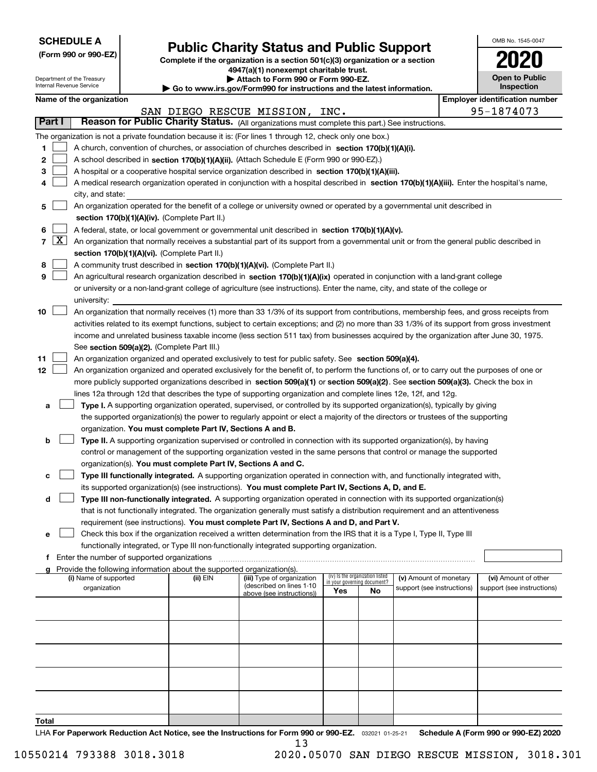| <b>SCHEDULE A</b> |
|-------------------|
|-------------------|

Department of the Treasury Internal Revenue Service

| (Form 990 or 990-EZ) |  |  |  |  |
|----------------------|--|--|--|--|
|----------------------|--|--|--|--|

# **Public Charity Status and Public Support**

**Complete if the organization is a section 501(c)(3) organization or a section 4947(a)(1) nonexempt charitable trust.**

**| Attach to Form 990 or Form 990-EZ.** 

**| Go to www.irs.gov/Form990 for instructions and the latest information.**

| OMB No. 1545-0047                   |
|-------------------------------------|
| 2020                                |
| <b>Open to Public</b><br>Inspection |

| Name of the organization |
|--------------------------|
|--------------------------|

|                | Name of the organization<br><b>Employer identification number</b> |                                                                                                                                              |          |                                |                                    |                                 |                            |  |                            |
|----------------|-------------------------------------------------------------------|----------------------------------------------------------------------------------------------------------------------------------------------|----------|--------------------------------|------------------------------------|---------------------------------|----------------------------|--|----------------------------|
|                |                                                                   |                                                                                                                                              |          | SAN DIEGO RESCUE MISSION, INC. |                                    |                                 |                            |  | 95-1874073                 |
| Part I         |                                                                   | Reason for Public Charity Status. (All organizations must complete this part.) See instructions.                                             |          |                                |                                    |                                 |                            |  |                            |
|                |                                                                   | The organization is not a private foundation because it is: (For lines 1 through 12, check only one box.)                                    |          |                                |                                    |                                 |                            |  |                            |
| 1              |                                                                   | A church, convention of churches, or association of churches described in section 170(b)(1)(A)(i).                                           |          |                                |                                    |                                 |                            |  |                            |
| 2              |                                                                   | A school described in section 170(b)(1)(A)(ii). (Attach Schedule E (Form 990 or 990-EZ).)                                                    |          |                                |                                    |                                 |                            |  |                            |
| З              |                                                                   | A hospital or a cooperative hospital service organization described in section 170(b)(1)(A)(iii).                                            |          |                                |                                    |                                 |                            |  |                            |
|                |                                                                   | A medical research organization operated in conjunction with a hospital described in section 170(b)(1)(A)(iii). Enter the hospital's name,   |          |                                |                                    |                                 |                            |  |                            |
|                |                                                                   | city, and state:                                                                                                                             |          |                                |                                    |                                 |                            |  |                            |
| 5              |                                                                   | An organization operated for the benefit of a college or university owned or operated by a governmental unit described in                    |          |                                |                                    |                                 |                            |  |                            |
|                |                                                                   | section 170(b)(1)(A)(iv). (Complete Part II.)                                                                                                |          |                                |                                    |                                 |                            |  |                            |
| 6              |                                                                   | A federal, state, or local government or governmental unit described in section 170(b)(1)(A)(v).                                             |          |                                |                                    |                                 |                            |  |                            |
| $\overline{7}$ | $\lfloor x \rfloor$                                               | An organization that normally receives a substantial part of its support from a governmental unit or from the general public described in    |          |                                |                                    |                                 |                            |  |                            |
|                |                                                                   | section 170(b)(1)(A)(vi). (Complete Part II.)                                                                                                |          |                                |                                    |                                 |                            |  |                            |
| 8              |                                                                   | A community trust described in section 170(b)(1)(A)(vi). (Complete Part II.)                                                                 |          |                                |                                    |                                 |                            |  |                            |
| 9              |                                                                   | An agricultural research organization described in section 170(b)(1)(A)(ix) operated in conjunction with a land-grant college                |          |                                |                                    |                                 |                            |  |                            |
|                |                                                                   | or university or a non-land-grant college of agriculture (see instructions). Enter the name, city, and state of the college or               |          |                                |                                    |                                 |                            |  |                            |
|                |                                                                   | university:                                                                                                                                  |          |                                |                                    |                                 |                            |  |                            |
| 10             |                                                                   | An organization that normally receives (1) more than 33 1/3% of its support from contributions, membership fees, and gross receipts from     |          |                                |                                    |                                 |                            |  |                            |
|                |                                                                   | activities related to its exempt functions, subject to certain exceptions; and (2) no more than 33 1/3% of its support from gross investment |          |                                |                                    |                                 |                            |  |                            |
|                |                                                                   | income and unrelated business taxable income (less section 511 tax) from businesses acquired by the organization after June 30, 1975.        |          |                                |                                    |                                 |                            |  |                            |
|                |                                                                   | See section 509(a)(2). (Complete Part III.)                                                                                                  |          |                                |                                    |                                 |                            |  |                            |
| 11             |                                                                   | An organization organized and operated exclusively to test for public safety. See section 509(a)(4).                                         |          |                                |                                    |                                 |                            |  |                            |
| 12             |                                                                   | An organization organized and operated exclusively for the benefit of, to perform the functions of, or to carry out the purposes of one or   |          |                                |                                    |                                 |                            |  |                            |
|                |                                                                   | more publicly supported organizations described in section 509(a)(1) or section 509(a)(2). See section 509(a)(3). Check the box in           |          |                                |                                    |                                 |                            |  |                            |
|                |                                                                   | lines 12a through 12d that describes the type of supporting organization and complete lines 12e, 12f, and 12g.                               |          |                                |                                    |                                 |                            |  |                            |
| а              |                                                                   | Type I. A supporting organization operated, supervised, or controlled by its supported organization(s), typically by giving                  |          |                                |                                    |                                 |                            |  |                            |
|                |                                                                   | the supported organization(s) the power to regularly appoint or elect a majority of the directors or trustees of the supporting              |          |                                |                                    |                                 |                            |  |                            |
|                |                                                                   | organization. You must complete Part IV, Sections A and B.                                                                                   |          |                                |                                    |                                 |                            |  |                            |
| b              |                                                                   | Type II. A supporting organization supervised or controlled in connection with its supported organization(s), by having                      |          |                                |                                    |                                 |                            |  |                            |
|                |                                                                   | control or management of the supporting organization vested in the same persons that control or manage the supported                         |          |                                |                                    |                                 |                            |  |                            |
|                |                                                                   | organization(s). You must complete Part IV, Sections A and C.                                                                                |          |                                |                                    |                                 |                            |  |                            |
| с              |                                                                   | Type III functionally integrated. A supporting organization operated in connection with, and functionally integrated with,                   |          |                                |                                    |                                 |                            |  |                            |
|                |                                                                   | its supported organization(s) (see instructions). You must complete Part IV, Sections A, D, and E.                                           |          |                                |                                    |                                 |                            |  |                            |
| d              |                                                                   | Type III non-functionally integrated. A supporting organization operated in connection with its supported organization(s)                    |          |                                |                                    |                                 |                            |  |                            |
|                |                                                                   | that is not functionally integrated. The organization generally must satisfy a distribution requirement and an attentiveness                 |          |                                |                                    |                                 |                            |  |                            |
|                |                                                                   | requirement (see instructions). You must complete Part IV, Sections A and D, and Part V.                                                     |          |                                |                                    |                                 |                            |  |                            |
| е              |                                                                   | Check this box if the organization received a written determination from the IRS that it is a Type I, Type II, Type III                      |          |                                |                                    |                                 |                            |  |                            |
|                |                                                                   | functionally integrated, or Type III non-functionally integrated supporting organization.                                                    |          |                                |                                    |                                 |                            |  |                            |
| f              |                                                                   | Enter the number of supported organizations                                                                                                  |          |                                |                                    |                                 |                            |  |                            |
|                |                                                                   | g Provide the following information about the supported organization(s).<br>(i) Name of supported                                            | (ii) EIN | (iii) Type of organization     |                                    | (iv) Is the organization listed | (v) Amount of monetary     |  | (vi) Amount of other       |
|                |                                                                   | organization                                                                                                                                 |          | (described on lines 1-10       | in your governing document?<br>Yes | No                              | support (see instructions) |  | support (see instructions) |
|                |                                                                   |                                                                                                                                              |          | above (see instructions))      |                                    |                                 |                            |  |                            |
|                |                                                                   |                                                                                                                                              |          |                                |                                    |                                 |                            |  |                            |
|                |                                                                   |                                                                                                                                              |          |                                |                                    |                                 |                            |  |                            |
|                |                                                                   |                                                                                                                                              |          |                                |                                    |                                 |                            |  |                            |
|                |                                                                   |                                                                                                                                              |          |                                |                                    |                                 |                            |  |                            |
|                |                                                                   |                                                                                                                                              |          |                                |                                    |                                 |                            |  |                            |
|                |                                                                   |                                                                                                                                              |          |                                |                                    |                                 |                            |  |                            |
|                |                                                                   |                                                                                                                                              |          |                                |                                    |                                 |                            |  |                            |
|                |                                                                   |                                                                                                                                              |          |                                |                                    |                                 |                            |  |                            |
|                |                                                                   |                                                                                                                                              |          |                                |                                    |                                 |                            |  |                            |
| Total          |                                                                   |                                                                                                                                              |          |                                |                                    |                                 |                            |  |                            |

LHA For Paperwork Reduction Act Notice, see the Instructions for Form 990 or 990-EZ. <sub>032021</sub> o1-25-21 Schedule A (Form 990 or 990-EZ) 2020 13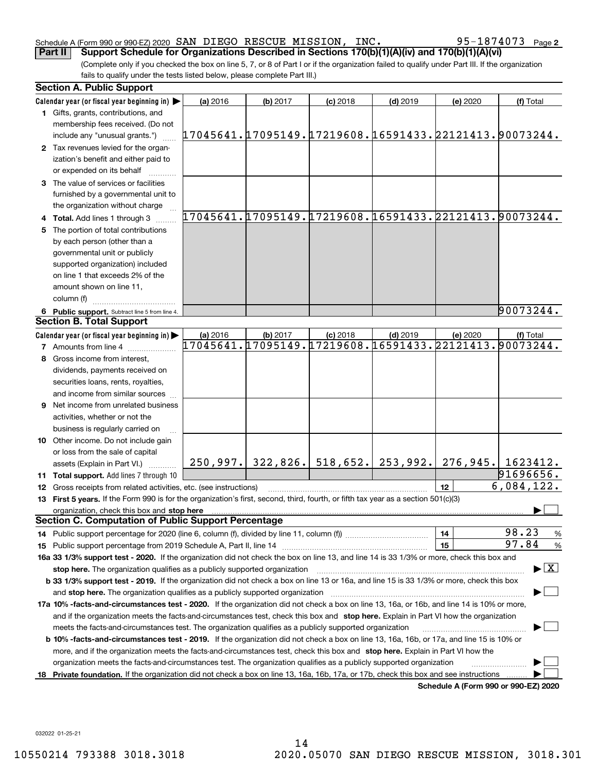## Schedule A (Form 990 or 990-EZ) 2020 Page SAN DIEGO RESCUE MISSION, INC. 95-1874073

(Complete only if you checked the box on line 5, 7, or 8 of Part I or if the organization failed to qualify under Part III. If the organization fails to qualify under the tests listed below, please complete Part III.) **Part II Support Schedule for Organizations Described in Sections 170(b)(1)(A)(iv) and 170(b)(1)(A)(vi)**

|    | <b>Section A. Public Support</b>                                                                                                               |                                                        |                     |            |                     |                 |                                                        |
|----|------------------------------------------------------------------------------------------------------------------------------------------------|--------------------------------------------------------|---------------------|------------|---------------------|-----------------|--------------------------------------------------------|
|    | Calendar year (or fiscal year beginning in)                                                                                                    | (a) 2016                                               | (b) 2017            | $(c)$ 2018 | $(d)$ 2019          | (e) 2020        | (f) Total                                              |
|    | 1 Gifts, grants, contributions, and                                                                                                            |                                                        |                     |            |                     |                 |                                                        |
|    | membership fees received. (Do not<br>include any "unusual grants.")                                                                            | 17045641.17095149.17219608.16591433.22121413.90073244. |                     |            |                     |                 |                                                        |
|    | 2 Tax revenues levied for the organ-                                                                                                           |                                                        |                     |            |                     |                 |                                                        |
|    | ization's benefit and either paid to                                                                                                           |                                                        |                     |            |                     |                 |                                                        |
|    | or expended on its behalf                                                                                                                      |                                                        |                     |            |                     |                 |                                                        |
|    | 3 The value of services or facilities                                                                                                          |                                                        |                     |            |                     |                 |                                                        |
|    | furnished by a governmental unit to                                                                                                            |                                                        |                     |            |                     |                 |                                                        |
|    | the organization without charge                                                                                                                |                                                        |                     |            |                     |                 |                                                        |
|    | 4 Total. Add lines 1 through 3                                                                                                                 |                                                        |                     |            |                     |                 | 17045641.17095149.17219608.16591433.22121413.90073244. |
| 5. | The portion of total contributions                                                                                                             |                                                        |                     |            |                     |                 |                                                        |
|    | by each person (other than a                                                                                                                   |                                                        |                     |            |                     |                 |                                                        |
|    | governmental unit or publicly                                                                                                                  |                                                        |                     |            |                     |                 |                                                        |
|    | supported organization) included                                                                                                               |                                                        |                     |            |                     |                 |                                                        |
|    | on line 1 that exceeds 2% of the                                                                                                               |                                                        |                     |            |                     |                 |                                                        |
|    | amount shown on line 11,                                                                                                                       |                                                        |                     |            |                     |                 |                                                        |
|    | column (f)                                                                                                                                     |                                                        |                     |            |                     |                 |                                                        |
|    | 6 Public support. Subtract line 5 from line 4.                                                                                                 |                                                        |                     |            |                     |                 | 90073244.                                              |
|    | <b>Section B. Total Support</b>                                                                                                                |                                                        |                     |            |                     |                 |                                                        |
|    | Calendar year (or fiscal year beginning in)                                                                                                    | (a) 2016                                               | (b) 2017            | $(c)$ 2018 | $(d)$ 2019          | (e) 2020        | (f) Total                                              |
|    | <b>7</b> Amounts from line 4                                                                                                                   | 17045641.17095149.17219608.16591433.22121413.90073244. |                     |            |                     |                 |                                                        |
|    | 8 Gross income from interest,                                                                                                                  |                                                        |                     |            |                     |                 |                                                        |
|    |                                                                                                                                                |                                                        |                     |            |                     |                 |                                                        |
|    | dividends, payments received on                                                                                                                |                                                        |                     |            |                     |                 |                                                        |
|    | securities loans, rents, royalties,                                                                                                            |                                                        |                     |            |                     |                 |                                                        |
|    | and income from similar sources                                                                                                                |                                                        |                     |            |                     |                 |                                                        |
|    | <b>9</b> Net income from unrelated business                                                                                                    |                                                        |                     |            |                     |                 |                                                        |
|    | activities, whether or not the                                                                                                                 |                                                        |                     |            |                     |                 |                                                        |
|    | business is regularly carried on                                                                                                               |                                                        |                     |            |                     |                 |                                                        |
|    | 10 Other income. Do not include gain                                                                                                           |                                                        |                     |            |                     |                 |                                                        |
|    | or loss from the sale of capital                                                                                                               |                                                        |                     |            |                     |                 |                                                        |
|    | assets (Explain in Part VI.)                                                                                                                   |                                                        | $250,997.$ 322,826. |            | $518,652.$ 253,992. |                 | 276,945. 1623412.                                      |
|    | <b>11 Total support.</b> Add lines 7 through 10                                                                                                |                                                        |                     |            |                     |                 | 91696656.                                              |
|    | 12 Gross receipts from related activities, etc. (see instructions)                                                                             |                                                        |                     |            |                     | 12 <sup>2</sup> | 6,084,122.                                             |
|    | 13 First 5 years. If the Form 990 is for the organization's first, second, third, fourth, or fifth tax year as a section 501(c)(3)             |                                                        |                     |            |                     |                 |                                                        |
|    | organization, check this box and stop here                                                                                                     |                                                        |                     |            |                     |                 |                                                        |
|    | <b>Section C. Computation of Public Support Percentage</b>                                                                                     |                                                        |                     |            |                     |                 |                                                        |
|    | 14 Public support percentage for 2020 (line 6, column (f), divided by line 11, column (f) <i>mummumumum</i>                                    |                                                        |                     |            |                     | 14              | 98.23<br>$\frac{9}{6}$                                 |
|    |                                                                                                                                                |                                                        |                     |            |                     | 15              | 97.84<br>%                                             |
|    | 16a 33 1/3% support test - 2020. If the organization did not check the box on line 13, and line 14 is 33 1/3% or more, check this box and      |                                                        |                     |            |                     |                 |                                                        |
|    | stop here. The organization qualifies as a publicly supported organization                                                                     |                                                        |                     |            |                     |                 | $\blacktriangleright$ $\vert$ X                        |
|    | b 33 1/3% support test - 2019. If the organization did not check a box on line 13 or 16a, and line 15 is 33 1/3% or more, check this box       |                                                        |                     |            |                     |                 |                                                        |
|    | and stop here. The organization qualifies as a publicly supported organization                                                                 |                                                        |                     |            |                     |                 |                                                        |
|    | 17a 10% -facts-and-circumstances test - 2020. If the organization did not check a box on line 13, 16a, or 16b, and line 14 is 10% or more,     |                                                        |                     |            |                     |                 |                                                        |
|    | and if the organization meets the facts-and-circumstances test, check this box and stop here. Explain in Part VI how the organization          |                                                        |                     |            |                     |                 |                                                        |
|    | meets the facts-and-circumstances test. The organization qualifies as a publicly supported organization                                        |                                                        |                     |            |                     |                 |                                                        |
|    | <b>b 10% -facts-and-circumstances test - 2019.</b> If the organization did not check a box on line 13, 16a, 16b, or 17a, and line 15 is 10% or |                                                        |                     |            |                     |                 |                                                        |
|    | more, and if the organization meets the facts-and-circumstances test, check this box and stop here. Explain in Part VI how the                 |                                                        |                     |            |                     |                 |                                                        |
|    | organization meets the facts-and-circumstances test. The organization qualifies as a publicly supported organization                           |                                                        |                     |            |                     |                 |                                                        |
|    | 18 Private foundation. If the organization did not check a box on line 13, 16a, 16b, 17a, or 17b, check this box and see instructions          |                                                        |                     |            |                     |                 |                                                        |
|    |                                                                                                                                                |                                                        |                     |            |                     |                 | Schedule A (Form 990 or 990-F7) 2020                   |

**Schedule A (Form 990 or 990-EZ) 2020**

032022 01-25-21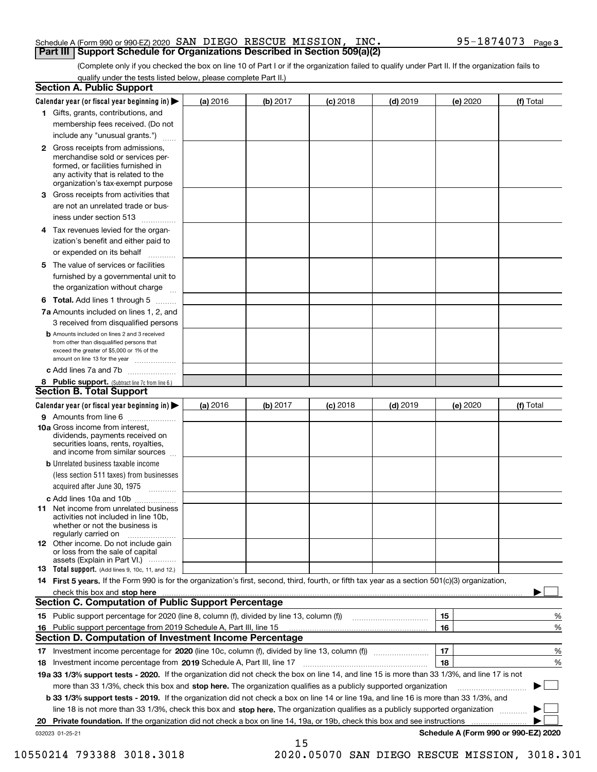### Schedule A (Form 990 or 990-EZ) 2020 Page SAN DIEGO RESCUE MISSION, INC. 95-1874073 **Part III Support Schedule for Organizations Described in Section 509(a)(2)**

(Complete only if you checked the box on line 10 of Part I or if the organization failed to qualify under Part II. If the organization fails to qualify under the tests listed below, please complete Part II.)

|    | <b>Section A. Public Support</b>                                                                                                                                                                                              |          |          |            |            |          |                                      |
|----|-------------------------------------------------------------------------------------------------------------------------------------------------------------------------------------------------------------------------------|----------|----------|------------|------------|----------|--------------------------------------|
|    | Calendar year (or fiscal year beginning in) $\blacktriangleright$                                                                                                                                                             | (a) 2016 | (b) 2017 | $(c)$ 2018 | $(d)$ 2019 | (e) 2020 | (f) Total                            |
|    | 1 Gifts, grants, contributions, and                                                                                                                                                                                           |          |          |            |            |          |                                      |
|    | membership fees received. (Do not                                                                                                                                                                                             |          |          |            |            |          |                                      |
|    | include any "unusual grants.")                                                                                                                                                                                                |          |          |            |            |          |                                      |
|    | 2 Gross receipts from admissions,<br>merchandise sold or services per-<br>formed, or facilities furnished in<br>any activity that is related to the<br>organization's tax-exempt purpose                                      |          |          |            |            |          |                                      |
|    | 3 Gross receipts from activities that                                                                                                                                                                                         |          |          |            |            |          |                                      |
|    | are not an unrelated trade or bus-                                                                                                                                                                                            |          |          |            |            |          |                                      |
|    | iness under section 513                                                                                                                                                                                                       |          |          |            |            |          |                                      |
|    | 4 Tax revenues levied for the organ-                                                                                                                                                                                          |          |          |            |            |          |                                      |
|    | ization's benefit and either paid to                                                                                                                                                                                          |          |          |            |            |          |                                      |
|    | or expended on its behalf<br>.                                                                                                                                                                                                |          |          |            |            |          |                                      |
|    | 5 The value of services or facilities<br>furnished by a governmental unit to                                                                                                                                                  |          |          |            |            |          |                                      |
|    | the organization without charge                                                                                                                                                                                               |          |          |            |            |          |                                      |
|    | <b>6 Total.</b> Add lines 1 through 5                                                                                                                                                                                         |          |          |            |            |          |                                      |
|    | 7a Amounts included on lines 1, 2, and                                                                                                                                                                                        |          |          |            |            |          |                                      |
|    | 3 received from disqualified persons                                                                                                                                                                                          |          |          |            |            |          |                                      |
|    | <b>b</b> Amounts included on lines 2 and 3 received<br>from other than disqualified persons that<br>exceed the greater of \$5,000 or 1% of the<br>amount on line 13 for the year                                              |          |          |            |            |          |                                      |
|    | c Add lines 7a and 7b                                                                                                                                                                                                         |          |          |            |            |          |                                      |
|    | 8 Public support. (Subtract line 7c from line 6.)<br><b>Section B. Total Support</b>                                                                                                                                          |          |          |            |            |          |                                      |
|    | Calendar year (or fiscal year beginning in) $\blacktriangleright$                                                                                                                                                             | (a) 2016 | (b) 2017 | $(c)$ 2018 | $(d)$ 2019 | (e) 2020 | (f) Total                            |
|    | 9 Amounts from line 6                                                                                                                                                                                                         |          |          |            |            |          |                                      |
|    | 10a Gross income from interest,<br>dividends, payments received on<br>securities loans, rents, royalties,<br>and income from similar sources                                                                                  |          |          |            |            |          |                                      |
|    | <b>b</b> Unrelated business taxable income                                                                                                                                                                                    |          |          |            |            |          |                                      |
|    | (less section 511 taxes) from businesses                                                                                                                                                                                      |          |          |            |            |          |                                      |
|    | acquired after June 30, 1975                                                                                                                                                                                                  |          |          |            |            |          |                                      |
|    | c Add lines 10a and 10b                                                                                                                                                                                                       |          |          |            |            |          |                                      |
|    | 11 Net income from unrelated business<br>activities not included in line 10b,<br>whether or not the business is<br>regularly carried on                                                                                       |          |          |            |            |          |                                      |
|    | 12 Other income. Do not include gain<br>or loss from the sale of capital<br>assets (Explain in Part VI.)                                                                                                                      |          |          |            |            |          |                                      |
|    | <b>13</b> Total support. (Add lines 9, 10c, 11, and 12.)                                                                                                                                                                      |          |          |            |            |          |                                      |
|    | 14 First 5 years. If the Form 990 is for the organization's first, second, third, fourth, or fifth tax year as a section 501(c)(3) organization,                                                                              |          |          |            |            |          |                                      |
|    | check this box and stop here with the continuum control to the control of the state of the state of the control of the state of the control of the control of the control of the control of the control of the control of the |          |          |            |            |          |                                      |
|    | Section C. Computation of Public Support Percentage                                                                                                                                                                           |          |          |            |            |          |                                      |
|    | 15 Public support percentage for 2020 (line 8, column (f), divided by line 13, column (f))                                                                                                                                    |          |          |            |            | 15       | %                                    |
|    | 16 Public support percentage from 2019 Schedule A, Part III, line 15                                                                                                                                                          |          |          |            |            | 16       | %                                    |
|    | <b>Section D. Computation of Investment Income Percentage</b>                                                                                                                                                                 |          |          |            |            |          |                                      |
|    | 17 Investment income percentage for 2020 (line 10c, column (f), divided by line 13, column (f))                                                                                                                               |          |          |            |            | 17       | %                                    |
|    | <b>18</b> Investment income percentage from <b>2019</b> Schedule A, Part III, line 17                                                                                                                                         |          |          |            |            | 18       | %                                    |
|    | 19a 33 1/3% support tests - 2020. If the organization did not check the box on line 14, and line 15 is more than 33 1/3%, and line 17 is not                                                                                  |          |          |            |            |          |                                      |
|    | more than 33 1/3%, check this box and stop here. The organization qualifies as a publicly supported organization                                                                                                              |          |          |            |            |          | ▶                                    |
|    | b 33 1/3% support tests - 2019. If the organization did not check a box on line 14 or line 19a, and line 16 is more than 33 1/3%, and                                                                                         |          |          |            |            |          |                                      |
|    | line 18 is not more than 33 1/3%, check this box and stop here. The organization qualifies as a publicly supported organization                                                                                               |          |          |            |            |          |                                      |
| 20 | <b>Private foundation.</b> If the organization did not check a box on line 14, 19a, or 19b, check this box and see instructions                                                                                               |          |          |            |            |          |                                      |
|    | 032023 01-25-21                                                                                                                                                                                                               |          | 15       |            |            |          | Schedule A (Form 990 or 990-EZ) 2020 |

10550214 793388 3018.3018 2020.05070 SAN DIEGO RESCUE MISSION, 3018.301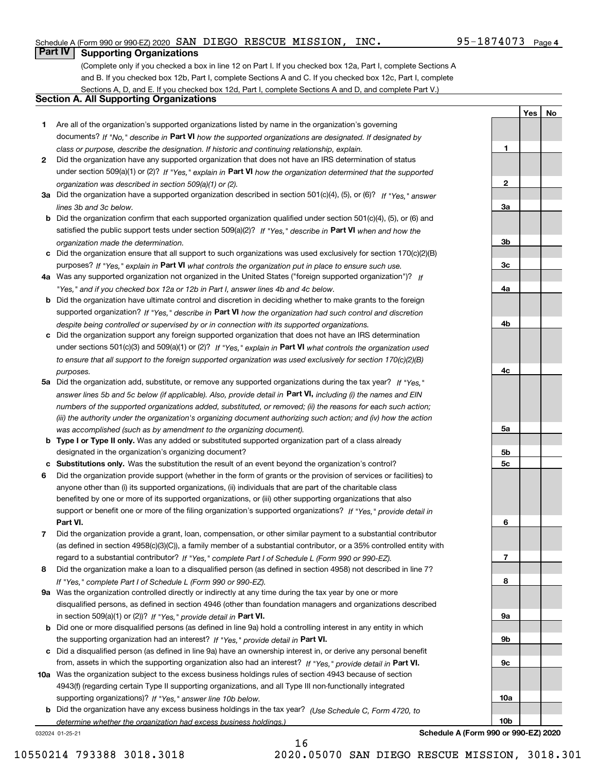## Schedule A (Form 990 or 990-EZ) 2020 Page SAN DIEGO RESCUE MISSION, INC. 95-1874073

# **Part IV Supporting Organizations**

(Complete only if you checked a box in line 12 on Part I. If you checked box 12a, Part I, complete Sections A and B. If you checked box 12b, Part I, complete Sections A and C. If you checked box 12c, Part I, complete Sections A, D, and E. If you checked box 12d, Part I, complete Sections A and D, and complete Part V.)

## **Section A. All Supporting Organizations**

- **1** Are all of the organization's supported organizations listed by name in the organization's governing documents? If "No," describe in **Part VI** how the supported organizations are designated. If designated by *class or purpose, describe the designation. If historic and continuing relationship, explain.*
- **2** Did the organization have any supported organization that does not have an IRS determination of status under section 509(a)(1) or (2)? If "Yes," explain in Part VI how the organization determined that the supported *organization was described in section 509(a)(1) or (2).*
- **3a** Did the organization have a supported organization described in section 501(c)(4), (5), or (6)? If "Yes," answer *lines 3b and 3c below.*
- **b** Did the organization confirm that each supported organization qualified under section 501(c)(4), (5), or (6) and satisfied the public support tests under section 509(a)(2)? If "Yes," describe in **Part VI** when and how the *organization made the determination.*
- **c**Did the organization ensure that all support to such organizations was used exclusively for section 170(c)(2)(B) purposes? If "Yes," explain in **Part VI** what controls the organization put in place to ensure such use.
- **4a***If* Was any supported organization not organized in the United States ("foreign supported organization")? *"Yes," and if you checked box 12a or 12b in Part I, answer lines 4b and 4c below.*
- **b** Did the organization have ultimate control and discretion in deciding whether to make grants to the foreign supported organization? If "Yes," describe in **Part VI** how the organization had such control and discretion *despite being controlled or supervised by or in connection with its supported organizations.*
- **c** Did the organization support any foreign supported organization that does not have an IRS determination under sections 501(c)(3) and 509(a)(1) or (2)? If "Yes," explain in **Part VI** what controls the organization used *to ensure that all support to the foreign supported organization was used exclusively for section 170(c)(2)(B) purposes.*
- **5a** Did the organization add, substitute, or remove any supported organizations during the tax year? If "Yes," answer lines 5b and 5c below (if applicable). Also, provide detail in **Part VI,** including (i) the names and EIN *numbers of the supported organizations added, substituted, or removed; (ii) the reasons for each such action; (iii) the authority under the organization's organizing document authorizing such action; and (iv) how the action was accomplished (such as by amendment to the organizing document).*
- **b** Type I or Type II only. Was any added or substituted supported organization part of a class already designated in the organization's organizing document?
- **cSubstitutions only.**  Was the substitution the result of an event beyond the organization's control?
- **6** Did the organization provide support (whether in the form of grants or the provision of services or facilities) to **Part VI.** *If "Yes," provide detail in* support or benefit one or more of the filing organization's supported organizations? anyone other than (i) its supported organizations, (ii) individuals that are part of the charitable class benefited by one or more of its supported organizations, or (iii) other supporting organizations that also
- **7**Did the organization provide a grant, loan, compensation, or other similar payment to a substantial contributor *If "Yes," complete Part I of Schedule L (Form 990 or 990-EZ).* regard to a substantial contributor? (as defined in section 4958(c)(3)(C)), a family member of a substantial contributor, or a 35% controlled entity with
- **8** Did the organization make a loan to a disqualified person (as defined in section 4958) not described in line 7? *If "Yes," complete Part I of Schedule L (Form 990 or 990-EZ).*
- **9a** Was the organization controlled directly or indirectly at any time during the tax year by one or more in section 509(a)(1) or (2))? If "Yes," *provide detail in* <code>Part VI.</code> disqualified persons, as defined in section 4946 (other than foundation managers and organizations described
- **b** Did one or more disqualified persons (as defined in line 9a) hold a controlling interest in any entity in which the supporting organization had an interest? If "Yes," provide detail in P**art VI**.
- **c**Did a disqualified person (as defined in line 9a) have an ownership interest in, or derive any personal benefit from, assets in which the supporting organization also had an interest? If "Yes," provide detail in P**art VI.**
- **10a** Was the organization subject to the excess business holdings rules of section 4943 because of section supporting organizations)? If "Yes," answer line 10b below. 4943(f) (regarding certain Type II supporting organizations, and all Type III non-functionally integrated
- **b** Did the organization have any excess business holdings in the tax year? (Use Schedule C, Form 4720, to *determine whether the organization had excess business holdings.)*

032024 01-25-21

**Schedule A (Form 990 or 990-EZ) 2020**

16 10550214 793388 3018.3018 2020.05070 SAN DIEGO RESCUE MISSION, 3018.301

**1**

**2**

**3a**

**3b**

**3c**

**4a**

**4b**

**4c**

**5a**

**5b5c**

**6**

**7**

**8**

**9a**

**9b**

**9c**

**10a**

**10b**

**YesNo**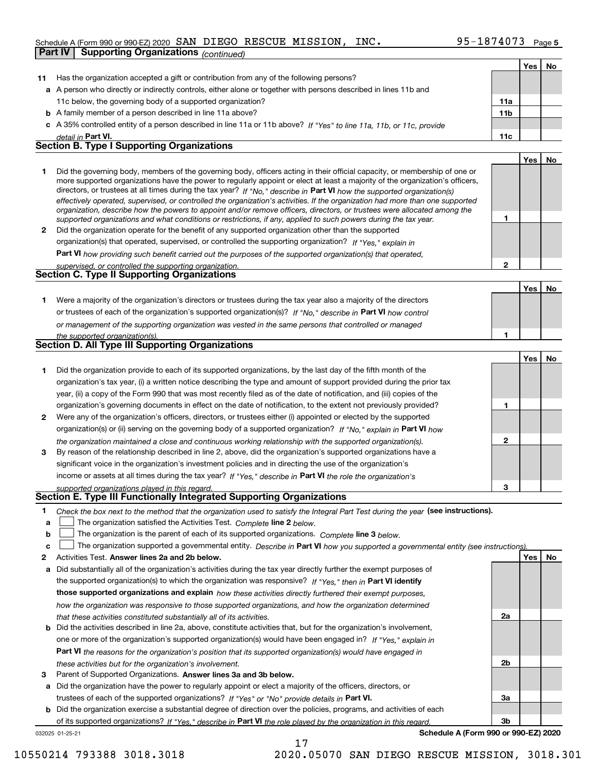### Schedule A (Form 990 or 990-EZ) 2020 Page SAN DIEGO RESCUE MISSION, INC. 95-1874073

|    | Part IV            | <b>Supporting Organizations</b> (continued)                                                                                                                                                                                                                |                 |     |    |
|----|--------------------|------------------------------------------------------------------------------------------------------------------------------------------------------------------------------------------------------------------------------------------------------------|-----------------|-----|----|
|    |                    |                                                                                                                                                                                                                                                            |                 | Yes | No |
| 11 |                    | Has the organization accepted a gift or contribution from any of the following persons?                                                                                                                                                                    |                 |     |    |
|    |                    | a A person who directly or indirectly controls, either alone or together with persons described in lines 11b and                                                                                                                                           |                 |     |    |
|    |                    | 11c below, the governing body of a supported organization?                                                                                                                                                                                                 | 11a             |     |    |
|    |                    | <b>b</b> A family member of a person described in line 11a above?                                                                                                                                                                                          | 11 <sub>b</sub> |     |    |
|    |                    | c A 35% controlled entity of a person described in line 11a or 11b above? If "Yes" to line 11a, 11b, or 11c, provide                                                                                                                                       |                 |     |    |
|    | detail in Part VI. |                                                                                                                                                                                                                                                            | 11c             |     |    |
|    |                    | <b>Section B. Type I Supporting Organizations</b>                                                                                                                                                                                                          |                 |     |    |
|    |                    |                                                                                                                                                                                                                                                            |                 | Yes | No |
| 1  |                    | Did the governing body, members of the governing body, officers acting in their official capacity, or membership of one or                                                                                                                                 |                 |     |    |
|    |                    | more supported organizations have the power to regularly appoint or elect at least a majority of the organization's officers,                                                                                                                              |                 |     |    |
|    |                    | directors, or trustees at all times during the tax year? If "No," describe in Part VI how the supported organization(s)                                                                                                                                    |                 |     |    |
|    |                    | effectively operated, supervised, or controlled the organization's activities. If the organization had more than one supported<br>organization, describe how the powers to appoint and/or remove officers, directors, or trustees were allocated among the |                 |     |    |
|    |                    | supported organizations and what conditions or restrictions, if any, applied to such powers during the tax year.                                                                                                                                           | 1               |     |    |
| 2  |                    | Did the organization operate for the benefit of any supported organization other than the supported                                                                                                                                                        |                 |     |    |
|    |                    | organization(s) that operated, supervised, or controlled the supporting organization? If "Yes," explain in                                                                                                                                                 |                 |     |    |
|    |                    | Part VI how providing such benefit carried out the purposes of the supported organization(s) that operated,                                                                                                                                                |                 |     |    |
|    |                    | supervised, or controlled the supporting organization.                                                                                                                                                                                                     | 2               |     |    |
|    |                    | <b>Section C. Type II Supporting Organizations</b>                                                                                                                                                                                                         |                 |     |    |
|    |                    |                                                                                                                                                                                                                                                            |                 | Yes | No |
| 1. |                    | Were a majority of the organization's directors or trustees during the tax year also a majority of the directors                                                                                                                                           |                 |     |    |
|    |                    | or trustees of each of the organization's supported organization(s)? If "No," describe in Part VI how control                                                                                                                                              |                 |     |    |
|    |                    | or management of the supporting organization was vested in the same persons that controlled or managed                                                                                                                                                     |                 |     |    |
|    |                    | the supported organization(s).                                                                                                                                                                                                                             | 1               |     |    |
|    |                    | <b>Section D. All Type III Supporting Organizations</b>                                                                                                                                                                                                    |                 |     |    |
|    |                    |                                                                                                                                                                                                                                                            |                 | Yes | No |
| 1. |                    | Did the organization provide to each of its supported organizations, by the last day of the fifth month of the                                                                                                                                             |                 |     |    |
|    |                    | organization's tax year, (i) a written notice describing the type and amount of support provided during the prior tax                                                                                                                                      |                 |     |    |
|    |                    | year, (ii) a copy of the Form 990 that was most recently filed as of the date of notification, and (iii) copies of the                                                                                                                                     |                 |     |    |
|    |                    | organization's governing documents in effect on the date of notification, to the extent not previously provided?                                                                                                                                           | 1               |     |    |
| 2  |                    | Were any of the organization's officers, directors, or trustees either (i) appointed or elected by the supported                                                                                                                                           |                 |     |    |
|    |                    | organization(s) or (ii) serving on the governing body of a supported organization? If "No," explain in Part VI how                                                                                                                                         |                 |     |    |
|    |                    | the organization maintained a close and continuous working relationship with the supported organization(s).                                                                                                                                                | 2               |     |    |
| 3  |                    | By reason of the relationship described in line 2, above, did the organization's supported organizations have a                                                                                                                                            |                 |     |    |
|    |                    | significant voice in the organization's investment policies and in directing the use of the organization's                                                                                                                                                 |                 |     |    |
|    |                    | income or assets at all times during the tax year? If "Yes," describe in Part VI the role the organization's                                                                                                                                               |                 |     |    |
|    |                    | supported organizations played in this regard.<br>Section E. Type III Functionally Integrated Supporting Organizations                                                                                                                                     | з               |     |    |
|    |                    |                                                                                                                                                                                                                                                            |                 |     |    |
| 1. |                    | Check the box next to the method that the organization used to satisfy the Integral Part Test during the year (see instructions).                                                                                                                          |                 |     |    |
| a  |                    | The organization satisfied the Activities Test. Complete line 2 below.                                                                                                                                                                                     |                 |     |    |
| b  |                    | The organization is the parent of each of its supported organizations. Complete line 3 below.                                                                                                                                                              |                 |     |    |
| c  |                    | The organization supported a governmental entity. Describe in Part VI how you supported a governmental entity (see instructions)                                                                                                                           |                 |     |    |
| 2  |                    | Activities Test. Answer lines 2a and 2b below.                                                                                                                                                                                                             |                 | Yes | No |
| а  |                    | Did substantially all of the organization's activities during the tax year directly further the exempt purposes of                                                                                                                                         |                 |     |    |
|    |                    | the supported organization(s) to which the organization was responsive? If "Yes," then in Part VI identify                                                                                                                                                 |                 |     |    |
|    |                    | those supported organizations and explain how these activities directly furthered their exempt purposes,                                                                                                                                                   |                 |     |    |
|    |                    | how the organization was responsive to those supported organizations, and how the organization determined                                                                                                                                                  |                 |     |    |
|    |                    | that these activities constituted substantially all of its activities.                                                                                                                                                                                     | 2a              |     |    |
| b  |                    | Did the activities described in line 2a, above, constitute activities that, but for the organization's involvement,                                                                                                                                        |                 |     |    |

**3** Parent of Supported Organizations. Answer lines 3a and 3b below. *these activities but for the organization's involvement.*

**a** Did the organization have the power to regularly appoint or elect a majority of the officers, directors, or trustees of each of the supported organizations? If "Yes" or "No" provide details in P**art VI.** 

**Part VI**  *the reasons for the organization's position that its supported organization(s) would have engaged in*

one or more of the organization's supported organization(s) would have been engaged in? If "Yes," e*xplain in* 

**b** Did the organization exercise a substantial degree of direction over the policies, programs, and activities of each of its supported organizations? If "Yes," describe in Part VI the role played by the organization in this regard.

17

032025 01-25-21

**Schedule A (Form 990 or 990-EZ) 2020**

**2b**

**3a**

**3b**

10550214 793388 3018.3018 2020.05070 SAN DIEGO RESCUE MISSION, 3018.301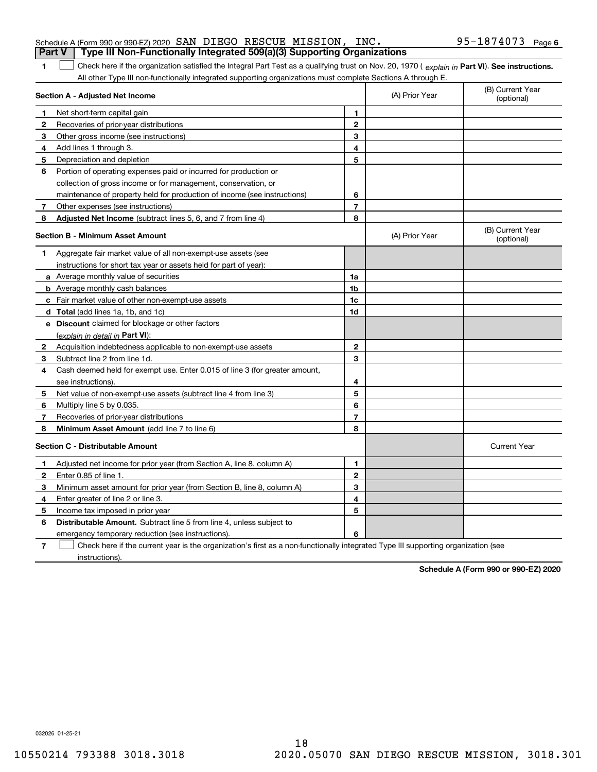|                                         | Schedule A (Form 990 or 990-EZ) 2020 SAN DIEGO RESCUE MISSION, INC.                                                                            |              |                | 95-1874073 Page 6              |
|-----------------------------------------|------------------------------------------------------------------------------------------------------------------------------------------------|--------------|----------------|--------------------------------|
|                                         | Type III Non-Functionally Integrated 509(a)(3) Supporting Organizations<br><b>Part V</b>                                                       |              |                |                                |
|                                         | Check here if the organization satisfied the Integral Part Test as a qualifying trust on Nov. 20, 1970 (explain in Part VI). See instructions. |              |                |                                |
|                                         | All other Type III non-functionally integrated supporting organizations must complete Sections A through E.                                    |              |                |                                |
|                                         | Section A - Adjusted Net Income                                                                                                                |              | (A) Prior Year | (B) Current Year<br>(optional) |
|                                         | Net short-term capital gain                                                                                                                    |              |                |                                |
|                                         | Recoveries of prior-year distributions                                                                                                         | $\mathbf{2}$ |                |                                |
| 3                                       | Other gross income (see instructions)                                                                                                          | 3            |                |                                |
|                                         | Add lines 1 through 3.                                                                                                                         | 4            |                |                                |
| 5                                       | Depreciation and depletion                                                                                                                     | 5            |                |                                |
| 6                                       | Portion of operating expenses paid or incurred for production or                                                                               |              |                |                                |
|                                         | collection of gross income or for management, conservation, or                                                                                 |              |                |                                |
|                                         | maintenance of property held for production of income (see instructions)                                                                       | 6            |                |                                |
|                                         | Other expenses (see instructions)                                                                                                              | 7            |                |                                |
| 8                                       | Adjusted Net Income (subtract lines 5, 6, and 7 from line 4)                                                                                   | 8            |                |                                |
| <b>Section B - Minimum Asset Amount</b> |                                                                                                                                                |              | (A) Prior Year | (B) Current Year<br>(optional) |
|                                         | Aggregate fair market value of all non-exempt-use assets (see                                                                                  |              |                |                                |
|                                         | instructions for short tax year or assets held for part of year):                                                                              |              |                |                                |
|                                         | a Average monthly value of securities                                                                                                          | 1a           |                |                                |
|                                         | <b>b</b> Average monthly cash balances                                                                                                         | 1b           |                |                                |
| c.                                      | Fair market value of other non-exempt-use assets                                                                                               | 1c           |                |                                |

|              | <b>c</b> Fair market value of other non-exempt-use assets                   | 1c |                     |
|--------------|-----------------------------------------------------------------------------|----|---------------------|
|              | <b>d</b> Total (add lines 1a, 1b, and 1c)                                   | 1d |                     |
|              | e Discount claimed for blockage or other factors                            |    |                     |
|              | <u>(explain in detail in Part VI):</u>                                      |    |                     |
| $\mathbf{2}$ | Acquisition indebtedness applicable to non-exempt-use assets                | 2  |                     |
| 3            | Subtract line 2 from line 1d.                                               | з  |                     |
| 4            | Cash deemed held for exempt use. Enter 0.015 of line 3 (for greater amount, |    |                     |
|              | see instructions).                                                          | 4  |                     |
| 5            | Net value of non-exempt-use assets (subtract line 4 from line 3)            | 5  |                     |
| 6            | Multiply line 5 by 0.035.                                                   | 6  |                     |
|              | Recoveries of prior-year distributions                                      | 7  |                     |
| 8            | Minimum Asset Amount (add line 7 to line 6)                                 | 8  |                     |
|              | Section C - Distributable Amount                                            |    | <b>Current Year</b> |
|              | Adjusted net income for prior year (from Section A, line 8, column A)       | 1  |                     |
| $\mathbf{2}$ | Enter 0.85 of line 1.                                                       | 2  |                     |
| 3            | Minimum asset amount for prior year (from Section B, line 8, column A)      | з  |                     |
| 4            | Enter greater of line 2 or line 3.                                          | 4  |                     |
| 5            | Income tax imposed in prior year                                            | 5  |                     |
| 6            | <b>Distributable Amount.</b> Subtract line 5 from line 4, unless subject to |    |                     |

**6**

emergency temporary reduction (see instructions).

**7** Check here if the current year is the organization's first as a non-functionally integrated Type III supporting organization (see instructions).

**Schedule A (Form 990 or 990-EZ) 2020**

032026 01-25-21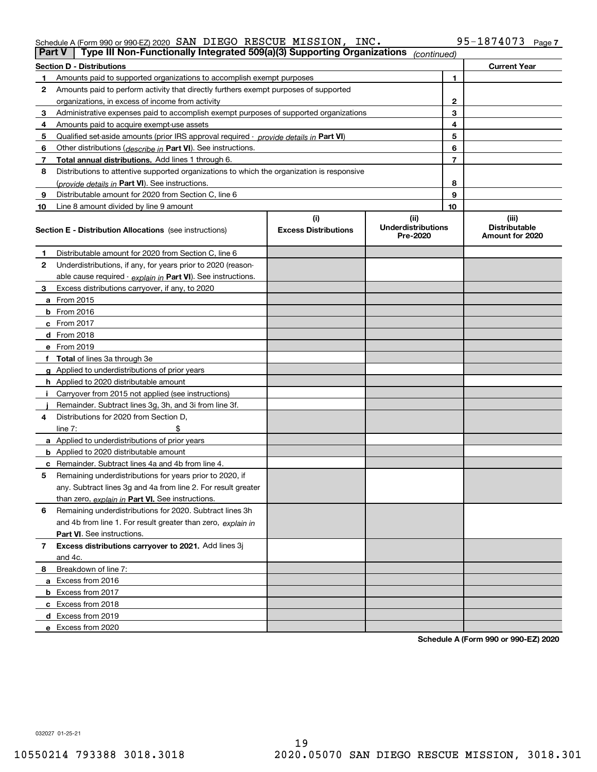### Schedule A (Form 990 or 990-EZ) 2020 Page SAN DIEGO RESCUE MISSION, INC. 95-1874073

| Type III Non-Functionally Integrated 509(a)(3) Supporting Organizations<br><b>Part V</b><br>(continued) |                                                                                            |                             |                                       |                |                                         |  |  |
|---------------------------------------------------------------------------------------------------------|--------------------------------------------------------------------------------------------|-----------------------------|---------------------------------------|----------------|-----------------------------------------|--|--|
|                                                                                                         | <b>Section D - Distributions</b>                                                           |                             |                                       |                | <b>Current Year</b>                     |  |  |
| 1                                                                                                       | Amounts paid to supported organizations to accomplish exempt purposes                      |                             |                                       | 1              |                                         |  |  |
| 2                                                                                                       | Amounts paid to perform activity that directly furthers exempt purposes of supported       |                             |                                       |                |                                         |  |  |
|                                                                                                         | organizations, in excess of income from activity                                           |                             |                                       | 2              |                                         |  |  |
| 3                                                                                                       | Administrative expenses paid to accomplish exempt purposes of supported organizations      |                             |                                       | 3              |                                         |  |  |
| 4                                                                                                       | Amounts paid to acquire exempt-use assets                                                  |                             | 4                                     |                |                                         |  |  |
| 5                                                                                                       | Qualified set-aside amounts (prior IRS approval required - provide details in Part VI)     |                             |                                       | 5              |                                         |  |  |
| 6                                                                                                       | Other distributions ( <i>describe in</i> Part VI). See instructions.                       |                             |                                       | 6              |                                         |  |  |
| 7                                                                                                       | Total annual distributions. Add lines 1 through 6.                                         |                             |                                       | $\overline{7}$ |                                         |  |  |
| 8                                                                                                       | Distributions to attentive supported organizations to which the organization is responsive |                             |                                       |                |                                         |  |  |
|                                                                                                         | (provide details in Part VI). See instructions.                                            |                             |                                       | 8              |                                         |  |  |
| 9                                                                                                       | Distributable amount for 2020 from Section C, line 6                                       |                             |                                       | 9              |                                         |  |  |
| 10                                                                                                      | Line 8 amount divided by line 9 amount                                                     |                             |                                       | 10             |                                         |  |  |
|                                                                                                         |                                                                                            | (i)                         | (ii)                                  |                | (iii)                                   |  |  |
|                                                                                                         | <b>Section E - Distribution Allocations</b> (see instructions)                             | <b>Excess Distributions</b> | <b>Underdistributions</b><br>Pre-2020 |                | <b>Distributable</b><br>Amount for 2020 |  |  |
| 1                                                                                                       | Distributable amount for 2020 from Section C, line 6                                       |                             |                                       |                |                                         |  |  |
| 2                                                                                                       | Underdistributions, if any, for years prior to 2020 (reason-                               |                             |                                       |                |                                         |  |  |
|                                                                                                         | able cause required - explain in Part VI). See instructions.                               |                             |                                       |                |                                         |  |  |
| 3                                                                                                       | Excess distributions carryover, if any, to 2020                                            |                             |                                       |                |                                         |  |  |
|                                                                                                         | <b>a</b> From 2015                                                                         |                             |                                       |                |                                         |  |  |
|                                                                                                         | <b>b</b> From 2016                                                                         |                             |                                       |                |                                         |  |  |
|                                                                                                         | c From 2017                                                                                |                             |                                       |                |                                         |  |  |
|                                                                                                         | <b>d</b> From 2018                                                                         |                             |                                       |                |                                         |  |  |
|                                                                                                         | e From 2019                                                                                |                             |                                       |                |                                         |  |  |
|                                                                                                         | f Total of lines 3a through 3e                                                             |                             |                                       |                |                                         |  |  |
|                                                                                                         | g Applied to underdistributions of prior years                                             |                             |                                       |                |                                         |  |  |
|                                                                                                         | <b>h</b> Applied to 2020 distributable amount                                              |                             |                                       |                |                                         |  |  |
|                                                                                                         | Carryover from 2015 not applied (see instructions)                                         |                             |                                       |                |                                         |  |  |
|                                                                                                         | Remainder. Subtract lines 3g, 3h, and 3i from line 3f.                                     |                             |                                       |                |                                         |  |  |
| 4                                                                                                       | Distributions for 2020 from Section D,                                                     |                             |                                       |                |                                         |  |  |
|                                                                                                         | line $7:$                                                                                  |                             |                                       |                |                                         |  |  |
|                                                                                                         | a Applied to underdistributions of prior years                                             |                             |                                       |                |                                         |  |  |
|                                                                                                         | <b>b</b> Applied to 2020 distributable amount                                              |                             |                                       |                |                                         |  |  |
|                                                                                                         | c Remainder. Subtract lines 4a and 4b from line 4.                                         |                             |                                       |                |                                         |  |  |
| 5                                                                                                       | Remaining underdistributions for years prior to 2020, if                                   |                             |                                       |                |                                         |  |  |
|                                                                                                         | any. Subtract lines 3g and 4a from line 2. For result greater                              |                             |                                       |                |                                         |  |  |
|                                                                                                         | than zero, explain in Part VI. See instructions.                                           |                             |                                       |                |                                         |  |  |
| 6                                                                                                       | Remaining underdistributions for 2020. Subtract lines 3h                                   |                             |                                       |                |                                         |  |  |
|                                                                                                         | and 4b from line 1. For result greater than zero, explain in                               |                             |                                       |                |                                         |  |  |
|                                                                                                         | Part VI. See instructions.                                                                 |                             |                                       |                |                                         |  |  |
| 7                                                                                                       | Excess distributions carryover to 2021. Add lines 3j                                       |                             |                                       |                |                                         |  |  |
|                                                                                                         | and 4c.                                                                                    |                             |                                       |                |                                         |  |  |
| 8                                                                                                       | Breakdown of line 7:                                                                       |                             |                                       |                |                                         |  |  |
|                                                                                                         | a Excess from 2016                                                                         |                             |                                       |                |                                         |  |  |
|                                                                                                         | <b>b</b> Excess from 2017                                                                  |                             |                                       |                |                                         |  |  |
|                                                                                                         | c Excess from 2018                                                                         |                             |                                       |                |                                         |  |  |
|                                                                                                         | d Excess from 2019                                                                         |                             |                                       |                |                                         |  |  |
|                                                                                                         | e Excess from 2020                                                                         |                             |                                       |                |                                         |  |  |
|                                                                                                         |                                                                                            |                             |                                       |                |                                         |  |  |

**Schedule A (Form 990 or 990-EZ) 2020**

032027 01-25-21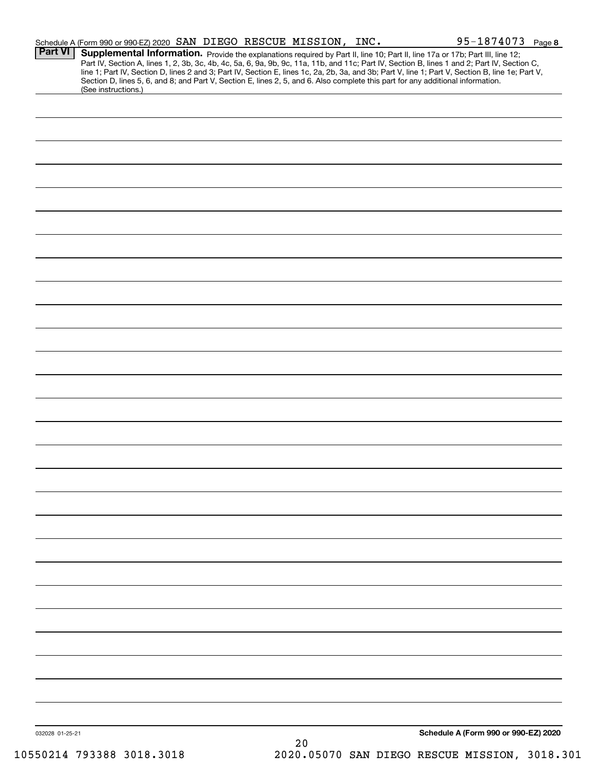|         | Schedule A (Form 990 or 990-EZ) 2020 SAN DIEGO RESCUE MISSION, INC. |  |  | 95-1874073 Page 8                                                                                                                                                                                                                                                                                                                                                                                                                                                                                                             |
|---------|---------------------------------------------------------------------|--|--|-------------------------------------------------------------------------------------------------------------------------------------------------------------------------------------------------------------------------------------------------------------------------------------------------------------------------------------------------------------------------------------------------------------------------------------------------------------------------------------------------------------------------------|
| Part VI |                                                                     |  |  | <b>Supplemental Information.</b> Provide the explanations required by Part II, line 10; Part II, line 17a or 17b; Part III, line 12;<br>Part IV, Section A, lines 1, 2, 3b, 3c, 4b, 4c, 5a, 6, 9a, 9b, 9c, 11a, 11b, and 11c; Part IV,<br>line 1; Part IV, Section D, lines 2 and 3; Part IV, Section E, lines 1c, 2a, 2b, 3a, and 3b; Part V, line 1; Part V, Section B, line 1e; Part V,<br>Section D, lines 5, 6, and 8; and Part V, Section E, lines 2, 5, and 6. Also complete this part for any additional information. |
|         | (See instructions.)                                                 |  |  |                                                                                                                                                                                                                                                                                                                                                                                                                                                                                                                               |
|         |                                                                     |  |  |                                                                                                                                                                                                                                                                                                                                                                                                                                                                                                                               |
|         |                                                                     |  |  |                                                                                                                                                                                                                                                                                                                                                                                                                                                                                                                               |
|         |                                                                     |  |  |                                                                                                                                                                                                                                                                                                                                                                                                                                                                                                                               |
|         |                                                                     |  |  |                                                                                                                                                                                                                                                                                                                                                                                                                                                                                                                               |
|         |                                                                     |  |  |                                                                                                                                                                                                                                                                                                                                                                                                                                                                                                                               |
|         |                                                                     |  |  |                                                                                                                                                                                                                                                                                                                                                                                                                                                                                                                               |
|         |                                                                     |  |  |                                                                                                                                                                                                                                                                                                                                                                                                                                                                                                                               |
|         |                                                                     |  |  |                                                                                                                                                                                                                                                                                                                                                                                                                                                                                                                               |
|         |                                                                     |  |  |                                                                                                                                                                                                                                                                                                                                                                                                                                                                                                                               |
|         |                                                                     |  |  |                                                                                                                                                                                                                                                                                                                                                                                                                                                                                                                               |
|         |                                                                     |  |  |                                                                                                                                                                                                                                                                                                                                                                                                                                                                                                                               |
|         |                                                                     |  |  |                                                                                                                                                                                                                                                                                                                                                                                                                                                                                                                               |
|         |                                                                     |  |  |                                                                                                                                                                                                                                                                                                                                                                                                                                                                                                                               |
|         |                                                                     |  |  |                                                                                                                                                                                                                                                                                                                                                                                                                                                                                                                               |
|         |                                                                     |  |  |                                                                                                                                                                                                                                                                                                                                                                                                                                                                                                                               |
|         |                                                                     |  |  |                                                                                                                                                                                                                                                                                                                                                                                                                                                                                                                               |
|         |                                                                     |  |  |                                                                                                                                                                                                                                                                                                                                                                                                                                                                                                                               |
|         |                                                                     |  |  |                                                                                                                                                                                                                                                                                                                                                                                                                                                                                                                               |
|         |                                                                     |  |  |                                                                                                                                                                                                                                                                                                                                                                                                                                                                                                                               |
|         |                                                                     |  |  |                                                                                                                                                                                                                                                                                                                                                                                                                                                                                                                               |
|         |                                                                     |  |  |                                                                                                                                                                                                                                                                                                                                                                                                                                                                                                                               |
|         |                                                                     |  |  |                                                                                                                                                                                                                                                                                                                                                                                                                                                                                                                               |
|         |                                                                     |  |  |                                                                                                                                                                                                                                                                                                                                                                                                                                                                                                                               |
|         |                                                                     |  |  |                                                                                                                                                                                                                                                                                                                                                                                                                                                                                                                               |
|         |                                                                     |  |  |                                                                                                                                                                                                                                                                                                                                                                                                                                                                                                                               |
|         |                                                                     |  |  |                                                                                                                                                                                                                                                                                                                                                                                                                                                                                                                               |
|         |                                                                     |  |  |                                                                                                                                                                                                                                                                                                                                                                                                                                                                                                                               |
|         |                                                                     |  |  |                                                                                                                                                                                                                                                                                                                                                                                                                                                                                                                               |
|         |                                                                     |  |  |                                                                                                                                                                                                                                                                                                                                                                                                                                                                                                                               |
|         |                                                                     |  |  |                                                                                                                                                                                                                                                                                                                                                                                                                                                                                                                               |
|         |                                                                     |  |  |                                                                                                                                                                                                                                                                                                                                                                                                                                                                                                                               |
|         |                                                                     |  |  |                                                                                                                                                                                                                                                                                                                                                                                                                                                                                                                               |
|         |                                                                     |  |  |                                                                                                                                                                                                                                                                                                                                                                                                                                                                                                                               |
|         |                                                                     |  |  |                                                                                                                                                                                                                                                                                                                                                                                                                                                                                                                               |
|         |                                                                     |  |  |                                                                                                                                                                                                                                                                                                                                                                                                                                                                                                                               |
|         |                                                                     |  |  |                                                                                                                                                                                                                                                                                                                                                                                                                                                                                                                               |
|         |                                                                     |  |  |                                                                                                                                                                                                                                                                                                                                                                                                                                                                                                                               |
|         |                                                                     |  |  |                                                                                                                                                                                                                                                                                                                                                                                                                                                                                                                               |
|         |                                                                     |  |  |                                                                                                                                                                                                                                                                                                                                                                                                                                                                                                                               |
|         |                                                                     |  |  |                                                                                                                                                                                                                                                                                                                                                                                                                                                                                                                               |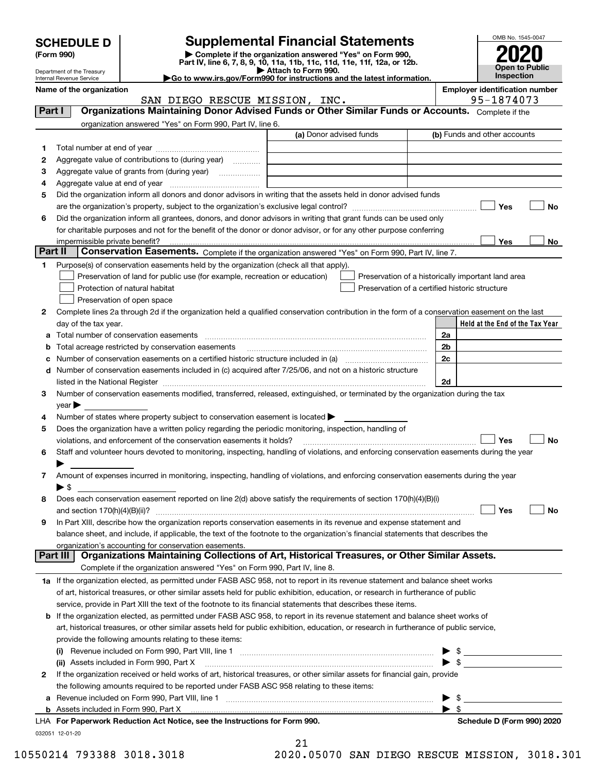| <b>SCHEDULE D</b> |  |  |
|-------------------|--|--|

| (Form 990) |  |
|------------|--|
|------------|--|

# **SCHEDULE D Supplemental Financial Statements**

(Form 990)<br>
Pepartment of the Treasury<br>
Department of the Treasury<br>
Department of the Treasury<br>
Department of the Treasury<br> **Co to www.irs.gov/Form990 for instructions and the latest information.**<br> **Co to www.irs.gov/Form9** 



Department of the Treasury Internal Revenue Service **Name of the organization Employer identification number**

|         | SAN DIEGO RESCUE MISSION, INC.                                                                                                                                    |                         | 95-1874073                                         |
|---------|-------------------------------------------------------------------------------------------------------------------------------------------------------------------|-------------------------|----------------------------------------------------|
| Part I  | Organizations Maintaining Donor Advised Funds or Other Similar Funds or Accounts. Complete if the                                                                 |                         |                                                    |
|         | organization answered "Yes" on Form 990, Part IV, line 6.                                                                                                         |                         |                                                    |
|         |                                                                                                                                                                   | (a) Donor advised funds | (b) Funds and other accounts                       |
| 1       |                                                                                                                                                                   |                         |                                                    |
| 2       | Aggregate value of contributions to (during year)                                                                                                                 |                         |                                                    |
| з       |                                                                                                                                                                   |                         |                                                    |
| 4       |                                                                                                                                                                   |                         |                                                    |
| 5       | Did the organization inform all donors and donor advisors in writing that the assets held in donor advised funds                                                  |                         |                                                    |
|         |                                                                                                                                                                   |                         | Yes<br>No                                          |
| 6       | Did the organization inform all grantees, donors, and donor advisors in writing that grant funds can be used only                                                 |                         |                                                    |
|         | for charitable purposes and not for the benefit of the donor or donor advisor, or for any other purpose conferring                                                |                         |                                                    |
|         |                                                                                                                                                                   |                         | Yes<br>No                                          |
| Part II | Conservation Easements. Complete if the organization answered "Yes" on Form 990, Part IV, line 7.                                                                 |                         |                                                    |
| 1       | Purpose(s) of conservation easements held by the organization (check all that apply).                                                                             |                         |                                                    |
|         | Preservation of land for public use (for example, recreation or education)                                                                                        |                         | Preservation of a historically important land area |
|         | Protection of natural habitat                                                                                                                                     |                         | Preservation of a certified historic structure     |
|         | Preservation of open space                                                                                                                                        |                         |                                                    |
| 2       | Complete lines 2a through 2d if the organization held a qualified conservation contribution in the form of a conservation easement on the last                    |                         |                                                    |
|         | day of the tax year.                                                                                                                                              |                         | Held at the End of the Tax Year                    |
| а       | Total number of conservation easements                                                                                                                            |                         | 2a                                                 |
|         | Total acreage restricted by conservation easements                                                                                                                |                         | 2 <sub>b</sub>                                     |
| с       | Number of conservation easements on a certified historic structure included in (a) manufacture included in (a)                                                    |                         | 2c                                                 |
| d       | Number of conservation easements included in (c) acquired after 7/25/06, and not on a historic structure                                                          |                         |                                                    |
|         | listed in the National Register [111] Martin March 1999 (120) March 1999 (120) March 1999 (120) March 1999 (1                                                     |                         | 2d                                                 |
| з       | Number of conservation easements modified, transferred, released, extinguished, or terminated by the organization during the tax                                  |                         |                                                    |
|         | year                                                                                                                                                              |                         |                                                    |
| 4       | Number of states where property subject to conservation easement is located >                                                                                     |                         |                                                    |
| 5       | Does the organization have a written policy regarding the periodic monitoring, inspection, handling of                                                            |                         |                                                    |
|         | violations, and enforcement of the conservation easements it holds?                                                                                               |                         | Yes<br>No                                          |
| 6       | Staff and volunteer hours devoted to monitoring, inspecting, handling of violations, and enforcing conservation easements during the year                         |                         |                                                    |
|         |                                                                                                                                                                   |                         |                                                    |
|         | Amount of expenses incurred in monitoring, inspecting, handling of violations, and enforcing conservation easements during the year                               |                         |                                                    |
| 7       | $\blacktriangleright$ \$                                                                                                                                          |                         |                                                    |
|         | Does each conservation easement reported on line 2(d) above satisfy the requirements of section 170(h)(4)(B)(i)                                                   |                         |                                                    |
| 8       |                                                                                                                                                                   |                         | Yes<br>No                                          |
|         | In Part XIII, describe how the organization reports conservation easements in its revenue and expense statement and                                               |                         |                                                    |
| 9       | balance sheet, and include, if applicable, the text of the footnote to the organization's financial statements that describes the                                 |                         |                                                    |
|         |                                                                                                                                                                   |                         |                                                    |
|         | organization's accounting for conservation easements.<br>Organizations Maintaining Collections of Art, Historical Treasures, or Other Similar Assets.<br>Part III |                         |                                                    |
|         | Complete if the organization answered "Yes" on Form 990, Part IV, line 8.                                                                                         |                         |                                                    |
|         | 1a If the organization elected, as permitted under FASB ASC 958, not to report in its revenue statement and balance sheet works                                   |                         |                                                    |
|         | of art, historical treasures, or other similar assets held for public exhibition, education, or research in furtherance of public                                 |                         |                                                    |
|         | service, provide in Part XIII the text of the footnote to its financial statements that describes these items.                                                    |                         |                                                    |
|         | If the organization elected, as permitted under FASB ASC 958, to report in its revenue statement and balance sheet works of                                       |                         |                                                    |
| b       |                                                                                                                                                                   |                         |                                                    |
|         | art, historical treasures, or other similar assets held for public exhibition, education, or research in furtherance of public service,                           |                         |                                                    |
|         | provide the following amounts relating to these items:                                                                                                            |                         |                                                    |
|         |                                                                                                                                                                   |                         |                                                    |
|         | (ii) Assets included in Form 990, Part X                                                                                                                          |                         | $\triangleright$ \$                                |
| 2       | If the organization received or held works of art, historical treasures, or other similar assets for financial gain, provide                                      |                         |                                                    |
|         | the following amounts required to be reported under FASB ASC 958 relating to these items:                                                                         |                         |                                                    |
| а       |                                                                                                                                                                   |                         | \$                                                 |
|         |                                                                                                                                                                   |                         | $\blacktriangleright$ s                            |
|         | LHA For Paperwork Reduction Act Notice, see the Instructions for Form 990.                                                                                        |                         | Schedule D (Form 990) 2020                         |
|         | 032051 12-01-20                                                                                                                                                   | 21                      |                                                    |

21

10550214 793388 3018.3018 2020.05070 SAN DIEGO RESCUE MISSION, 3018.301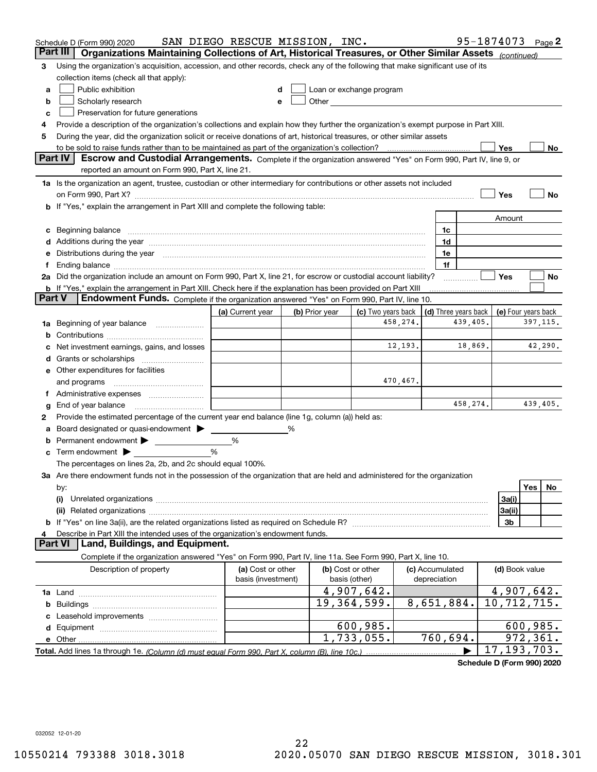|          | Schedule D (Form 990) 2020                                                                                                                                                                                                     | SAN DIEGO RESCUE MISSION, INC.          |   |                |                                                                                                                                                                                                                               |          |                                            |          | 95-1874073 Page 2           |           |         |
|----------|--------------------------------------------------------------------------------------------------------------------------------------------------------------------------------------------------------------------------------|-----------------------------------------|---|----------------|-------------------------------------------------------------------------------------------------------------------------------------------------------------------------------------------------------------------------------|----------|--------------------------------------------|----------|-----------------------------|-----------|---------|
| Part III | Organizations Maintaining Collections of Art, Historical Treasures, or Other Similar Assets (continued)                                                                                                                        |                                         |   |                |                                                                                                                                                                                                                               |          |                                            |          |                             |           |         |
| З        | Using the organization's acquisition, accession, and other records, check any of the following that make significant use of its                                                                                                |                                         |   |                |                                                                                                                                                                                                                               |          |                                            |          |                             |           |         |
|          | collection items (check all that apply):                                                                                                                                                                                       |                                         |   |                |                                                                                                                                                                                                                               |          |                                            |          |                             |           |         |
| a        | Public exhibition                                                                                                                                                                                                              |                                         |   |                | Loan or exchange program                                                                                                                                                                                                      |          |                                            |          |                             |           |         |
| b        | Scholarly research                                                                                                                                                                                                             |                                         |   |                | Other and the contract of the contract of the contract of the contract of the contract of the contract of the contract of the contract of the contract of the contract of the contract of the contract of the contract of the |          |                                            |          |                             |           |         |
| c        | Preservation for future generations                                                                                                                                                                                            |                                         |   |                |                                                                                                                                                                                                                               |          |                                            |          |                             |           |         |
| 4        | Provide a description of the organization's collections and explain how they further the organization's exempt purpose in Part XIII.                                                                                           |                                         |   |                |                                                                                                                                                                                                                               |          |                                            |          |                             |           |         |
| 5        | During the year, did the organization solicit or receive donations of art, historical treasures, or other similar assets                                                                                                       |                                         |   |                |                                                                                                                                                                                                                               |          |                                            |          |                             |           |         |
|          | to be sold to raise funds rather than to be maintained as part of the organization's collection?                                                                                                                               |                                         |   |                |                                                                                                                                                                                                                               |          |                                            |          | Yes                         |           | No.     |
|          | <b>Part IV</b><br>Escrow and Custodial Arrangements. Complete if the organization answered "Yes" on Form 990, Part IV, line 9, or                                                                                              |                                         |   |                |                                                                                                                                                                                                                               |          |                                            |          |                             |           |         |
|          | reported an amount on Form 990, Part X, line 21.                                                                                                                                                                               |                                         |   |                |                                                                                                                                                                                                                               |          |                                            |          |                             |           |         |
|          | 1a Is the organization an agent, trustee, custodian or other intermediary for contributions or other assets not included                                                                                                       |                                         |   |                |                                                                                                                                                                                                                               |          |                                            |          |                             |           |         |
|          | on Form 990, Part X? [11] matter contracts and contracts and contracts are contracted and contracts are contracted and contract and contract of the set of the set of the set of the set of the set of the set of the set of t |                                         |   |                |                                                                                                                                                                                                                               |          |                                            |          | Yes                         |           | No      |
|          | <b>b</b> If "Yes," explain the arrangement in Part XIII and complete the following table:                                                                                                                                      |                                         |   |                |                                                                                                                                                                                                                               |          |                                            |          |                             |           |         |
|          |                                                                                                                                                                                                                                |                                         |   |                |                                                                                                                                                                                                                               |          |                                            |          | Amount                      |           |         |
|          |                                                                                                                                                                                                                                |                                         |   |                |                                                                                                                                                                                                                               |          | 1c                                         |          |                             |           |         |
|          | Additions during the year manufactured and an experimental contract to the year manufactured and a set of the year manufactured and a set of the year manufactured and a set of the year manufactured and set of the year manu |                                         |   |                |                                                                                                                                                                                                                               |          | 1d                                         |          |                             |           |         |
|          | Distributions during the year manufactured and continuum control of the year manufactured and control of the year manufactured and control of the year manufactured and control of the year manufactured and control of the ye |                                         |   |                |                                                                                                                                                                                                                               |          | 1e                                         |          |                             |           |         |
|          |                                                                                                                                                                                                                                |                                         |   |                |                                                                                                                                                                                                                               |          | 1f                                         |          |                             |           |         |
|          | 2a Did the organization include an amount on Form 990, Part X, line 21, for escrow or custodial account liability?                                                                                                             |                                         |   |                |                                                                                                                                                                                                                               |          |                                            |          | Yes                         |           | No      |
| Part V   | <b>b</b> If "Yes," explain the arrangement in Part XIII. Check here if the explanation has been provided on Part XIII<br>Endowment Funds. Complete if the organization answered "Yes" on Form 990, Part IV, line 10.           |                                         |   |                |                                                                                                                                                                                                                               |          |                                            |          |                             |           |         |
|          |                                                                                                                                                                                                                                | (a) Current year                        |   | (b) Prior year | (c) Two years back                                                                                                                                                                                                            |          | (d) Three years back   (e) Four years back |          |                             |           |         |
|          | Beginning of year balance                                                                                                                                                                                                      |                                         |   |                |                                                                                                                                                                                                                               | 458,274. |                                            | 439,405. |                             | 397, 115. |         |
| 1a       |                                                                                                                                                                                                                                |                                         |   |                |                                                                                                                                                                                                                               |          |                                            |          |                             |           |         |
|          | Net investment earnings, gains, and losses                                                                                                                                                                                     |                                         |   |                |                                                                                                                                                                                                                               | 12,193.  |                                            | 18,869.  |                             |           | 42,290. |
|          |                                                                                                                                                                                                                                |                                         |   |                |                                                                                                                                                                                                                               |          |                                            |          |                             |           |         |
|          | e Other expenditures for facilities                                                                                                                                                                                            |                                         |   |                |                                                                                                                                                                                                                               |          |                                            |          |                             |           |         |
|          | and programs                                                                                                                                                                                                                   |                                         |   |                |                                                                                                                                                                                                                               | 470,467. |                                            |          |                             |           |         |
|          |                                                                                                                                                                                                                                |                                         |   |                |                                                                                                                                                                                                                               |          |                                            |          |                             |           |         |
| g        | End of year balance                                                                                                                                                                                                            |                                         |   |                |                                                                                                                                                                                                                               |          |                                            | 458,274. |                             | 439,405.  |         |
| 2        | Provide the estimated percentage of the current year end balance (line 1g, column (a)) held as:                                                                                                                                |                                         |   |                |                                                                                                                                                                                                                               |          |                                            |          |                             |           |         |
|          | Board designated or quasi-endowment                                                                                                                                                                                            |                                         | % |                |                                                                                                                                                                                                                               |          |                                            |          |                             |           |         |
| b        | Permanent endowment                                                                                                                                                                                                            | %                                       |   |                |                                                                                                                                                                                                                               |          |                                            |          |                             |           |         |
| c        | Term endowment $\blacktriangleright$                                                                                                                                                                                           | %                                       |   |                |                                                                                                                                                                                                                               |          |                                            |          |                             |           |         |
|          | The percentages on lines 2a, 2b, and 2c should equal 100%.                                                                                                                                                                     |                                         |   |                |                                                                                                                                                                                                                               |          |                                            |          |                             |           |         |
|          | 3a Are there endowment funds not in the possession of the organization that are held and administered for the organization                                                                                                     |                                         |   |                |                                                                                                                                                                                                                               |          |                                            |          |                             |           |         |
|          | by:                                                                                                                                                                                                                            |                                         |   |                |                                                                                                                                                                                                                               |          |                                            |          |                             | Yes       | No      |
|          | (i)                                                                                                                                                                                                                            |                                         |   |                |                                                                                                                                                                                                                               |          |                                            |          | 3a(i)                       |           |         |
|          |                                                                                                                                                                                                                                |                                         |   |                |                                                                                                                                                                                                                               |          |                                            |          | 3a(ii)                      |           |         |
|          | <b>b</b> If "Yes" on line 3a(ii), are the related organizations listed as required on Schedule R?                                                                                                                              |                                         |   |                |                                                                                                                                                                                                                               |          |                                            |          | 3b                          |           |         |
|          | Describe in Part XIII the intended uses of the organization's endowment funds.                                                                                                                                                 |                                         |   |                |                                                                                                                                                                                                                               |          |                                            |          |                             |           |         |
|          | Land, Buildings, and Equipment.<br>Part VI                                                                                                                                                                                     |                                         |   |                |                                                                                                                                                                                                                               |          |                                            |          |                             |           |         |
|          | Complete if the organization answered "Yes" on Form 990, Part IV, line 11a. See Form 990, Part X, line 10.                                                                                                                     |                                         |   |                |                                                                                                                                                                                                                               |          |                                            |          |                             |           |         |
|          | Description of property                                                                                                                                                                                                        | (a) Cost or other<br>basis (investment) |   |                | (b) Cost or other<br>basis (other)                                                                                                                                                                                            |          | (c) Accumulated<br>depreciation            |          | (d) Book value              |           |         |
|          |                                                                                                                                                                                                                                |                                         |   |                | 4,907,642.                                                                                                                                                                                                                    |          |                                            |          | 4,907,642.                  |           |         |
| b        |                                                                                                                                                                                                                                |                                         |   |                | 19,364,599.                                                                                                                                                                                                                   |          | 8,651,884.                                 |          | $\overline{10, 712, 715}$ . |           |         |
|          |                                                                                                                                                                                                                                |                                         |   |                |                                                                                                                                                                                                                               |          |                                            |          |                             |           |         |
| d        |                                                                                                                                                                                                                                |                                         |   |                | 600,985.                                                                                                                                                                                                                      |          |                                            |          |                             | 600,985.  |         |
|          | e Other                                                                                                                                                                                                                        |                                         |   |                | $\overline{1,733,055}$ .                                                                                                                                                                                                      |          | 760,694.                                   |          |                             | 972, 361. |         |
|          |                                                                                                                                                                                                                                |                                         |   |                |                                                                                                                                                                                                                               |          |                                            |          | 17, 193, 703.               |           |         |

**Schedule D (Form 990) 2020**

032052 12-01-20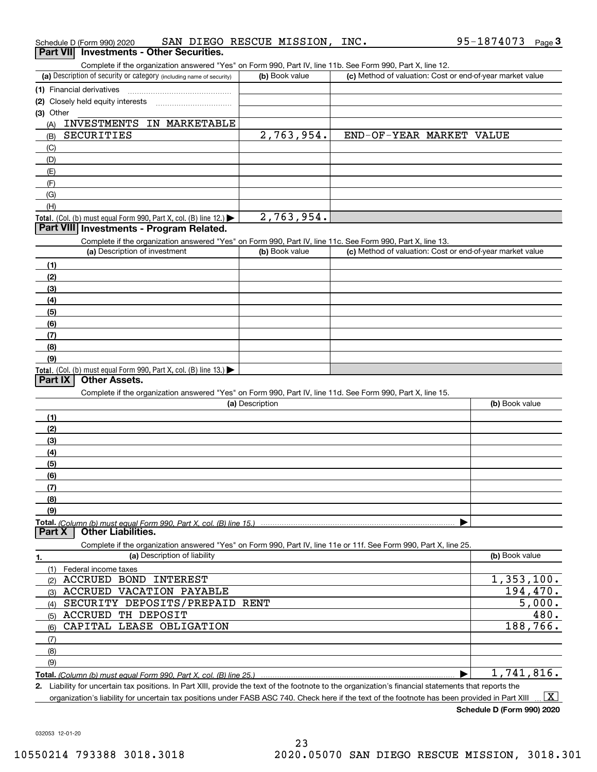|           | Schedule D (Form 990) 2020                                                                                        | SAN DIEGO RESCUE MISSION, INC. | 95-1874073<br>Page $3$                                    |
|-----------|-------------------------------------------------------------------------------------------------------------------|--------------------------------|-----------------------------------------------------------|
|           | <b>Investments - Other Securities.</b><br><b>Part VII</b>                                                         |                                |                                                           |
|           | Complete if the organization answered "Yes" on Form 990, Part IV, line 11b. See Form 990, Part X, line 12.        |                                |                                                           |
|           | (a) Description of security or category (including name of security)                                              | (b) Book value                 | (c) Method of valuation: Cost or end-of-year market value |
|           | (1) Financial derivatives                                                                                         |                                |                                                           |
|           | (2) Closely held equity interests                                                                                 |                                |                                                           |
| (3) Other |                                                                                                                   |                                |                                                           |
| (A)       | INVESTMENTS IN MARKETABLE                                                                                         |                                |                                                           |
| (B)       | <b>SECURITIES</b>                                                                                                 | 2,763,954.                     | END-OF-YEAR MARKET VALUE                                  |
| (C)       |                                                                                                                   |                                |                                                           |
| (D)       |                                                                                                                   |                                |                                                           |
| (E)       |                                                                                                                   |                                |                                                           |
| (F)       |                                                                                                                   |                                |                                                           |
| (G)       |                                                                                                                   |                                |                                                           |
| (H)       |                                                                                                                   |                                |                                                           |
|           | Total. (Col. (b) must equal Form 990, Part X, col. (B) line 12.) $\blacktriangleright$                            | 2,763,954.                     |                                                           |
|           | Part VIII Investments - Program Related.                                                                          |                                |                                                           |
|           | Complete if the organization answered "Yes" on Form 990, Part IV, line 11c. See Form 990, Part X, line 13.        |                                |                                                           |
|           | (a) Description of investment                                                                                     | (b) Book value                 | (c) Method of valuation: Cost or end-of-year market value |
| (1)       |                                                                                                                   |                                |                                                           |
| (2)       |                                                                                                                   |                                |                                                           |
| (3)       |                                                                                                                   |                                |                                                           |
| (4)       |                                                                                                                   |                                |                                                           |
| (5)       |                                                                                                                   |                                |                                                           |
| (6)       |                                                                                                                   |                                |                                                           |
| (7)       |                                                                                                                   |                                |                                                           |
| (8)       |                                                                                                                   |                                |                                                           |
| (9)       |                                                                                                                   |                                |                                                           |
|           | Total. (Col. (b) must equal Form 990, Part X, col. (B) line 13.)                                                  |                                |                                                           |
| Part IX   | <b>Other Assets.</b>                                                                                              |                                |                                                           |
|           | Complete if the organization answered "Yes" on Form 990, Part IV, line 11d. See Form 990, Part X, line 15.        |                                |                                                           |
|           |                                                                                                                   | (a) Description                | (b) Book value                                            |
| (1)       |                                                                                                                   |                                |                                                           |
| (2)       |                                                                                                                   |                                |                                                           |
| (3)       |                                                                                                                   |                                |                                                           |
|           |                                                                                                                   |                                |                                                           |
| (4)       |                                                                                                                   |                                |                                                           |
| (5)       |                                                                                                                   |                                |                                                           |
| (6)       |                                                                                                                   |                                |                                                           |
| (7)       |                                                                                                                   |                                |                                                           |
| (8)       |                                                                                                                   |                                |                                                           |
| (9)       |                                                                                                                   |                                |                                                           |
| Part X    | <b>Other Liabilities.</b>                                                                                         |                                |                                                           |
|           | Complete if the organization answered "Yes" on Form 990, Part IV, line 11e or 11f. See Form 990, Part X, line 25. |                                |                                                           |
|           | (a) Description of liability                                                                                      |                                | (b) Book value                                            |
| 1.        |                                                                                                                   |                                |                                                           |
| (1)       | Federal income taxes                                                                                              |                                | $\overline{1,353},100.$                                   |
| (2)       | ACCRUED BOND INTEREST                                                                                             |                                |                                                           |
| (3)       | ACCRUED VACATION PAYABLE                                                                                          |                                | 194,470.                                                  |
| (4)       | SECURITY DEPOSITS/PREPAID RENT                                                                                    |                                | 5,000.                                                    |
| (5)       | ACCRUED TH DEPOSIT                                                                                                |                                | 480.                                                      |
| (6)       | CAPITAL LEASE OBLIGATION                                                                                          |                                | 188,766.                                                  |
| (7)       |                                                                                                                   |                                |                                                           |
| (8)       |                                                                                                                   |                                |                                                           |
| (9)       |                                                                                                                   |                                |                                                           |
|           | Total. (Column (b) must equal Form 990, Part X, col. (B) line 25.)                                                |                                | 1,741,816.<br>▶                                           |

**2.** Liability for uncertain tax positions. In Part XIII, provide the text of the footnote to the organization's financial statements that reports the organization's liability for uncertain tax positions under FASB ASC 740. Check here if the text of the footnote has been provided in Part XIII  $\boxed{\text{X}}$ 

**Schedule D (Form 990) 2020**

95-1874073 Page 3

032053 12-01-20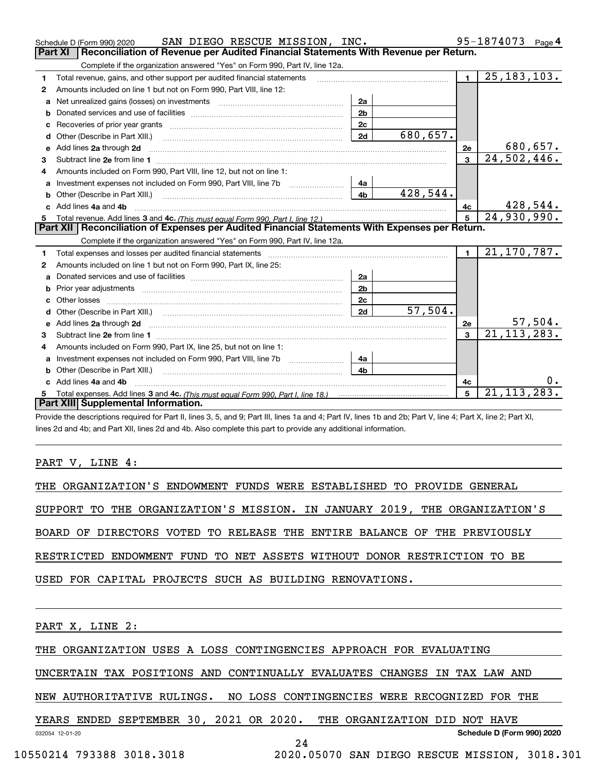|   | SAN DIEGO RESCUE MISSION, INC.<br>Schedule D (Form 990) 2020                                                            |                |          |                | 95-1874073<br>Page $4$ |
|---|-------------------------------------------------------------------------------------------------------------------------|----------------|----------|----------------|------------------------|
|   | <b>Part XI</b><br>Reconciliation of Revenue per Audited Financial Statements With Revenue per Return.                   |                |          |                |                        |
|   | Complete if the organization answered "Yes" on Form 990, Part IV, line 12a.                                             |                |          |                |                        |
| 1 | Total revenue, gains, and other support per audited financial statements                                                |                |          | $\blacksquare$ | 25, 183, 103.          |
| 2 | Amounts included on line 1 but not on Form 990, Part VIII, line 12:                                                     |                |          |                |                        |
| a | Net unrealized gains (losses) on investments [11] matter contracts and the unrealized gains (losses) on investments     | 2a             |          |                |                        |
| b |                                                                                                                         | 2 <sub>b</sub> |          |                |                        |
|   |                                                                                                                         | 2c             |          |                |                        |
|   |                                                                                                                         | 2d             | 680,657. |                |                        |
| е | Add lines 2a through 2d                                                                                                 |                |          | 2e             | 680, 657.              |
| з |                                                                                                                         |                |          | 3              | 24,502,446.            |
| 4 | Amounts included on Form 990, Part VIII, line 12, but not on line 1:                                                    |                |          |                |                        |
| a |                                                                                                                         | 4a             |          |                |                        |
|   |                                                                                                                         | 4 <sub>b</sub> | 428,544. |                |                        |
|   | c Add lines 4a and 4b                                                                                                   |                |          | 4c             | 428,544.               |
|   |                                                                                                                         |                |          |                | 24,930,990.            |
|   |                                                                                                                         |                |          |                |                        |
|   | Part XII   Reconciliation of Expenses per Audited Financial Statements With Expenses per Return.                        |                |          |                |                        |
|   | Complete if the organization answered "Yes" on Form 990, Part IV, line 12a.                                             |                |          |                |                        |
| 1 | Total expenses and losses per audited financial statements                                                              |                |          | $\mathbf{1}$   | 21,170,787.            |
| 2 | Amounts included on line 1 but not on Form 990, Part IX, line 25:                                                       |                |          |                |                        |
| a |                                                                                                                         | 2a             |          |                |                        |
| b |                                                                                                                         | 2 <sub>b</sub> |          |                |                        |
|   | Other losses                                                                                                            | 2c             |          |                |                        |
| d |                                                                                                                         | 2d             | 57,504.  |                |                        |
| е | Add lines 2a through 2d <b>contract and a contract and a contract a</b> contract a contract and a contract a contract a |                |          | 2e             | <u>57,504.</u>         |
| з |                                                                                                                         |                |          | 3              | 21, 113, 283.          |
| 4 | Amounts included on Form 990, Part IX, line 25, but not on line 1:                                                      |                |          |                |                        |
| a | Investment expenses not included on Form 990, Part VIII, line 7b [100] [100] [100] [100] [100] [100] [100] [10          | 4a             |          |                |                        |
|   | Other (Describe in Part XIII.)                                                                                          | 4 <sub>b</sub> |          |                |                        |
|   | c Add lines 4a and 4b                                                                                                   |                |          | 4с             |                        |
|   | Part XIII Supplemental Information.                                                                                     |                |          | 5              | 21, 113, 283.          |

Provide the descriptions required for Part II, lines 3, 5, and 9; Part III, lines 1a and 4; Part IV, lines 1b and 2b; Part V, line 4; Part X, line 2; Part XI, lines 2d and 4b; and Part XII, lines 2d and 4b. Also complete this part to provide any additional information.

PART V, LINE 4:

THE ORGANIZATION'S ENDOWMENT FUNDS WERE ESTABLISHED TO PROVIDE GENERAL

SUPPORT TO THE ORGANIZATION'S MISSION. IN JANUARY 2019, THE ORGANIZATION'S

BOARD OF DIRECTORS VOTED TO RELEASE THE ENTIRE BALANCE OF THE PREVIOUSLY

RESTRICTED ENDOWMENT FUND TO NET ASSETS WITHOUT DONOR RESTRICTION TO BE

USED FOR CAPITAL PROJECTS SUCH AS BUILDING RENOVATIONS.

PART X, LINE 2:

THE ORGANIZATION USES A LOSS CONTINGENCIES APPROACH FOR EVALUATING

UNCERTAIN TAX POSITIONS AND CONTINUALLY EVALUATES CHANGES IN TAX LAW AND

NEW AUTHORITATIVE RULINGS. NO LOSS CONTINGENCIES WERE RECOGNIZED FOR THE

YEARS ENDED SEPTEMBER 30, 2021 OR 2020. THE ORGANIZATION DID NOT HAVE

032054 12-01-20

**Schedule D (Form 990) 2020**

24

10550214 793388 3018.3018 2020.05070 SAN DIEGO RESCUE MISSION, 3018.301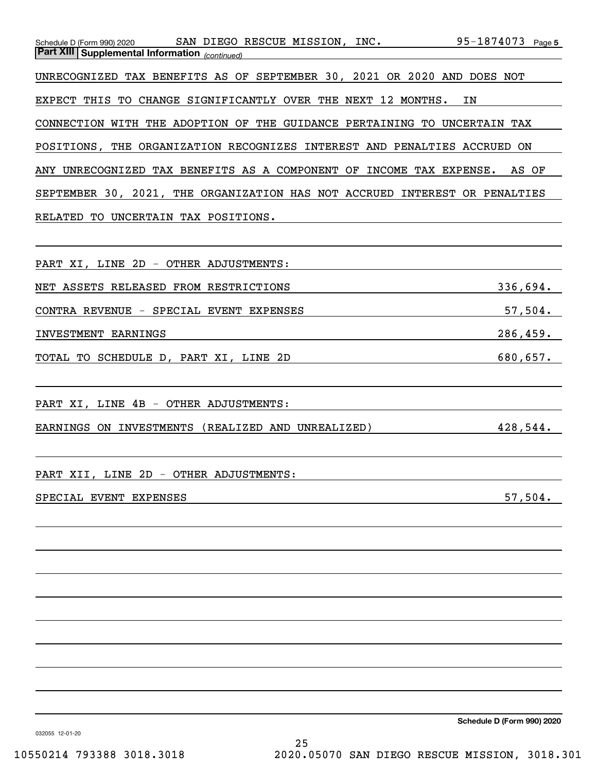|                                                       | Schedule D (Form 990) 2020 SAN DIEGO RESCUE MISSION, INC.                  | 95-1874073 Page 5 |
|-------------------------------------------------------|----------------------------------------------------------------------------|-------------------|
| <b>Part XIII Supplemental Information</b> (continued) |                                                                            |                   |
|                                                       |                                                                            |                   |
|                                                       | UNRECOGNIZED TAX BENEFITS AS OF SEPTEMBER 30, 2021 OR 2020 AND DOES NOT    |                   |
|                                                       |                                                                            |                   |
|                                                       | EXPECT THIS TO CHANGE SIGNIFICANTLY OVER THE NEXT 12 MONTHS.               | ΙN                |
|                                                       |                                                                            |                   |
|                                                       | CONNECTION WITH THE ADOPTION OF THE GUIDANCE PERTAINING TO UNCERTAIN TAX   |                   |
|                                                       |                                                                            |                   |
|                                                       | POSITIONS, THE ORGANIZATION RECOGNIZES INTEREST AND PENALTIES ACCRUED ON   |                   |
|                                                       |                                                                            |                   |
|                                                       | ANY UNRECOGNIZED TAX BENEFITS AS A COMPONENT OF INCOME TAX EXPENSE. AS OF  |                   |
|                                                       |                                                                            |                   |
|                                                       | SEPTEMBER 30, 2021, THE ORGANIZATION HAS NOT ACCRUED INTEREST OR PENALTIES |                   |
|                                                       |                                                                            |                   |
| RELATED TO                                            | UNCERTAIN TAX POSITIONS.                                                   |                   |
|                                                       |                                                                            |                   |
|                                                       |                                                                            |                   |
| PART XI, LINE 2D - OTHER ADJUSTMENTS:                 |                                                                            |                   |
|                                                       |                                                                            |                   |

|  |  | NET ASSETS RELEASED FROM RESTRICTIONS | 336,694. |  |
|--|--|---------------------------------------|----------|--|

CONTRA REVENUE - SPECIAL EVENT EXPENSES 57,504.

INVESTMENT EARNINGS 286,459.

TOTAL TO SCHEDULE D, PART XI, LINE 2D 680,657.

PART XI, LINE 4B - OTHER ADJUSTMENTS:

EARNINGS ON INVESTMENTS (REALIZED AND UNREALIZED) 428,544.

PART XII, LINE 2D - OTHER ADJUSTMENTS:

## SPECIAL EVENT EXPENSES 57,504.

**Schedule D (Form 990) 2020**

032055 12-01-20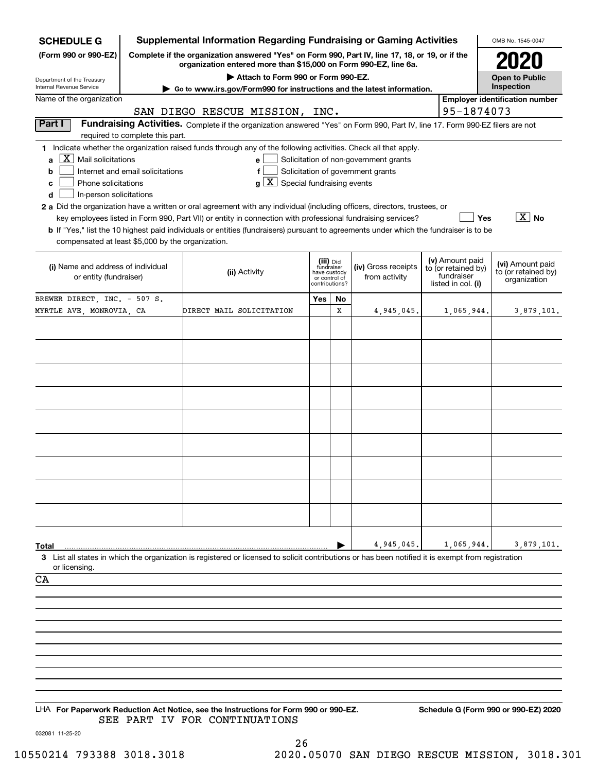| <b>SCHEDULE G</b>                                                                                       | <b>Supplemental Information Regarding Fundraising or Gaming Activities</b>                                                                                          |                                                                                                                                                                                                                                                                                                                                                                                                             |                                                                            |    |                                                                            |  |                                                                            | OMB No. 1545-0047                                       |
|---------------------------------------------------------------------------------------------------------|---------------------------------------------------------------------------------------------------------------------------------------------------------------------|-------------------------------------------------------------------------------------------------------------------------------------------------------------------------------------------------------------------------------------------------------------------------------------------------------------------------------------------------------------------------------------------------------------|----------------------------------------------------------------------------|----|----------------------------------------------------------------------------|--|----------------------------------------------------------------------------|---------------------------------------------------------|
| (Form 990 or 990-EZ)                                                                                    | Complete if the organization answered "Yes" on Form 990, Part IV, line 17, 18, or 19, or if the<br>organization entered more than \$15,000 on Form 990-EZ, line 6a. |                                                                                                                                                                                                                                                                                                                                                                                                             |                                                                            |    |                                                                            |  |                                                                            |                                                         |
| Department of the Treasury                                                                              | Attach to Form 990 or Form 990-EZ.                                                                                                                                  |                                                                                                                                                                                                                                                                                                                                                                                                             |                                                                            |    |                                                                            |  |                                                                            | <b>Open to Public</b>                                   |
| Internal Revenue Service<br>Name of the organization                                                    |                                                                                                                                                                     | Go to www.irs.gov/Form990 for instructions and the latest information.                                                                                                                                                                                                                                                                                                                                      |                                                                            |    |                                                                            |  |                                                                            | Inspection                                              |
|                                                                                                         |                                                                                                                                                                     | SAN DIEGO RESCUE MISSION, INC.                                                                                                                                                                                                                                                                                                                                                                              |                                                                            |    |                                                                            |  | 95-1874073                                                                 | <b>Employer identification number</b>                   |
| Part I                                                                                                  |                                                                                                                                                                     | Fundraising Activities. Complete if the organization answered "Yes" on Form 990, Part IV, line 17. Form 990-EZ filers are not                                                                                                                                                                                                                                                                               |                                                                            |    |                                                                            |  |                                                                            |                                                         |
|                                                                                                         | required to complete this part.                                                                                                                                     |                                                                                                                                                                                                                                                                                                                                                                                                             |                                                                            |    |                                                                            |  |                                                                            |                                                         |
| $ \mathbf{X} $ Mail solicitations<br>a<br>b<br>Phone solicitations<br>C<br>In-person solicitations<br>d | Internet and email solicitations                                                                                                                                    | 1 Indicate whether the organization raised funds through any of the following activities. Check all that apply.<br>e l<br>$g\mid X$ Special fundraising events<br>2 a Did the organization have a written or oral agreement with any individual (including officers, directors, trustees, or<br>key employees listed in Form 990, Part VII) or entity in connection with professional fundraising services? |                                                                            |    | Solicitation of non-government grants<br>Solicitation of government grants |  | Yes                                                                        | $\boxed{\text{X}}$ No                                   |
| compensated at least \$5,000 by the organization.                                                       |                                                                                                                                                                     | <b>b</b> If "Yes," list the 10 highest paid individuals or entities (fundraisers) pursuant to agreements under which the fundraiser is to be                                                                                                                                                                                                                                                                |                                                                            |    |                                                                            |  |                                                                            |                                                         |
| (i) Name and address of individual<br>or entity (fundraiser)                                            |                                                                                                                                                                     | (ii) Activity                                                                                                                                                                                                                                                                                                                                                                                               | (iii) Did<br>fundraiser<br>have custody<br>or control of<br>contributions? |    | (iv) Gross receipts<br>from activity                                       |  | (v) Amount paid<br>to (or retained by)<br>fundraiser<br>listed in col. (i) | (vi) Amount paid<br>to (or retained by)<br>organization |
| BREWER DIRECT, INC. - 507 S.                                                                            |                                                                                                                                                                     |                                                                                                                                                                                                                                                                                                                                                                                                             | Yes                                                                        | No |                                                                            |  |                                                                            |                                                         |
| MYRTLE AVE, MONROVIA, CA                                                                                |                                                                                                                                                                     | DIRECT MAIL SOLICITATION                                                                                                                                                                                                                                                                                                                                                                                    |                                                                            | X  | 4,945,045.                                                                 |  | 1,065,944.                                                                 | 3,879,101.                                              |
|                                                                                                         |                                                                                                                                                                     |                                                                                                                                                                                                                                                                                                                                                                                                             |                                                                            |    |                                                                            |  |                                                                            |                                                         |
|                                                                                                         |                                                                                                                                                                     |                                                                                                                                                                                                                                                                                                                                                                                                             |                                                                            |    |                                                                            |  |                                                                            |                                                         |
|                                                                                                         |                                                                                                                                                                     |                                                                                                                                                                                                                                                                                                                                                                                                             |                                                                            |    |                                                                            |  |                                                                            |                                                         |
|                                                                                                         |                                                                                                                                                                     |                                                                                                                                                                                                                                                                                                                                                                                                             |                                                                            |    |                                                                            |  |                                                                            |                                                         |
|                                                                                                         |                                                                                                                                                                     |                                                                                                                                                                                                                                                                                                                                                                                                             |                                                                            |    |                                                                            |  |                                                                            |                                                         |
|                                                                                                         |                                                                                                                                                                     |                                                                                                                                                                                                                                                                                                                                                                                                             |                                                                            |    |                                                                            |  |                                                                            |                                                         |
|                                                                                                         |                                                                                                                                                                     |                                                                                                                                                                                                                                                                                                                                                                                                             |                                                                            |    |                                                                            |  |                                                                            |                                                         |
|                                                                                                         |                                                                                                                                                                     |                                                                                                                                                                                                                                                                                                                                                                                                             |                                                                            |    |                                                                            |  |                                                                            |                                                         |
|                                                                                                         |                                                                                                                                                                     |                                                                                                                                                                                                                                                                                                                                                                                                             |                                                                            |    |                                                                            |  |                                                                            |                                                         |
| Total                                                                                                   |                                                                                                                                                                     |                                                                                                                                                                                                                                                                                                                                                                                                             |                                                                            |    | 4,945,045.                                                                 |  | 1,065,944.                                                                 | 3,879,101.                                              |
| or licensing.                                                                                           |                                                                                                                                                                     | 3 List all states in which the organization is registered or licensed to solicit contributions or has been notified it is exempt from registration                                                                                                                                                                                                                                                          |                                                                            |    |                                                                            |  |                                                                            |                                                         |
| CA                                                                                                      |                                                                                                                                                                     |                                                                                                                                                                                                                                                                                                                                                                                                             |                                                                            |    |                                                                            |  |                                                                            |                                                         |
|                                                                                                         |                                                                                                                                                                     |                                                                                                                                                                                                                                                                                                                                                                                                             |                                                                            |    |                                                                            |  |                                                                            |                                                         |
|                                                                                                         |                                                                                                                                                                     |                                                                                                                                                                                                                                                                                                                                                                                                             |                                                                            |    |                                                                            |  |                                                                            |                                                         |
|                                                                                                         |                                                                                                                                                                     |                                                                                                                                                                                                                                                                                                                                                                                                             |                                                                            |    |                                                                            |  |                                                                            |                                                         |
|                                                                                                         |                                                                                                                                                                     |                                                                                                                                                                                                                                                                                                                                                                                                             |                                                                            |    |                                                                            |  |                                                                            |                                                         |
|                                                                                                         |                                                                                                                                                                     |                                                                                                                                                                                                                                                                                                                                                                                                             |                                                                            |    |                                                                            |  |                                                                            |                                                         |
|                                                                                                         |                                                                                                                                                                     |                                                                                                                                                                                                                                                                                                                                                                                                             |                                                                            |    |                                                                            |  |                                                                            |                                                         |
|                                                                                                         |                                                                                                                                                                     |                                                                                                                                                                                                                                                                                                                                                                                                             |                                                                            |    |                                                                            |  |                                                                            |                                                         |
|                                                                                                         |                                                                                                                                                                     |                                                                                                                                                                                                                                                                                                                                                                                                             |                                                                            |    |                                                                            |  |                                                                            |                                                         |
| 032081 11-25-20                                                                                         |                                                                                                                                                                     | LHA For Paperwork Reduction Act Notice, see the Instructions for Form 990 or 990-EZ.<br>SEE PART IV FOR CONTINUATIONS                                                                                                                                                                                                                                                                                       |                                                                            |    |                                                                            |  |                                                                            | Schedule G (Form 990 or 990-EZ) 2020                    |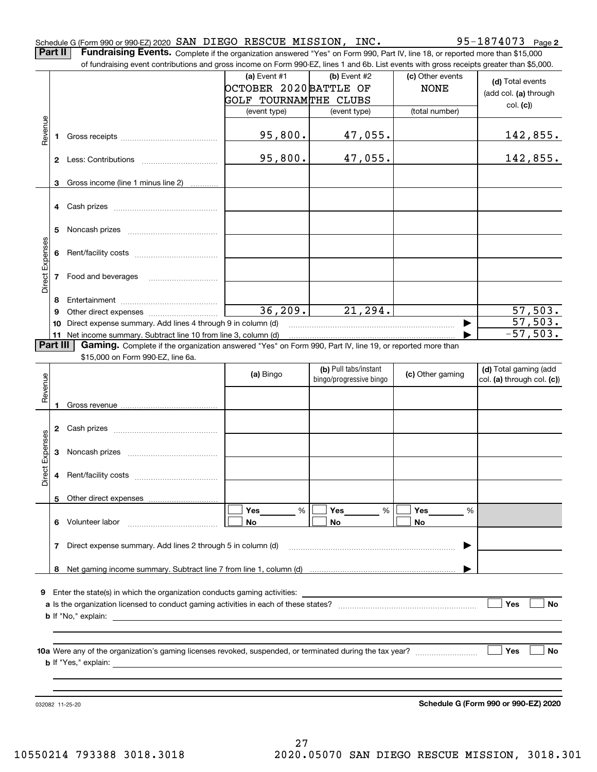|                 |              |                                                                                                                                                                                                                                     | OCTOBER 2020 BATTLE OF |                                                  | <b>NONE</b>      | (d) Total events<br>(add col. (a) through           |
|-----------------|--------------|-------------------------------------------------------------------------------------------------------------------------------------------------------------------------------------------------------------------------------------|------------------------|--------------------------------------------------|------------------|-----------------------------------------------------|
|                 |              |                                                                                                                                                                                                                                     | GOLF TOURNAMTHE CLUBS  |                                                  |                  | col. (c)                                            |
|                 |              |                                                                                                                                                                                                                                     | (event type)           | (event type)                                     | (total number)   |                                                     |
| Revenue         | 1            |                                                                                                                                                                                                                                     | 95,800.                | 47,055.                                          |                  | 142,855.                                            |
|                 |              |                                                                                                                                                                                                                                     | 95,800.                | 47,055.                                          |                  | 142,855.                                            |
|                 | 3            | Gross income (line 1 minus line 2)                                                                                                                                                                                                  |                        |                                                  |                  |                                                     |
|                 | 4            |                                                                                                                                                                                                                                     |                        |                                                  |                  |                                                     |
|                 | 5            |                                                                                                                                                                                                                                     |                        |                                                  |                  |                                                     |
|                 | 6            |                                                                                                                                                                                                                                     |                        |                                                  |                  |                                                     |
| Direct Expenses | 7            | Food and beverages                                                                                                                                                                                                                  |                        |                                                  |                  |                                                     |
|                 | 8            |                                                                                                                                                                                                                                     |                        |                                                  |                  |                                                     |
|                 | 9            |                                                                                                                                                                                                                                     | 36, 209.               | 21, 294.                                         |                  | 57,503.                                             |
|                 | 10           | Direct expense summary. Add lines 4 through 9 in column (d)                                                                                                                                                                         |                        |                                                  | ▶                | 57,503.                                             |
|                 | 11           | Net income summary. Subtract line 10 from line 3, column (d)                                                                                                                                                                        |                        |                                                  |                  | $-57,503.$                                          |
| Part III        |              | Gaming. Complete if the organization answered "Yes" on Form 990, Part IV, line 19, or reported more than                                                                                                                            |                        |                                                  |                  |                                                     |
|                 |              | \$15,000 on Form 990-EZ, line 6a.                                                                                                                                                                                                   |                        |                                                  |                  |                                                     |
| Revenue         |              |                                                                                                                                                                                                                                     | (a) Bingo              | (b) Pull tabs/instant<br>bingo/progressive bingo | (c) Other gaming | (d) Total gaming (add<br>col. (a) through col. (c)) |
|                 |              |                                                                                                                                                                                                                                     |                        |                                                  |                  |                                                     |
|                 |              |                                                                                                                                                                                                                                     |                        |                                                  |                  |                                                     |
|                 |              |                                                                                                                                                                                                                                     |                        |                                                  |                  |                                                     |
|                 | $\mathbf{2}$ |                                                                                                                                                                                                                                     |                        |                                                  |                  |                                                     |
|                 |              |                                                                                                                                                                                                                                     |                        |                                                  |                  |                                                     |
|                 | 3            |                                                                                                                                                                                                                                     |                        |                                                  |                  |                                                     |
|                 |              |                                                                                                                                                                                                                                     |                        |                                                  |                  |                                                     |
| Direct Expenses | 4            |                                                                                                                                                                                                                                     |                        |                                                  |                  |                                                     |
|                 | 5            |                                                                                                                                                                                                                                     |                        |                                                  |                  |                                                     |
|                 |              |                                                                                                                                                                                                                                     | Yes<br>%               | %<br>Yes                                         | %<br>Yes         |                                                     |
|                 | 6            | Volunteer labor                                                                                                                                                                                                                     | No                     | No                                               | No               |                                                     |
|                 |              |                                                                                                                                                                                                                                     |                        |                                                  |                  |                                                     |
|                 | 7            | Direct expense summary. Add lines 2 through 5 in column (d)                                                                                                                                                                         |                        |                                                  |                  |                                                     |
|                 | 8            |                                                                                                                                                                                                                                     |                        |                                                  |                  |                                                     |
|                 |              |                                                                                                                                                                                                                                     |                        |                                                  |                  |                                                     |
| 9               |              | Enter the state(s) in which the organization conducts gaming activities:                                                                                                                                                            |                        |                                                  |                  |                                                     |
|                 |              |                                                                                                                                                                                                                                     |                        |                                                  |                  | Yes<br>No                                           |
|                 |              |                                                                                                                                                                                                                                     |                        |                                                  |                  |                                                     |
|                 |              |                                                                                                                                                                                                                                     |                        |                                                  |                  |                                                     |
|                 |              |                                                                                                                                                                                                                                     |                        |                                                  |                  |                                                     |
|                 |              |                                                                                                                                                                                                                                     |                        |                                                  |                  | Yes<br>No                                           |
|                 |              | <b>b</b> If "Yes," explain: The same of the same of the same of the same of the same of the same of the same of the same of the same of the same of the same of the same of the same of the same of the same of the same of the sam |                        |                                                  |                  |                                                     |
|                 |              |                                                                                                                                                                                                                                     |                        |                                                  |                  |                                                     |
|                 |              |                                                                                                                                                                                                                                     |                        |                                                  |                  |                                                     |
|                 |              |                                                                                                                                                                                                                                     |                        |                                                  |                  |                                                     |
|                 |              | 032082 11-25-20                                                                                                                                                                                                                     |                        |                                                  |                  | Schedule G (Form 990 or 990-EZ) 2020                |
|                 |              |                                                                                                                                                                                                                                     |                        |                                                  |                  |                                                     |

**(a)** Event  $#1$  **(b)** Event  $#2$ 

of fundraising event contributions and gross income on Form 990-EZ, lines 1 and 6b. List events with gross receipts greater than \$5,000.

Schedule G (Form 990 or 990-EZ) 2020 Page SAN DIEGO RESCUE MISSION, INC. 95-1874073 **Part II** | Fundraising Events. Complete if the organization answered "Yes" on Form 990, Part IV, line 18, or reported more than \$15,000

95-1874073 Page 2

(c) Other events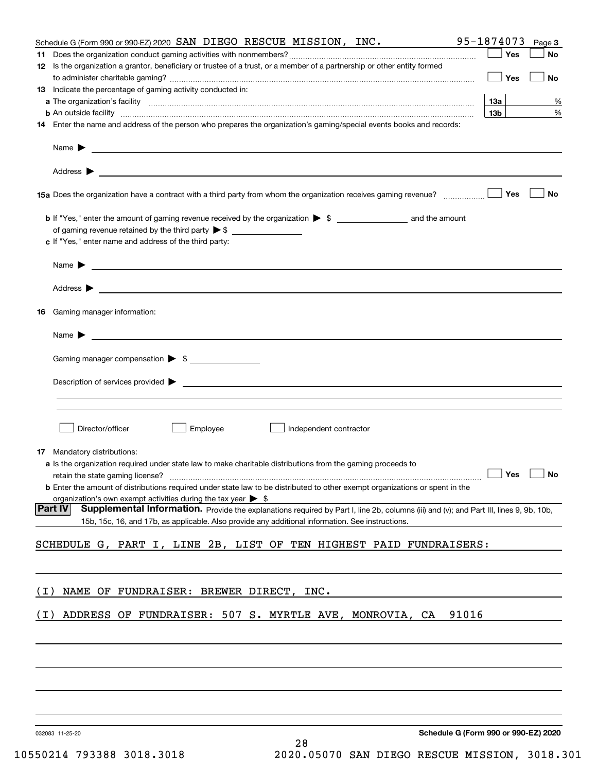| Schedule G (Form 990 or 990-EZ) 2020 SAN DIEGO RESCUE MISSION, INC.                                                                                                                                                                      | 95-1874073<br>Page 3                 |
|------------------------------------------------------------------------------------------------------------------------------------------------------------------------------------------------------------------------------------------|--------------------------------------|
| 12 Is the organization a grantor, beneficiary or trustee of a trust, or a member of a partnership or other entity formed                                                                                                                 | Yes<br>No                            |
| 13 Indicate the percentage of gaming activity conducted in:                                                                                                                                                                              | Yes<br><b>No</b>                     |
|                                                                                                                                                                                                                                          | <u>13a</u><br>%                      |
| <b>b</b> An outside facility <i>www.communicality www.communicality.communicality www.communicality www.communicality.com</i>                                                                                                            | 13 <sub>b</sub><br>%                 |
| 14 Enter the name and address of the person who prepares the organization's gaming/special events books and records:                                                                                                                     |                                      |
| Name $\triangleright$ $\square$                                                                                                                                                                                                          |                                      |
|                                                                                                                                                                                                                                          |                                      |
|                                                                                                                                                                                                                                          | No                                   |
|                                                                                                                                                                                                                                          |                                      |
| c If "Yes," enter name and address of the third party:                                                                                                                                                                                   |                                      |
|                                                                                                                                                                                                                                          |                                      |
| Name $\blacktriangleright$ $\bot$                                                                                                                                                                                                        |                                      |
|                                                                                                                                                                                                                                          |                                      |
| Gaming manager information:<br>16                                                                                                                                                                                                        |                                      |
| Name $\blacktriangleright$ $\lrcorner$                                                                                                                                                                                                   |                                      |
| Gaming manager compensation > \$                                                                                                                                                                                                         |                                      |
|                                                                                                                                                                                                                                          |                                      |
|                                                                                                                                                                                                                                          |                                      |
|                                                                                                                                                                                                                                          |                                      |
| Employee<br>Director/officer<br>Independent contractor                                                                                                                                                                                   |                                      |
| 17 Mandatory distributions:                                                                                                                                                                                                              |                                      |
| a Is the organization required under state law to make charitable distributions from the gaming proceeds to<br>retain the state gaming license? $\Box$ No                                                                                |                                      |
| <b>b</b> Enter the amount of distributions required under state law to be distributed to other exempt organizations or spent in the                                                                                                      |                                      |
| organization's own exempt activities during the tax year $\triangleright$ \$<br><b>Part IV</b><br>Supplemental Information. Provide the explanations required by Part I, line 2b, columns (iii) and (v); and Part III, lines 9, 9b, 10b, |                                      |
| 15b, 15c, 16, and 17b, as applicable. Also provide any additional information. See instructions.                                                                                                                                         |                                      |
| SCHEDULE G, PART I, LINE 2B, LIST OF TEN HIGHEST PAID FUNDRAISERS:                                                                                                                                                                       |                                      |
|                                                                                                                                                                                                                                          |                                      |
| NAME OF FUNDRAISER: BREWER DIRECT, INC.<br>( I )                                                                                                                                                                                         |                                      |
| ADDRESS OF FUNDRAISER: 507 S. MYRTLE AVE, MONROVIA, CA<br>( I )                                                                                                                                                                          | 91016                                |
|                                                                                                                                                                                                                                          |                                      |
|                                                                                                                                                                                                                                          |                                      |
|                                                                                                                                                                                                                                          |                                      |
|                                                                                                                                                                                                                                          |                                      |
|                                                                                                                                                                                                                                          |                                      |
| 032083 11-25-20                                                                                                                                                                                                                          | Schedule G (Form 990 or 990-EZ) 2020 |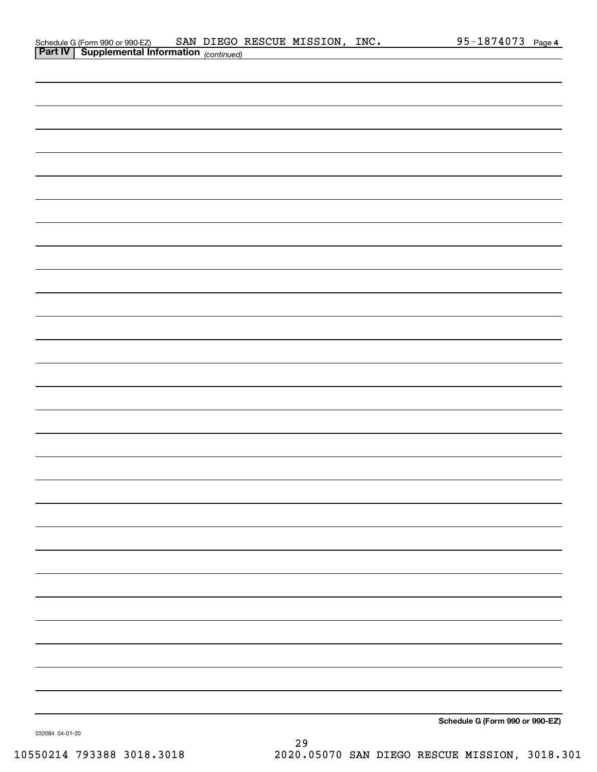| Schedule G (Form 990 or 990-EZ)                   |  | SAN DIEGO RESCUE MISSION, | INC. | 95-1874073 | Page 4 |
|---------------------------------------------------|--|---------------------------|------|------------|--------|
| <b>Part IV Supplemental Information</b> Continued |  |                           |      |            |        |

| <b>Part IV   Supplemental Information</b> (continued) |
|-------------------------------------------------------|
|                                                       |
|                                                       |
|                                                       |
|                                                       |
|                                                       |
|                                                       |
|                                                       |
|                                                       |
|                                                       |
|                                                       |
|                                                       |
|                                                       |
|                                                       |
|                                                       |
|                                                       |
|                                                       |
|                                                       |
|                                                       |
|                                                       |
|                                                       |
|                                                       |
|                                                       |
|                                                       |
|                                                       |
|                                                       |
|                                                       |
|                                                       |
|                                                       |
| Schedule G (Form 990 or 990-EZ)                       |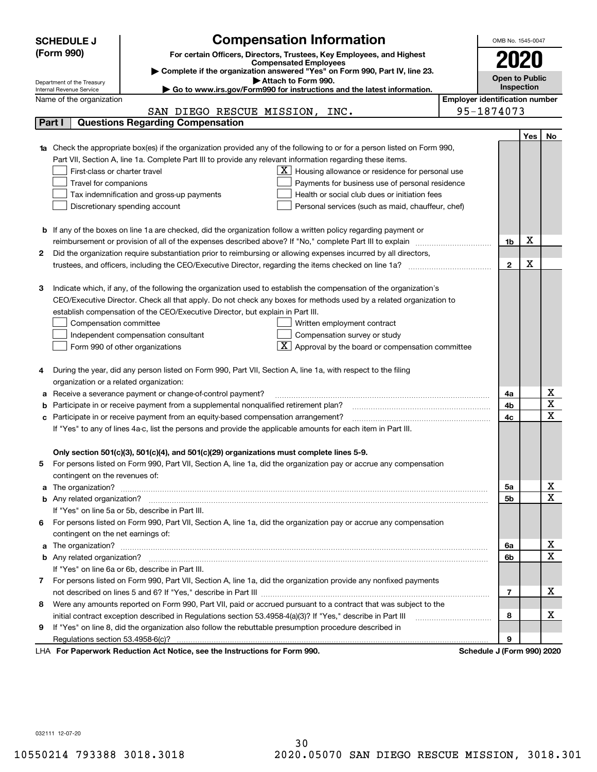|    | <b>SCHEDULE J</b>                                      | <b>Compensation Information</b>                                                                                                                                                                                                     |                                       | OMB No. 1545-0047         |     |                                     |
|----|--------------------------------------------------------|-------------------------------------------------------------------------------------------------------------------------------------------------------------------------------------------------------------------------------------|---------------------------------------|---------------------------|-----|-------------------------------------|
|    | (Form 990)                                             | For certain Officers, Directors, Trustees, Key Employees, and Highest                                                                                                                                                               |                                       |                           |     |                                     |
|    |                                                        | <b>Compensated Employees</b>                                                                                                                                                                                                        |                                       |                           |     |                                     |
|    |                                                        | Complete if the organization answered "Yes" on Form 990, Part IV, line 23.<br>Attach to Form 990.                                                                                                                                   |                                       | <b>Open to Public</b>     |     |                                     |
|    | Department of the Treasury<br>Internal Revenue Service | Go to www.irs.gov/Form990 for instructions and the latest information.                                                                                                                                                              |                                       | Inspection                |     |                                     |
|    | Name of the organization                               |                                                                                                                                                                                                                                     | <b>Employer identification number</b> |                           |     |                                     |
|    |                                                        | SAN DIEGO RESCUE MISSION, INC.                                                                                                                                                                                                      |                                       | 95-1874073                |     |                                     |
|    | Part I                                                 | <b>Questions Regarding Compensation</b>                                                                                                                                                                                             |                                       |                           |     |                                     |
|    |                                                        |                                                                                                                                                                                                                                     |                                       |                           | Yes | No                                  |
|    |                                                        | <b>1a</b> Check the appropriate box(es) if the organization provided any of the following to or for a person listed on Form 990,                                                                                                    |                                       |                           |     |                                     |
|    |                                                        | Part VII, Section A, line 1a. Complete Part III to provide any relevant information regarding these items.                                                                                                                          |                                       |                           |     |                                     |
|    | First-class or charter travel                          | $\underline{\textbf{X}}$ Housing allowance or residence for personal use                                                                                                                                                            |                                       |                           |     |                                     |
|    | Travel for companions                                  | Payments for business use of personal residence                                                                                                                                                                                     |                                       |                           |     |                                     |
|    |                                                        | Tax indemnification and gross-up payments<br>Health or social club dues or initiation fees                                                                                                                                          |                                       |                           |     |                                     |
|    |                                                        | Discretionary spending account<br>Personal services (such as maid, chauffeur, chef)                                                                                                                                                 |                                       |                           |     |                                     |
|    |                                                        |                                                                                                                                                                                                                                     |                                       |                           |     |                                     |
|    |                                                        | <b>b</b> If any of the boxes on line 1a are checked, did the organization follow a written policy regarding payment or<br>reimbursement or provision of all of the expenses described above? If "No," complete Part III to explain  |                                       | 1b                        | х   |                                     |
| 2  |                                                        | Did the organization require substantiation prior to reimbursing or allowing expenses incurred by all directors,                                                                                                                    |                                       |                           |     |                                     |
|    |                                                        |                                                                                                                                                                                                                                     |                                       | $\mathbf{2}$              | X   |                                     |
|    |                                                        |                                                                                                                                                                                                                                     |                                       |                           |     |                                     |
| З  |                                                        | Indicate which, if any, of the following the organization used to establish the compensation of the organization's                                                                                                                  |                                       |                           |     |                                     |
|    |                                                        | CEO/Executive Director. Check all that apply. Do not check any boxes for methods used by a related organization to                                                                                                                  |                                       |                           |     |                                     |
|    |                                                        | establish compensation of the CEO/Executive Director, but explain in Part III.                                                                                                                                                      |                                       |                           |     |                                     |
|    | Compensation committee                                 | Written employment contract                                                                                                                                                                                                         |                                       |                           |     |                                     |
|    |                                                        | Compensation survey or study<br>Independent compensation consultant                                                                                                                                                                 |                                       |                           |     |                                     |
|    |                                                        | Approval by the board or compensation committee<br>Form 990 of other organizations                                                                                                                                                  |                                       |                           |     |                                     |
|    |                                                        |                                                                                                                                                                                                                                     |                                       |                           |     |                                     |
|    |                                                        | During the year, did any person listed on Form 990, Part VII, Section A, line 1a, with respect to the filing                                                                                                                        |                                       |                           |     |                                     |
|    | organization or a related organization:                |                                                                                                                                                                                                                                     |                                       |                           |     |                                     |
|    |                                                        | Receive a severance payment or change-of-control payment?                                                                                                                                                                           |                                       | 4a                        |     | x                                   |
|    |                                                        | Participate in or receive payment from a supplemental nonqualified retirement plan?                                                                                                                                                 |                                       | 4b                        |     | $\overline{\mathtt{x}}$             |
| с  |                                                        | Participate in or receive payment from an equity-based compensation arrangement?                                                                                                                                                    |                                       | 4c                        |     | $\overline{\mathbf{x}}$             |
|    |                                                        | If "Yes" to any of lines 4a-c, list the persons and provide the applicable amounts for each item in Part III.                                                                                                                       |                                       |                           |     |                                     |
|    |                                                        |                                                                                                                                                                                                                                     |                                       |                           |     |                                     |
|    |                                                        | Only section 501(c)(3), 501(c)(4), and 501(c)(29) organizations must complete lines 5-9.                                                                                                                                            |                                       |                           |     |                                     |
| 5. |                                                        | For persons listed on Form 990, Part VII, Section A, line 1a, did the organization pay or accrue any compensation                                                                                                                   |                                       |                           |     |                                     |
|    | contingent on the revenues of:                         |                                                                                                                                                                                                                                     |                                       |                           |     |                                     |
|    |                                                        | a The organization? <b>Entitation</b> 2008 Communication of the contract of the contract of the contract of the contract of the contract of the contract of the contract of the contract of the contract of the contract of the con |                                       | 5а                        |     | <u>x</u><br>$\overline{\mathbf{x}}$ |
|    |                                                        |                                                                                                                                                                                                                                     |                                       | 5b                        |     |                                     |
|    |                                                        | If "Yes" on line 5a or 5b, describe in Part III.                                                                                                                                                                                    |                                       |                           |     |                                     |
| 6. |                                                        | For persons listed on Form 990, Part VII, Section A, line 1a, did the organization pay or accrue any compensation                                                                                                                   |                                       |                           |     |                                     |
|    | contingent on the net earnings of:                     |                                                                                                                                                                                                                                     |                                       |                           |     | <u>x</u>                            |
|    |                                                        |                                                                                                                                                                                                                                     |                                       | 6a<br>6b                  |     | $\overline{\textbf{x}}$             |
|    |                                                        | If "Yes" on line 6a or 6b, describe in Part III.                                                                                                                                                                                    |                                       |                           |     |                                     |
|    |                                                        | 7 For persons listed on Form 990, Part VII, Section A, line 1a, did the organization provide any nonfixed payments                                                                                                                  |                                       |                           |     |                                     |
|    |                                                        |                                                                                                                                                                                                                                     |                                       | $\overline{7}$            |     | х                                   |
| 8  |                                                        | Were any amounts reported on Form 990, Part VII, paid or accrued pursuant to a contract that was subject to the                                                                                                                     |                                       |                           |     |                                     |
|    |                                                        | initial contract exception described in Regulations section 53.4958-4(a)(3)? If "Yes," describe in Part III                                                                                                                         |                                       | 8                         |     | х                                   |
| 9  |                                                        | If "Yes" on line 8, did the organization also follow the rebuttable presumption procedure described in                                                                                                                              |                                       |                           |     |                                     |
|    |                                                        |                                                                                                                                                                                                                                     |                                       | 9                         |     |                                     |
|    |                                                        | exuark Reduction Act Notice, see the Instructions for Form 000                                                                                                                                                                      |                                       | Schodule L/Earm 000) 2020 |     |                                     |

LHA For Paperwork Reduction Act Notice, see the Instructions for Form 990. Schedule J (Form 990) 2020

032111 12-07-20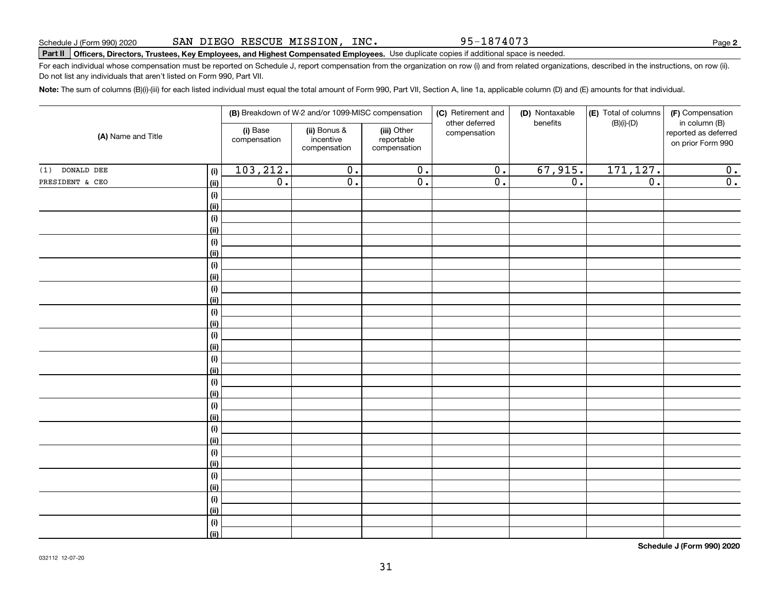95-1874073

**2**

# **Part II Officers, Directors, Trustees, Key Employees, and Highest Compensated Employees.**  Schedule J (Form 990) 2020 Page Use duplicate copies if additional space is needed.

For each individual whose compensation must be reported on Schedule J, report compensation from the organization on row (i) and from related organizations, described in the instructions, on row (ii). Do not list any individuals that aren't listed on Form 990, Part VII.

**Note:**  The sum of columns (B)(i)-(iii) for each listed individual must equal the total amount of Form 990, Part VII, Section A, line 1a, applicable column (D) and (E) amounts for that individual.

|                    |             |                          | (B) Breakdown of W-2 and/or 1099-MISC compensation |                                           | (C) Retirement and             | (D) Nontaxable<br>benefits | (E) Total of columns | (F) Compensation                                           |
|--------------------|-------------|--------------------------|----------------------------------------------------|-------------------------------------------|--------------------------------|----------------------------|----------------------|------------------------------------------------------------|
| (A) Name and Title |             | (i) Base<br>compensation | (ii) Bonus &<br>incentive<br>compensation          | (iii) Other<br>reportable<br>compensation | other deferred<br>compensation |                            | $(B)(i)$ - $(D)$     | in column (B)<br>reported as deferred<br>on prior Form 990 |
| DONALD DEE<br>(1)  | (i)         | 103, 212.                | $\overline{0}$ .                                   | $\overline{\mathbf{0}}$ .                 | $\overline{0}$ .               | 67,915.                    | 171, 127.            | 0.                                                         |
| PRESIDENT & CEO    | (ii)        | $\overline{0}$ .         | $\overline{0}$ .                                   | $\overline{0}$ .                          | $\overline{0}$ .               | $\overline{0}$ .           | $\overline{0}$ .     | $\overline{0}$ .                                           |
|                    | (i)         |                          |                                                    |                                           |                                |                            |                      |                                                            |
|                    | (ii)        |                          |                                                    |                                           |                                |                            |                      |                                                            |
|                    | (i)         |                          |                                                    |                                           |                                |                            |                      |                                                            |
|                    | (ii)        |                          |                                                    |                                           |                                |                            |                      |                                                            |
|                    | (i)         |                          |                                                    |                                           |                                |                            |                      |                                                            |
|                    | (ii)        |                          |                                                    |                                           |                                |                            |                      |                                                            |
|                    | (i)         |                          |                                                    |                                           |                                |                            |                      |                                                            |
|                    | (ii)        |                          |                                                    |                                           |                                |                            |                      |                                                            |
|                    | (i)         |                          |                                                    |                                           |                                |                            |                      |                                                            |
|                    | (ii)        |                          |                                                    |                                           |                                |                            |                      |                                                            |
|                    | (i)         |                          |                                                    |                                           |                                |                            |                      |                                                            |
|                    | (ii)        |                          |                                                    |                                           |                                |                            |                      |                                                            |
|                    | (i)         |                          |                                                    |                                           |                                |                            |                      |                                                            |
|                    | (ii)        |                          |                                                    |                                           |                                |                            |                      |                                                            |
|                    | (i)         |                          |                                                    |                                           |                                |                            |                      |                                                            |
|                    | (ii)        |                          |                                                    |                                           |                                |                            |                      |                                                            |
|                    | (i)<br>(ii) |                          |                                                    |                                           |                                |                            |                      |                                                            |
|                    | (i)         |                          |                                                    |                                           |                                |                            |                      |                                                            |
|                    | (ii)        |                          |                                                    |                                           |                                |                            |                      |                                                            |
|                    | (i)         |                          |                                                    |                                           |                                |                            |                      |                                                            |
|                    | (ii)        |                          |                                                    |                                           |                                |                            |                      |                                                            |
|                    | (i)         |                          |                                                    |                                           |                                |                            |                      |                                                            |
|                    | (ii)        |                          |                                                    |                                           |                                |                            |                      |                                                            |
|                    | (i)         |                          |                                                    |                                           |                                |                            |                      |                                                            |
|                    | (ii)        |                          |                                                    |                                           |                                |                            |                      |                                                            |
|                    | (i)         |                          |                                                    |                                           |                                |                            |                      |                                                            |
|                    | (ii)        |                          |                                                    |                                           |                                |                            |                      |                                                            |
|                    | $(\sf{i})$  |                          |                                                    |                                           |                                |                            |                      |                                                            |
|                    | (ii)        |                          |                                                    |                                           |                                |                            |                      |                                                            |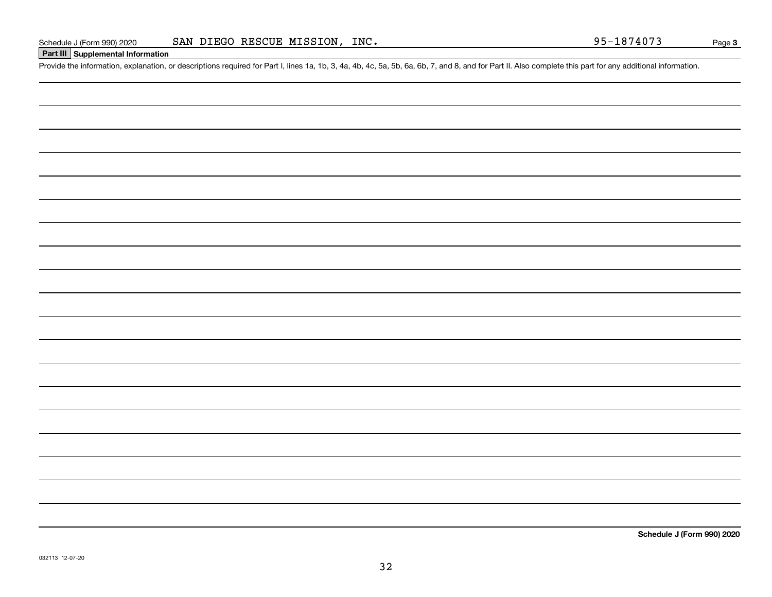## **Part III Supplemental Information**

Schedule J (Form 990) 2020 SAN DIEGO RESCUE MISSION, INC. 95-1874073<br>Part III Supplemental Information<br>Provide the information, explanation, or descriptions required for Part I, lines 1a, 1b, 3, 4a, 4b, 4c, 5a, 5b, 6a, 6b,

**Schedule J (Form 990) 2020**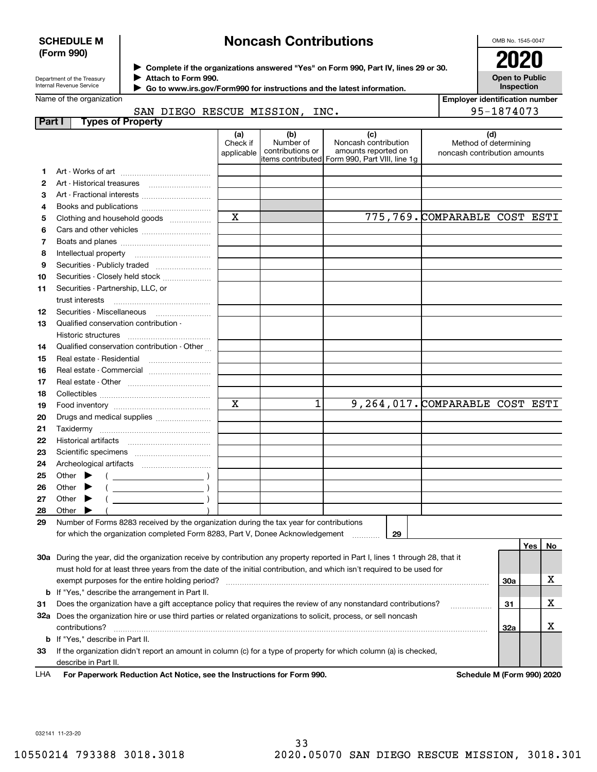### **SCHEDULE M (Form 990)**

# **Noncash Contributions**

OMB No. 1545-0047

**Open to Public Inspection**

| Department of the Treasury |
|----------------------------|
| Internal Revenue Service   |

**12**

**Complete if the organizations answered "Yes" on Form 990, Part IV, lines 29 or 30.** <sup>J</sup>**2020**

**Attach to Form 990.** J

 **Go to www.irs.gov/Form990 for instructions and the latest information.** J

Name of the organization

**Part I Types of Property**

|  | SAN DIEGO RESCUE MISSION, INC. |  |
|--|--------------------------------|--|
|  |                                |  |

| of the organization                                                          |                               |                                      |                                                                                                        | <b>Employer identification number</b>                        |  |  |
|------------------------------------------------------------------------------|-------------------------------|--------------------------------------|--------------------------------------------------------------------------------------------------------|--------------------------------------------------------------|--|--|
| SAN DIEGO RESCUE MISSION, INC.                                               |                               |                                      |                                                                                                        | 95-1874073                                                   |  |  |
| <b>Types of Property</b>                                                     |                               |                                      |                                                                                                        |                                                              |  |  |
|                                                                              | (a)<br>Check if<br>applicable | (b)<br>Number of<br>contributions or | (c)<br>Noncash contribution<br>amounts reported on<br>litems contributed  Form 990, Part VIII, line 1g | (d)<br>Method of determining<br>noncash contribution amounts |  |  |
|                                                                              |                               |                                      |                                                                                                        |                                                              |  |  |
| Art - Historical treasures                                                   |                               |                                      |                                                                                                        |                                                              |  |  |
| Art - Fractional interests                                                   |                               |                                      |                                                                                                        |                                                              |  |  |
| Books and publications                                                       |                               |                                      |                                                                                                        |                                                              |  |  |
| Clothing and household goods                                                 | X                             |                                      | 775,769. COMPARABLE COST ESTI                                                                          |                                                              |  |  |
|                                                                              |                               |                                      |                                                                                                        |                                                              |  |  |
|                                                                              |                               |                                      |                                                                                                        |                                                              |  |  |
|                                                                              |                               |                                      |                                                                                                        |                                                              |  |  |
| Securities - Publicly traded                                                 |                               |                                      |                                                                                                        |                                                              |  |  |
| Securities - Closely held stock                                              |                               |                                      |                                                                                                        |                                                              |  |  |
| Securities - Partnership, LLC, or                                            |                               |                                      |                                                                                                        |                                                              |  |  |
|                                                                              |                               |                                      |                                                                                                        |                                                              |  |  |
| Securities - Miscellaneous                                                   |                               |                                      |                                                                                                        |                                                              |  |  |
| $\bigcap$ and if in all and a constant in a constant in a state of $\bigcap$ |                               |                                      |                                                                                                        |                                                              |  |  |

| 13 | Qualified conservation contribution -                                                   |   |  |    |                                 |                  |
|----|-----------------------------------------------------------------------------------------|---|--|----|---------------------------------|------------------|
|    | Historic structures                                                                     |   |  |    |                                 |                  |
| 14 | Qualified conservation contribution - Other                                             |   |  |    |                                 |                  |
| 15 | Real estate - Residential                                                               |   |  |    |                                 |                  |
| 16 | Real estate - Commercial                                                                |   |  |    |                                 |                  |
| 17 |                                                                                         |   |  |    |                                 |                  |
| 18 |                                                                                         |   |  |    |                                 |                  |
| 19 |                                                                                         | X |  |    | 9,264,017. COMPARABLE COST ESTI |                  |
| 20 | Drugs and medical supplies                                                              |   |  |    |                                 |                  |
| 21 |                                                                                         |   |  |    |                                 |                  |
| 22 |                                                                                         |   |  |    |                                 |                  |
| 23 |                                                                                         |   |  |    |                                 |                  |
| 24 |                                                                                         |   |  |    |                                 |                  |
| 25 | Other $\blacktriangleright$<br>$\overline{a}$                                           |   |  |    |                                 |                  |
| 26 | Other $\blacktriangleright$                                                             |   |  |    |                                 |                  |
| 27 | Other $\blacktriangleright$                                                             |   |  |    |                                 |                  |
| 28 | Other $\blacktriangleright$                                                             |   |  |    |                                 |                  |
| 29 | Number of Forms 8283 received by the organization during the tax year for contributions |   |  |    |                                 |                  |
|    | for which the organization completed Form 8283, Part V, Donee Acknowledgement           |   |  | 29 |                                 |                  |
|    |                                                                                         |   |  |    |                                 | Yes<br><b>No</b> |

| 30a<br>exempt purposes for the entire holding period?<br><b>b</b> If "Yes," describe the arrangement in Part II.                              |  |
|-----------------------------------------------------------------------------------------------------------------------------------------------|--|
|                                                                                                                                               |  |
|                                                                                                                                               |  |
| Does the organization have a gift acceptance policy that requires the review of any nonstandard contributions?<br>31<br>31                    |  |
| Does the organization hire or use third parties or related organizations to solicit, process, or sell noncash<br>32a<br>32a<br>contributions? |  |
| <b>b</b> If "Yes," describe in Part II.                                                                                                       |  |
| If the organization didn't report an amount in column (c) for a type of property for which column (a) is checked,<br>33                       |  |
| describe in Part II.                                                                                                                          |  |

**For Paperwork Reduction Act Notice, see the Instructions for Form 990. Schedule M (Form 990) 2020** LHA

032141 11-23-20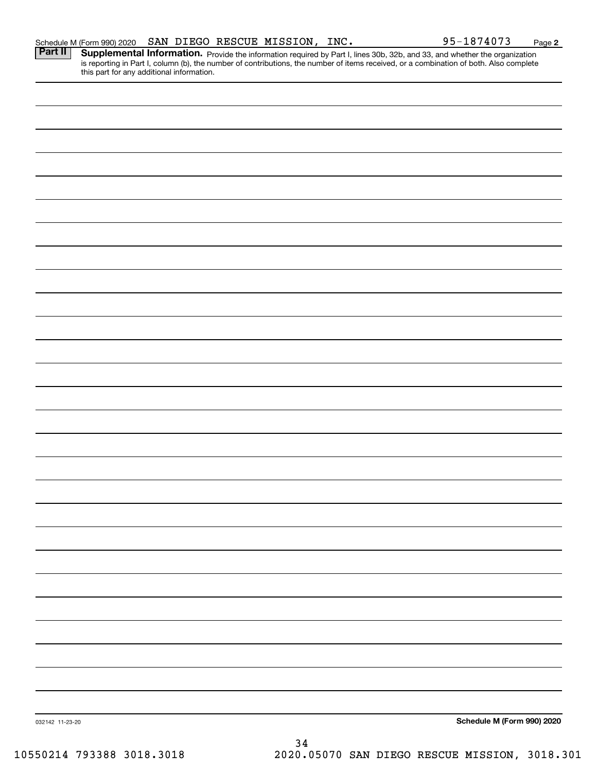|                 | Schedule M (Form 990) 2020 | SAN DIEGO RESCUE MISSION, INC.            |    |  | 95-1874073                                                                                                                                                                                                                          | Page 2 |
|-----------------|----------------------------|-------------------------------------------|----|--|-------------------------------------------------------------------------------------------------------------------------------------------------------------------------------------------------------------------------------------|--------|
| <b>Part II</b>  |                            | this part for any additional information. |    |  | <b>Supplemental Information.</b> Provide the information required by Part I, lines 30b, 32b, and 33, and whether the organization is reporting in Part I, column (b), the number of contributions, the number of items received, or |        |
|                 |                            |                                           |    |  |                                                                                                                                                                                                                                     |        |
|                 |                            |                                           |    |  |                                                                                                                                                                                                                                     |        |
|                 |                            |                                           |    |  |                                                                                                                                                                                                                                     |        |
|                 |                            |                                           |    |  |                                                                                                                                                                                                                                     |        |
|                 |                            |                                           |    |  |                                                                                                                                                                                                                                     |        |
|                 |                            |                                           |    |  |                                                                                                                                                                                                                                     |        |
|                 |                            |                                           |    |  |                                                                                                                                                                                                                                     |        |
|                 |                            |                                           |    |  |                                                                                                                                                                                                                                     |        |
|                 |                            |                                           |    |  |                                                                                                                                                                                                                                     |        |
|                 |                            |                                           |    |  |                                                                                                                                                                                                                                     |        |
|                 |                            |                                           |    |  |                                                                                                                                                                                                                                     |        |
|                 |                            |                                           |    |  |                                                                                                                                                                                                                                     |        |
|                 |                            |                                           |    |  |                                                                                                                                                                                                                                     |        |
|                 |                            |                                           |    |  |                                                                                                                                                                                                                                     |        |
|                 |                            |                                           |    |  |                                                                                                                                                                                                                                     |        |
|                 |                            |                                           |    |  |                                                                                                                                                                                                                                     |        |
|                 |                            |                                           |    |  |                                                                                                                                                                                                                                     |        |
|                 |                            |                                           |    |  |                                                                                                                                                                                                                                     |        |
|                 |                            |                                           |    |  |                                                                                                                                                                                                                                     |        |
|                 |                            |                                           |    |  |                                                                                                                                                                                                                                     |        |
|                 |                            |                                           |    |  |                                                                                                                                                                                                                                     |        |
|                 |                            |                                           |    |  |                                                                                                                                                                                                                                     |        |
|                 |                            |                                           |    |  |                                                                                                                                                                                                                                     |        |
|                 |                            |                                           |    |  |                                                                                                                                                                                                                                     |        |
|                 |                            |                                           |    |  |                                                                                                                                                                                                                                     |        |
|                 |                            |                                           |    |  | Schedule M (Form 990) 2020                                                                                                                                                                                                          |        |
| 032142 11-23-20 |                            |                                           | 34 |  |                                                                                                                                                                                                                                     |        |
|                 |                            |                                           |    |  |                                                                                                                                                                                                                                     |        |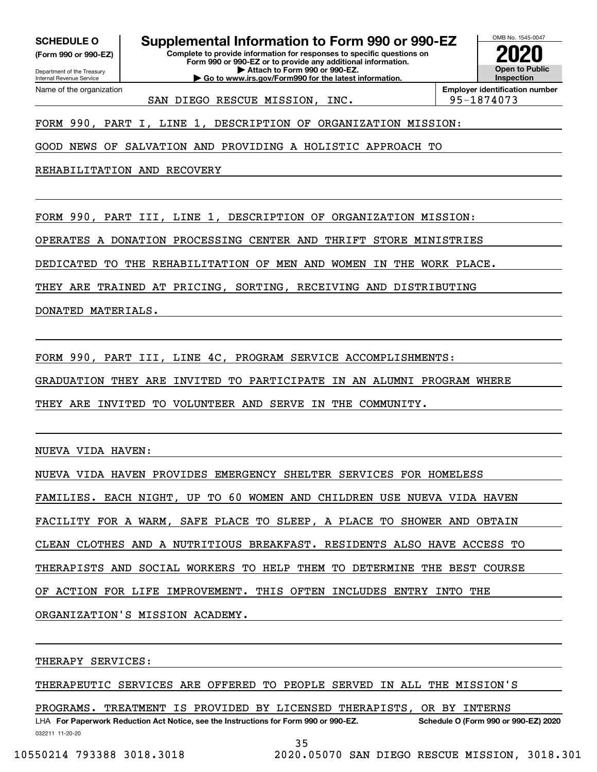**SCHEDULE O Supplemental Information to Form 990 or 990-EZ**

Internal Revenue Service

**(Form 990 or 990-EZ)**

Department of the Treasury **Complete to provide information for responses to specific questions on Form 990 or 990-EZ or to provide any additional information.**

**| Attach to Form 990 or 990-EZ. | Go to www.irs.gov/Form990 for the latest information.** Name of the organization

**Open to Public InspectionEmployer identification number 2020**

OMB No. 1545-0047

SAN DIEGO RESCUE MISSION, INC. | 95-1874073

FORM 990, PART I, LINE 1, DESCRIPTION OF ORGANIZATION MISSION:

GOOD NEWS OF SALVATION AND PROVIDING A HOLISTIC APPROACH TO

REHABILITATION AND RECOVERY

FORM 990, PART III, LINE 1, DESCRIPTION OF ORGANIZATION MISSION:

OPERATES A DONATION PROCESSING CENTER AND THRIFT STORE MINISTRIES

DEDICATED TO THE REHABILITATION OF MEN AND WOMEN IN THE WORK PLACE.

THEY ARE TRAINED AT PRICING, SORTING, RECEIVING AND DISTRIBUTING

DONATED MATERIALS.

FORM 990, PART III, LINE 4C, PROGRAM SERVICE ACCOMPLISHMENTS:

GRADUATION THEY ARE INVITED TO PARTICIPATE IN AN ALUMNI PROGRAM WHERE

THEY ARE INVITED TO VOLUNTEER AND SERVE IN THE COMMUNITY.

NUEVA VIDA HAVEN:

NUEVA VIDA HAVEN PROVIDES EMERGENCY SHELTER SERVICES FOR HOMELESS FAMILIES. EACH NIGHT, UP TO 60 WOMEN AND CHILDREN USE NUEVA VIDA HAVEN FACILITY FOR A WARM, SAFE PLACE TO SLEEP, A PLACE TO SHOWER AND OBTAIN CLEAN CLOTHES AND A NUTRITIOUS BREAKFAST. RESIDENTS ALSO HAVE ACCESS TO THERAPISTS AND SOCIAL WORKERS TO HELP THEM TO DETERMINE THE BEST COURSE OF ACTION FOR LIFE IMPROVEMENT. THIS OFTEN INCLUDES ENTRY INTO THE ORGANIZATION'S MISSION ACADEMY.

THERAPY SERVICES:

THERAPEUTIC SERVICES ARE OFFERED TO PEOPLE SERVED IN ALL THE MISSION'S

LHA For Paperwork Reduction Act Notice, see the Instructions for Form 990 or 990-EZ. Schedule O (Form 990 or 990-EZ) 2020 PROGRAMS. TREATMENT IS PROVIDED BY LICENSED THERAPISTS, OR BY INTERNS

032211 11-20-20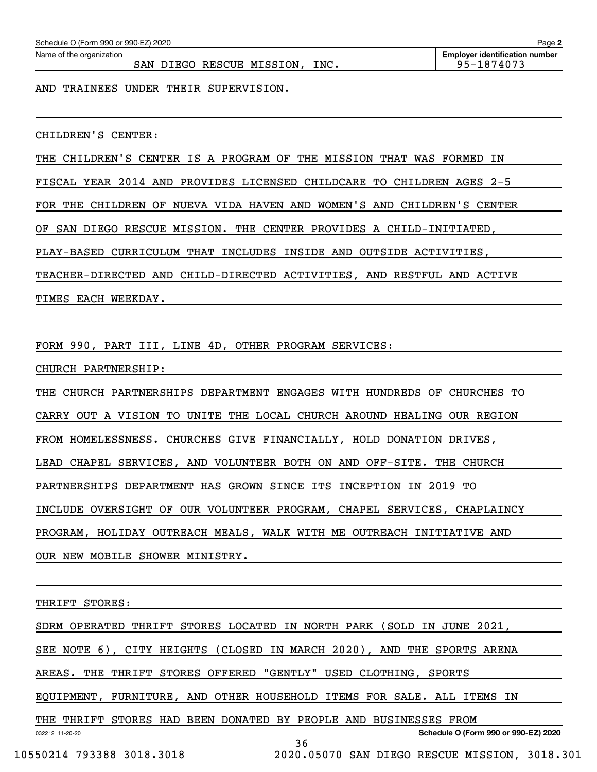|     | Schedule O (Form 990 or 990-EZ) 2020 |  | Page 2 |                           |      |                                       |
|-----|--------------------------------------|--|--------|---------------------------|------|---------------------------------------|
|     | Name of the organization             |  |        |                           |      | <b>Employer identification number</b> |
|     |                                      |  |        | SAN DIEGO RESCUE MISSION, | INC. | 95-1874073                            |
| AND | TRAINEES UNDER THEIR SUPERVISION.    |  |        |                           |      |                                       |

CHILDREN'S CENTER:

THE CHILDREN'S CENTER IS A PROGRAM OF THE MISSION THAT WAS FORMED IN FISCAL YEAR 2014 AND PROVIDES LICENSED CHILDCARE TO CHILDREN AGES 2-5 FOR THE CHILDREN OF NUEVA VIDA HAVEN AND WOMEN'S AND CHILDREN'S CENTER OF SAN DIEGO RESCUE MISSION. THE CENTER PROVIDES A CHILD-INITIATED, PLAY-BASED CURRICULUM THAT INCLUDES INSIDE AND OUTSIDE ACTIVITIES, TEACHER-DIRECTED AND CHILD-DIRECTED ACTIVITIES, AND RESTFUL AND ACTIVE TIMES EACH WEEKDAY.

FORM 990, PART III, LINE 4D, OTHER PROGRAM SERVICES:

CHURCH PARTNERSHIP:

THE CHURCH PARTNERSHIPS DEPARTMENT ENGAGES WITH HUNDREDS OF CHURCHES TO CARRY OUT A VISION TO UNITE THE LOCAL CHURCH AROUND HEALING OUR REGION FROM HOMELESSNESS. CHURCHES GIVE FINANCIALLY, HOLD DONATION DRIVES, LEAD CHAPEL SERVICES, AND VOLUNTEER BOTH ON AND OFF-SITE. THE CHURCH PARTNERSHIPS DEPARTMENT HAS GROWN SINCE ITS INCEPTION IN 2019 TO INCLUDE OVERSIGHT OF OUR VOLUNTEER PROGRAM, CHAPEL SERVICES, CHAPLAINCY PROGRAM, HOLIDAY OUTREACH MEALS, WALK WITH ME OUTREACH INITIATIVE AND OUR NEW MOBILE SHOWER MINISTRY.

THRIFT STORES:

SDRM OPERATED THRIFT STORES LOCATED IN NORTH PARK (SOLD IN JUNE 2021,

SEE NOTE 6), CITY HEIGHTS (CLOSED IN MARCH 2020), AND THE SPORTS ARENA

AREAS. THE THRIFT STORES OFFERED "GENTLY" USED CLOTHING, SPORTS

EQUIPMENT, FURNITURE, AND OTHER HOUSEHOLD ITEMS FOR SALE. ALL ITEMS IN

36

THE THRIFT STORES HAD BEEN DONATED BY PEOPLE AND BUSINESSES FROM

032212 11-20-20

**Schedule O (Form 990 or 990-EZ) 2020**

10550214 793388 3018.3018 2020.05070 SAN DIEGO RESCUE MISSION, 3018.301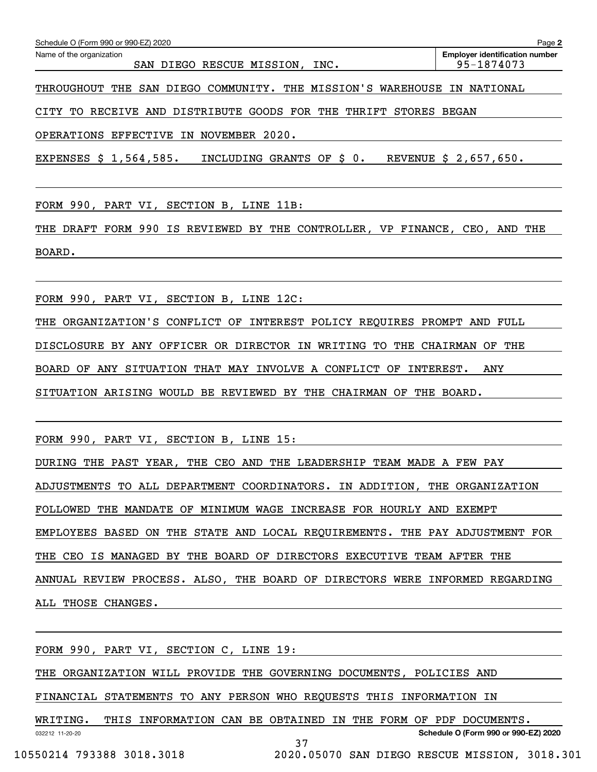| Schedule O (Form 990 or 990-EZ) 2020                                    |  |  |                           |  |  |      |  |  | Page 2                                |  |
|-------------------------------------------------------------------------|--|--|---------------------------|--|--|------|--|--|---------------------------------------|--|
| Name of the organization                                                |  |  |                           |  |  |      |  |  | <b>Employer identification number</b> |  |
|                                                                         |  |  | SAN DIEGO RESCUE MISSION, |  |  | INC. |  |  | 95-1874073                            |  |
| THROUGHOUT THE SAN DIEGO COMMUNITY. THE MISSION'S WAREHOUSE IN NATIONAL |  |  |                           |  |  |      |  |  |                                       |  |

CITY TO RECEIVE AND DISTRIBUTE GOODS FOR THE THRIFT STORES BEGAN

OPERATIONS EFFECTIVE IN NOVEMBER 2020.

EXPENSES \$ 1,564,585. INCLUDING GRANTS OF \$ 0. REVENUE \$ 2,657,650.

FORM 990, PART VI, SECTION B, LINE 11B:

THE DRAFT FORM 990 IS REVIEWED BY THE CONTROLLER, VP FINANCE, CEO, AND THE BOARD.

FORM 990, PART VI, SECTION B, LINE 12C:

THE ORGANIZATION'S CONFLICT OF INTEREST POLICY REQUIRES PROMPT AND FULL

DISCLOSURE BY ANY OFFICER OR DIRECTOR IN WRITING TO THE CHAIRMAN OF THE

BOARD OF ANY SITUATION THAT MAY INVOLVE A CONFLICT OF INTEREST. ANY

SITUATION ARISING WOULD BE REVIEWED BY THE CHAIRMAN OF THE BOARD.

FORM 990, PART VI, SECTION B, LINE 15:

DURING THE PAST YEAR, THE CEO AND THE LEADERSHIP TEAM MADE A FEW PAY

ADJUSTMENTS TO ALL DEPARTMENT COORDINATORS. IN ADDITION, THE ORGANIZATION

FOLLOWED THE MANDATE OF MINIMUM WAGE INCREASE FOR HOURLY AND EXEMPT

EMPLOYEES BASED ON THE STATE AND LOCAL REQUIREMENTS. THE PAY ADJUSTMENT FOR

THE CEO IS MANAGED BY THE BOARD OF DIRECTORS EXECUTIVE TEAM AFTER THE

ANNUAL REVIEW PROCESS. ALSO, THE BOARD OF DIRECTORS WERE INFORMED REGARDING ALL THOSE CHANGES.

032212 11-20-20 **Schedule O (Form 990 or 990-EZ) 2020** FORM 990, PART VI, SECTION C, LINE 19: THE ORGANIZATION WILL PROVIDE THE GOVERNING DOCUMENTS, POLICIES AND FINANCIAL STATEMENTS TO ANY PERSON WHO REQUESTS THIS INFORMATION IN WRITING. THIS INFORMATION CAN BE OBTAINED IN THE FORM OF PDF DOCUMENTS. 37

10550214 793388 3018.3018 2020.05070 SAN DIEGO RESCUE MISSION, 3018.301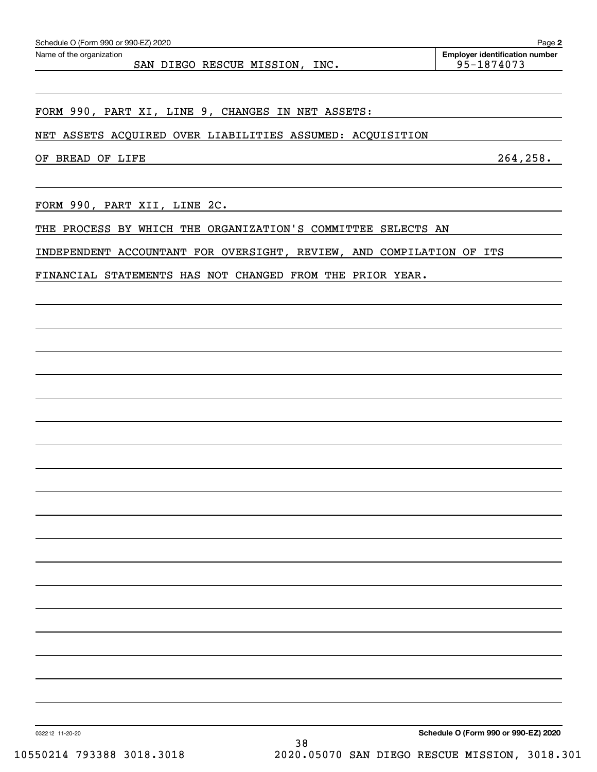| OF BREAD OF LIFE                                                           | 264, 258.                            |
|----------------------------------------------------------------------------|--------------------------------------|
| FORM 990, PART XII, LINE 2C.                                               |                                      |
| THE PROCESS BY WHICH THE ORGANIZATION'S COMMITTEE SELECTS AN               |                                      |
| INDEPENDENT ACCOUNTANT FOR OVERSIGHT, REVIEW, AND COMPILATION OF ITS       |                                      |
| FINANCIAL STATEMENTS HAS NOT CHANGED FROM THE PRIOR YEAR.                  |                                      |
|                                                                            |                                      |
|                                                                            |                                      |
|                                                                            |                                      |
|                                                                            |                                      |
|                                                                            |                                      |
|                                                                            |                                      |
|                                                                            |                                      |
|                                                                            |                                      |
|                                                                            |                                      |
|                                                                            |                                      |
|                                                                            |                                      |
|                                                                            |                                      |
|                                                                            |                                      |
|                                                                            |                                      |
|                                                                            |                                      |
|                                                                            |                                      |
|                                                                            |                                      |
|                                                                            |                                      |
|                                                                            |                                      |
|                                                                            |                                      |
| 032212 11-20-20<br>38                                                      | Schedule O (Form 990 or 990-EZ) 2020 |
| 10550214 793388 3018.3018<br>2020.05070 SAN DIEGO RESCUE MISSION, 3018.301 |                                      |
|                                                                            |                                      |

NET ASSETS ACQUIRED OVER LIABILITIES ASSUMED: ACQUISITION

FORM 990, PART XI, LINE 9, CHANGES IN NET ASSETS:

Echedule O (Form 990 or 990-EZ) 2020<br>Name of the organization **number** Name of the organization **number** 

**2** SAN DIEGO RESCUE MISSION, INC. 195-1874073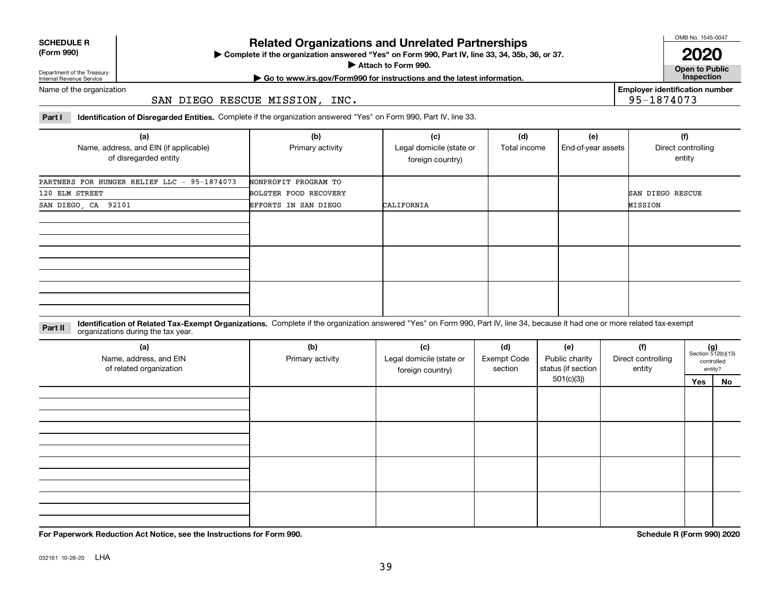| <b>SCHEDULE R</b>                          |  |
|--------------------------------------------|--|
| $\mathbf{r}$ , $\mathbf{r}$ , $\mathbf{r}$ |  |

### **(Form 990)**

# **Related Organizations and Unrelated Partnerships**

**Complete if the organization answered "Yes" on Form 990, Part IV, line 33, 34, 35b, 36, or 37.** |

**Attach to Form 990.**  |

OMB No. 1545-0047

**Open to Public 2020**

**Employer identification number**

95-1874073

Department of the Treasury Internal Revenue Service

**| Go to www.irs.gov/Form990 for instructions and the latest information. Inspection**

Name of the organization

SAN DIEGO RESCUE MISSION, INC.

**Part I Identification of Disregarded Entities.**  Complete if the organization answered "Yes" on Form 990, Part IV, line 33.

| (a)<br>Name, address, and EIN (if applicable)<br>of disregarded entity | (b)<br>Primary activity | (c)<br>Legal domicile (state or<br>foreign country) | (d)<br>Total income | (e)<br>End-of-year assets | (f)<br>Direct controlling<br>entity |
|------------------------------------------------------------------------|-------------------------|-----------------------------------------------------|---------------------|---------------------------|-------------------------------------|
| PARTNERS FOR HUNGER RELIEF LLC - 95-1874073                            | NONPROFIT PROGRAM TO    |                                                     |                     |                           |                                     |
| 120 ELM STREET                                                         | BOLSTER FOOD RECOVERY   |                                                     |                     |                           | <b>SAN DIEGO RESCUE</b>             |
| SAN DIEGO, CA 92101                                                    | EFFORTS IN SAN DIEGO    | CALIFORNIA                                          |                     |                           | MISSION                             |
|                                                                        |                         |                                                     |                     |                           |                                     |
|                                                                        |                         |                                                     |                     |                           |                                     |
|                                                                        |                         |                                                     |                     |                           |                                     |

**Identification of Related Tax-Exempt Organizations.** Complete if the organization answered "Yes" on Form 990, Part IV, line 34, because it had one or more related tax-exempt **Part II** organizations during the tax year.

| (a)<br>Name, address, and EIN<br>of related organization | (b)<br>Primary activity | (c)<br>Legal domicile (state or<br>foreign country) | (d)<br><b>Exempt Code</b><br>section | (e)<br>Public charity<br>status (if section | (f)<br>Direct controlling<br>entity | $(g)$<br>Section 512(b)(13) | controlled<br>entity? |
|----------------------------------------------------------|-------------------------|-----------------------------------------------------|--------------------------------------|---------------------------------------------|-------------------------------------|-----------------------------|-----------------------|
|                                                          |                         |                                                     |                                      | 501(c)(3)                                   |                                     | Yes                         | No                    |
|                                                          |                         |                                                     |                                      |                                             |                                     |                             |                       |
|                                                          |                         |                                                     |                                      |                                             |                                     |                             |                       |
|                                                          |                         |                                                     |                                      |                                             |                                     |                             |                       |

**For Paperwork Reduction Act Notice, see the Instructions for Form 990. Schedule R (Form 990) 2020**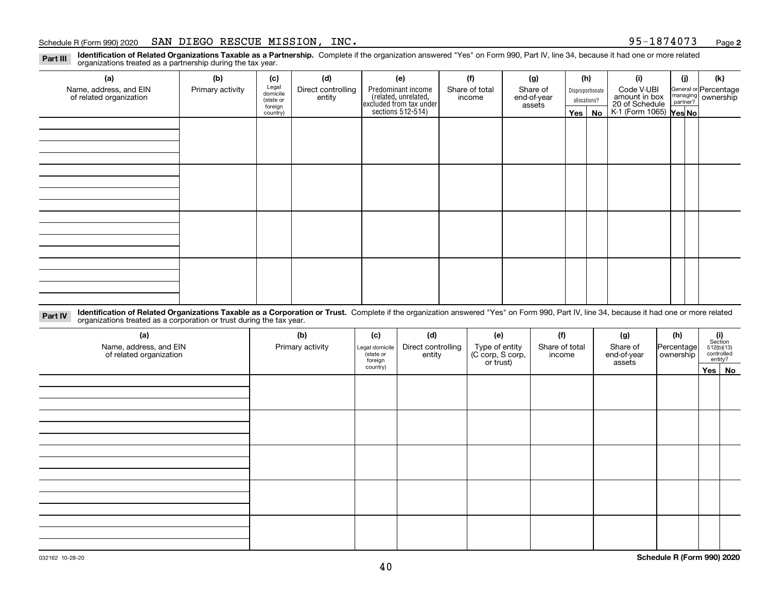### Schedule R (Form 990) 2020 Page SAN DIEGO RESCUE MISSION, INC. 95-1874073

**2**

**Identification of Related Organizations Taxable as a Partnership.** Complete if the organization answered "Yes" on Form 990, Part IV, line 34, because it had one or more related **Part III** organizations treated as a partnership during the tax year.

| (a)                                               | (b)              | (c)                  | (d)                          | (e)                                                                 | (f)                      | (g)                     |              | (h)              | (i)                                      | (j) | (k)                                                     |
|---------------------------------------------------|------------------|----------------------|------------------------------|---------------------------------------------------------------------|--------------------------|-------------------------|--------------|------------------|------------------------------------------|-----|---------------------------------------------------------|
| Name, address, and EIN<br>of related organization | Primary activity | Legal<br>domicile    | Direct controlling<br>entity | Predominant income                                                  | Share of total<br>income | Share of<br>end-of-year |              | Disproportionate | Code V-UBI<br>amount in box              |     | General or Percentage<br>managing ownership<br>partner? |
|                                                   |                  | (state or<br>foreign |                              | related, unrelated,<br>excluded from tax under<br>sections 512-514) |                          | assets                  | allocations? |                  | 20 of Schedule<br>K-1 (Form 1065) Yes No |     |                                                         |
|                                                   |                  | country)             |                              |                                                                     |                          |                         | Yes $ $      | No               |                                          |     |                                                         |
|                                                   |                  |                      |                              |                                                                     |                          |                         |              |                  |                                          |     |                                                         |
|                                                   |                  |                      |                              |                                                                     |                          |                         |              |                  |                                          |     |                                                         |
|                                                   |                  |                      |                              |                                                                     |                          |                         |              |                  |                                          |     |                                                         |
|                                                   |                  |                      |                              |                                                                     |                          |                         |              |                  |                                          |     |                                                         |
|                                                   |                  |                      |                              |                                                                     |                          |                         |              |                  |                                          |     |                                                         |
|                                                   |                  |                      |                              |                                                                     |                          |                         |              |                  |                                          |     |                                                         |
|                                                   |                  |                      |                              |                                                                     |                          |                         |              |                  |                                          |     |                                                         |
|                                                   |                  |                      |                              |                                                                     |                          |                         |              |                  |                                          |     |                                                         |
|                                                   |                  |                      |                              |                                                                     |                          |                         |              |                  |                                          |     |                                                         |
|                                                   |                  |                      |                              |                                                                     |                          |                         |              |                  |                                          |     |                                                         |
|                                                   |                  |                      |                              |                                                                     |                          |                         |              |                  |                                          |     |                                                         |
|                                                   |                  |                      |                              |                                                                     |                          |                         |              |                  |                                          |     |                                                         |
|                                                   |                  |                      |                              |                                                                     |                          |                         |              |                  |                                          |     |                                                         |
|                                                   |                  |                      |                              |                                                                     |                          |                         |              |                  |                                          |     |                                                         |
|                                                   |                  |                      |                              |                                                                     |                          |                         |              |                  |                                          |     |                                                         |
|                                                   |                  |                      |                              |                                                                     |                          |                         |              |                  |                                          |     |                                                         |
|                                                   |                  |                      |                              |                                                                     |                          |                         |              |                  |                                          |     |                                                         |

**Identification of Related Organizations Taxable as a Corporation or Trust.** Complete if the organization answered "Yes" on Form 990, Part IV, line 34, because it had one or more related **Part IV** organizations treated as a corporation or trust during the tax year.

| (a)<br>Name, address, and EIN<br>of related organization | (b)<br>Primary activity | (c)<br>Legal domicile<br>(state or<br>foreign | (d)<br>Direct controlling<br>entity | (e)<br>Type of entity<br>(C corp, S corp,<br>or trust) | (f)<br>Share of total<br>income | (g)<br>Share of<br>end-of-year<br>assets | (h)<br>Percentage<br>ownership | $\begin{array}{c} \textbf{(i)}\\ \text{Section}\\ 512 \text{(b)} \text{(13)}\\ \text{controlled}\end{array}$<br>entity? |
|----------------------------------------------------------|-------------------------|-----------------------------------------------|-------------------------------------|--------------------------------------------------------|---------------------------------|------------------------------------------|--------------------------------|-------------------------------------------------------------------------------------------------------------------------|
|                                                          |                         | country)                                      |                                     |                                                        |                                 |                                          |                                | Yes No                                                                                                                  |
|                                                          |                         |                                               |                                     |                                                        |                                 |                                          |                                |                                                                                                                         |
|                                                          |                         |                                               |                                     |                                                        |                                 |                                          |                                |                                                                                                                         |
|                                                          |                         |                                               |                                     |                                                        |                                 |                                          |                                |                                                                                                                         |
|                                                          |                         |                                               |                                     |                                                        |                                 |                                          |                                |                                                                                                                         |
|                                                          |                         |                                               |                                     |                                                        |                                 |                                          |                                |                                                                                                                         |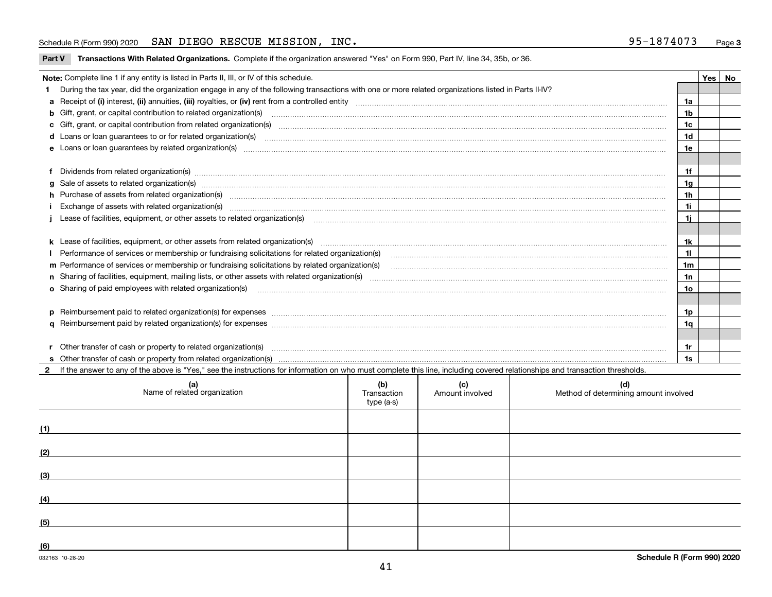### Schedule R (Form 990) 2020 Page SAN DIEGO RESCUE MISSION, INC. 95-1874073

|  |  | Part V Transactions With Related Organizations. Complete if the organization answered "Yes" on Form 990, Part IV, line 34, 35b, or 36. |  |  |  |
|--|--|----------------------------------------------------------------------------------------------------------------------------------------|--|--|--|
|--|--|----------------------------------------------------------------------------------------------------------------------------------------|--|--|--|

| Note: Complete line 1 if any entity is listed in Parts II, III, or IV of this schedule.                                                                                                                                        |                | Yes   No |
|--------------------------------------------------------------------------------------------------------------------------------------------------------------------------------------------------------------------------------|----------------|----------|
| During the tax year, did the organization engage in any of the following transactions with one or more related organizations listed in Parts II-IV?                                                                            |                |          |
|                                                                                                                                                                                                                                | 1a             |          |
| b Gift, grant, or capital contribution to related organization(s) manufactured and contribution to related organization(s)                                                                                                     | 1 <sub>b</sub> |          |
| c Gift, grant, or capital contribution from related organization(s) material content and contribution from related organization(s) material content and content and contribution from related organization(s) material content | 1c             |          |
|                                                                                                                                                                                                                                | 1 <sub>d</sub> |          |
|                                                                                                                                                                                                                                | 1e             |          |
|                                                                                                                                                                                                                                |                |          |
| Dividends from related organization(s) manufactured and contract and contract and contract and contract and contract and contract and contract and contract and contract and contract and contract and contract and contract a | 1f             |          |
|                                                                                                                                                                                                                                | 1g             |          |
| h Purchase of assets from related organization(s) manufactured and content to the content of the content of the content of the content of the content of the content of the content of the content of the content of the conte | 1 <sub>h</sub> |          |
| Exchange of assets with related organization(s) www.wallen.com/www.wallen.com/www.wallen.com/www.wallen.com/www.wallen.com/www.wallen.com/www.wallen.com/www.wallen.com/www.wallen.com/www.wallen.com/www.wallen.com/www.walle | 1i             |          |
| Lease of facilities, equipment, or other assets to related organization(s) contained and contained and contained and contained and contained and contained and contained and contained and contained and contained and contain | 1i.            |          |
|                                                                                                                                                                                                                                |                |          |
|                                                                                                                                                                                                                                | 1k             |          |
| Performance of services or membership or fundraising solicitations for related organization(s) [10] process content to the services or membership or fundraising solicitations for related organization(s) [10] process conten | 11             |          |
| m Performance of services or membership or fundraising solicitations by related organization(s)                                                                                                                                | 1m             |          |
|                                                                                                                                                                                                                                | 1n             |          |
| <b>o</b> Sharing of paid employees with related organization(s)                                                                                                                                                                | <b>10</b>      |          |
|                                                                                                                                                                                                                                |                |          |
| p Reimbursement paid to related organization(s) for expenses [111] All and the content of the content of the content of the content of the content of the content of the content of the content of the content of the content  | 1 <sub>p</sub> |          |
|                                                                                                                                                                                                                                | 1q             |          |
|                                                                                                                                                                                                                                |                |          |
| Other transfer of cash or property to related organization(s)                                                                                                                                                                  | 1r             |          |
|                                                                                                                                                                                                                                | 1s             |          |
| If the answer to any of the above is "Yes," see the instructions for information on who must complete this line, including covered relationships and transaction thresholds.                                                   |                |          |

| (a)<br>Name of related organization | (b)<br>Transaction<br>type (a-s) | (c)<br>Amount involved | (d)<br>Method of determining amount involved |
|-------------------------------------|----------------------------------|------------------------|----------------------------------------------|
| (1)                                 |                                  |                        |                                              |
| (2)                                 |                                  |                        |                                              |
| (3)                                 |                                  |                        |                                              |
| (4)                                 |                                  |                        |                                              |
| (5)                                 |                                  |                        |                                              |
| (6)                                 |                                  |                        |                                              |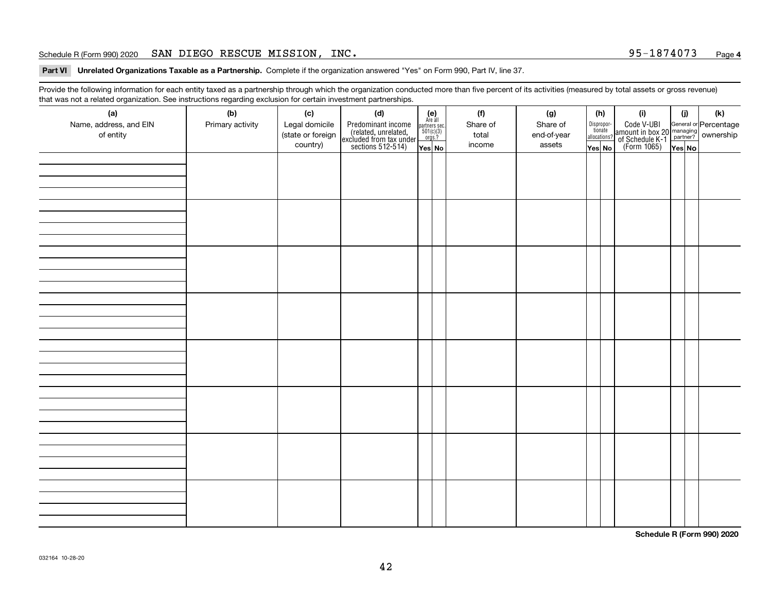### Schedule R (Form 990) 2020 Page SAN DIEGO RESCUE MISSION, INC. 95-1874073

**Part VI Unrelated Organizations Taxable as a Partnership. Complete if the organization answered "Yes" on Form 990, Part IV, line 37.** 

Provide the following information for each entity taxed as a partnership through which the organization conducted more than five percent of its activities (measured by total assets or gross revenue) that was not a related organization. See instructions regarding exclusion for certain investment partnerships.

| (a)<br>Name, address, and EIN<br>of entity | ັ<br>(b)<br>Primary activity | (c)<br>Legal domicile<br>(state or foreign<br>country) | (d)<br>Predominant income<br>(related, unrelated,<br>excluded from tax under<br>sections 512-514) | $(e)$<br>Are all<br>partners sec.<br>501(c)(3)<br>orgs.?<br>Yes No | (f)<br>Share of<br>total<br>income | (g)<br>Share of<br>end-of-year<br>assets | (h)<br>Dispropor-<br>tionate<br>allocations?<br>Yes No | (i)<br>Code V-UBI<br> amount in box 20 managing<br>  of Schedule K-1 partner? ownership<br>  of Schedule K-1 partner? ownership<br>  Yes No | (i)<br>Yes No | $(\mathsf{k})$ |
|--------------------------------------------|------------------------------|--------------------------------------------------------|---------------------------------------------------------------------------------------------------|--------------------------------------------------------------------|------------------------------------|------------------------------------------|--------------------------------------------------------|---------------------------------------------------------------------------------------------------------------------------------------------|---------------|----------------|
|                                            |                              |                                                        |                                                                                                   |                                                                    |                                    |                                          |                                                        |                                                                                                                                             |               |                |
|                                            |                              |                                                        |                                                                                                   |                                                                    |                                    |                                          |                                                        |                                                                                                                                             |               |                |
|                                            |                              |                                                        |                                                                                                   |                                                                    |                                    |                                          |                                                        |                                                                                                                                             |               |                |
|                                            |                              |                                                        |                                                                                                   |                                                                    |                                    |                                          |                                                        |                                                                                                                                             |               |                |
|                                            |                              |                                                        |                                                                                                   |                                                                    |                                    |                                          |                                                        |                                                                                                                                             |               |                |
|                                            |                              |                                                        |                                                                                                   |                                                                    |                                    |                                          |                                                        |                                                                                                                                             |               |                |
|                                            |                              |                                                        |                                                                                                   |                                                                    |                                    |                                          |                                                        |                                                                                                                                             |               |                |
|                                            |                              |                                                        |                                                                                                   |                                                                    |                                    |                                          |                                                        |                                                                                                                                             |               |                |
|                                            |                              |                                                        |                                                                                                   |                                                                    |                                    |                                          |                                                        |                                                                                                                                             |               |                |

**Schedule R (Form 990) 2020**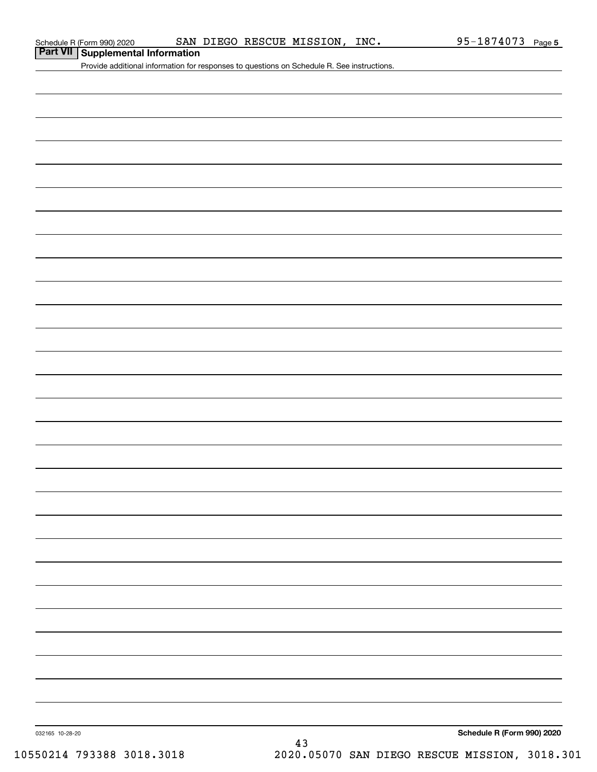Provide additional information for responses to questions on Schedule R. See instructions.

032165 10-28-20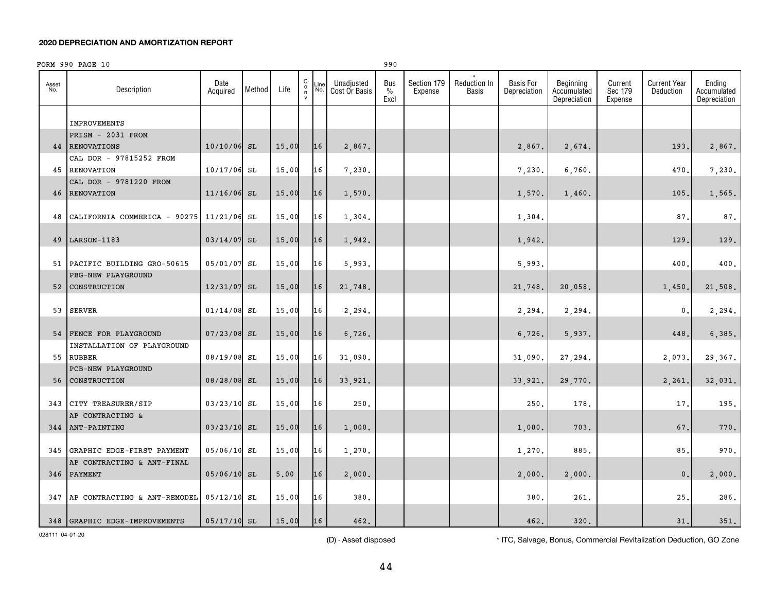|              | FORM 990 PAGE 10                                    |                  |        |       |                                                   |             |                             | 990                 |                        |                       |                                  |                                          |                               |                                  |                                       |
|--------------|-----------------------------------------------------|------------------|--------|-------|---------------------------------------------------|-------------|-----------------------------|---------------------|------------------------|-----------------------|----------------------------------|------------------------------------------|-------------------------------|----------------------------------|---------------------------------------|
| Asset<br>No. | Description                                         | Date<br>Acquired | Method | Life  | $_{\rm o}^{\rm C}$<br>$\mathsf n$<br>$\mathsf{v}$ | Line<br>No. | Unadjusted<br>Cost Or Basis | Bus<br>$\%$<br>Excl | Section 179<br>Expense | Reduction In<br>Basis | <b>Basis For</b><br>Depreciation | Beginning<br>Accumulated<br>Depreciation | Current<br>Sec 179<br>Expense | <b>Current Year</b><br>Deduction | Ending<br>Accumulated<br>Depreciation |
|              |                                                     |                  |        |       |                                                   |             |                             |                     |                        |                       |                                  |                                          |                               |                                  |                                       |
|              | <b>IMPROVEMENTS</b>                                 |                  |        |       |                                                   |             |                             |                     |                        |                       |                                  |                                          |                               |                                  |                                       |
|              | PRISM - 2031 FROM                                   |                  |        |       |                                                   |             |                             |                     |                        |                       |                                  |                                          |                               |                                  |                                       |
|              | <b>44 RENOVATIONS</b><br>CAL DOR - 97815252 FROM    | $10/10/06$ SL    |        | 15.00 |                                                   | 16          | 2,867.                      |                     |                        |                       | 2,867.                           | 2,674.                                   |                               | 193.                             | 2,867.                                |
| 45           | RENOVATION                                          | 10/17/06 SL      |        | 15.00 |                                                   | 16          | 7,230.                      |                     |                        |                       | 7,230.                           | 6,760.                                   |                               | 470,                             | 7,230.                                |
|              | CAL DOR - 9781220 FROM                              |                  |        |       |                                                   |             |                             |                     |                        |                       |                                  |                                          |                               |                                  |                                       |
|              | <b>46 RENOVATION</b>                                | $11/16/06$ SL    |        | 15.00 |                                                   | 16          | 1,570.                      |                     |                        |                       | 1,570.                           | 1,460.                                   |                               | 105                              | 1,565.                                |
|              |                                                     |                  |        |       |                                                   |             |                             |                     |                        |                       |                                  |                                          |                               |                                  |                                       |
| 48           | CALIFORNIA COMMERICA - 90275                        | 11/21/06 SL      |        | 15.00 |                                                   | 16          | 1,304.                      |                     |                        |                       | 1,304.                           |                                          |                               | 87                               | 87.                                   |
|              |                                                     |                  |        |       |                                                   |             |                             |                     |                        |                       |                                  |                                          |                               |                                  |                                       |
| 49           | LARSON-1183                                         | $03/14/07$ SL    |        | 15.00 |                                                   | 16          | 1,942.                      |                     |                        |                       | 1,942.                           |                                          |                               | 129                              | 129.                                  |
|              |                                                     |                  |        |       |                                                   | 16          |                             |                     |                        |                       |                                  |                                          |                               |                                  |                                       |
|              | 51 PACIFIC BUILDING GRO-50615<br>PBG-NEW PLAYGROUND | 05/01/07 SL      |        | 15.00 |                                                   |             | 5,993.                      |                     |                        |                       | 5,993.                           |                                          |                               | 400                              | 400.                                  |
| 52           | <b>CONSTRUCTION</b>                                 | 12/31/07 SL      |        | 15.00 |                                                   | 16          | 21,748.                     |                     |                        |                       | 21,748.                          | 20,058.                                  |                               | 1,450.                           | 21,508.                               |
|              |                                                     |                  |        |       |                                                   |             |                             |                     |                        |                       |                                  |                                          |                               |                                  |                                       |
| 53           | <b>SERVER</b>                                       | $01/14/08$ SL    |        | 15.00 |                                                   | 16          | 2,294.                      |                     |                        |                       | 2,294.                           | 2,294.                                   |                               | $\mathbf 0$ .                    | 2,294.                                |
|              |                                                     |                  |        |       |                                                   |             |                             |                     |                        |                       |                                  |                                          |                               |                                  |                                       |
|              | 54 FENCE FOR PLAYGROUND                             | $07/23/08$ SL    |        | 15.00 |                                                   | 16          | 6,726.                      |                     |                        |                       | 6,726.                           | 5,937.                                   |                               | 448                              | 6,385.                                |
|              | INSTALLATION OF PLAYGROUND                          |                  |        |       |                                                   |             |                             |                     |                        |                       |                                  |                                          |                               |                                  |                                       |
|              | 55 RUBBER                                           | 08/19/08 SL      |        | 15.00 |                                                   | 16          | 31,090.                     |                     |                        |                       | 31,090.                          | 27,294.                                  |                               | 2,073.                           | 29,367.                               |
| 56           | <b>PCB-NEW PLAYGROUND</b><br>CONSTRUCTION           | 08/28/08 SL      |        | 15.00 |                                                   | 16          | 33,921.                     |                     |                        |                       | 33,921.                          | 29,770.                                  |                               | 2,261                            | 32,031.                               |
|              |                                                     |                  |        |       |                                                   |             |                             |                     |                        |                       |                                  |                                          |                               |                                  |                                       |
|              | 343 CITY TREASURER/SIP                              | 03/23/10 SL      |        | 15.00 |                                                   | 16          | 250.                        |                     |                        |                       | 250                              | 178.                                     |                               | 17.                              | 195.                                  |
|              | AP CONTRACTING &                                    |                  |        |       |                                                   |             |                             |                     |                        |                       |                                  |                                          |                               |                                  |                                       |
|              | 344 ANT-PAINTING                                    | 03/23/10 SL      |        | 15.00 |                                                   | 16          | 1,000.                      |                     |                        |                       | 1,000.                           | 703.                                     |                               | 67.                              | 770.                                  |
|              |                                                     |                  |        |       |                                                   |             |                             |                     |                        |                       |                                  |                                          |                               |                                  |                                       |
|              | 345 GRAPHIC EDGE-FIRST PAYMENT                      | 05/06/10 SL      |        | 15.00 |                                                   | 16          | 1,270.                      |                     |                        |                       | 1,270.                           | 885.                                     |                               | 85.                              | 970.                                  |
|              | AP CONTRACTING & ANT-FINAL                          |                  |        |       |                                                   |             |                             |                     |                        |                       |                                  |                                          |                               |                                  |                                       |
|              | 346 PAYMENT                                         | 05/06/10 SL      |        | 5,00  |                                                   | 16          | 2,000.                      |                     |                        |                       | 2,000.                           | 2,000.                                   |                               | $\mathbf{0}$ .                   | 2,000.                                |
|              | 347 AP CONTRACTING & ANT-REMODEL                    | $05/12/10$ SL    |        | 15.00 |                                                   | 16          | 380.                        |                     |                        |                       | 380.                             | 261.                                     |                               | 25 <sub>1</sub>                  | 286.                                  |
|              |                                                     |                  |        |       |                                                   |             |                             |                     |                        |                       |                                  |                                          |                               |                                  |                                       |
|              | 348 GRAPHIC EDGE-IMPROVEMENTS                       | 05/17/10 SL      |        | 15.00 |                                                   | 16          | 462.                        |                     |                        |                       | 462.                             | 320.                                     |                               | 31.                              | 351.                                  |

028111 04-01-20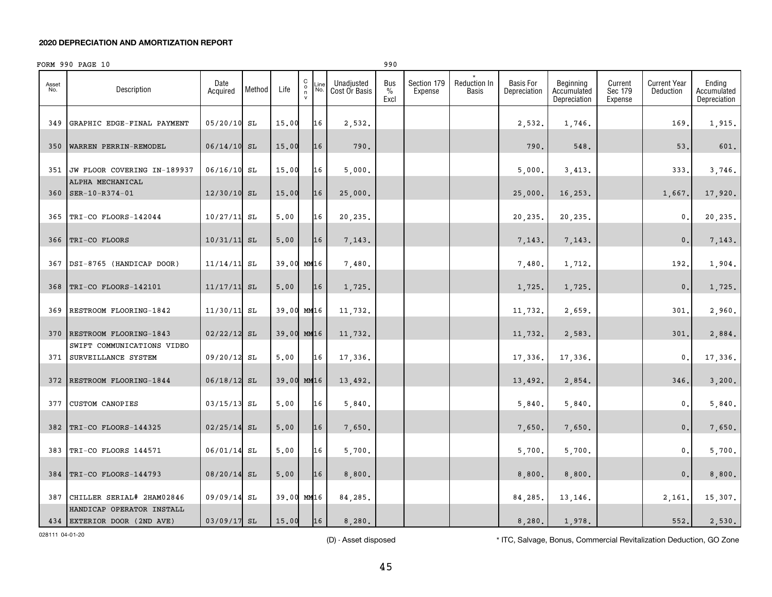|              | FORM 990 PAGE 10                                       |                  |        |            |                                              |             |                             | 990                          |                        |                       |                                  |                                          |                               |                                  |                                       |
|--------------|--------------------------------------------------------|------------------|--------|------------|----------------------------------------------|-------------|-----------------------------|------------------------------|------------------------|-----------------------|----------------------------------|------------------------------------------|-------------------------------|----------------------------------|---------------------------------------|
| Asset<br>No. | Description                                            | Date<br>Acquired | Method | Life       | $\begin{array}{c}\nC \\ O \\ N\n\end{array}$ | .ine<br>No. | Unadjusted<br>Cost Or Basis | Bus<br>$\frac{0}{0}$<br>Excl | Section 179<br>Expense | Reduction In<br>Basis | <b>Basis For</b><br>Depreciation | Beginning<br>Accumulated<br>Depreciation | Current<br>Sec 179<br>Expense | <b>Current Year</b><br>Deduction | Ending<br>Accumulated<br>Depreciation |
| 349          | GRAPHIC EDGE-FINAL PAYMENT                             | $05/20/10$ SL    |        | 15.00      |                                              | 16          | 2,532.                      |                              |                        |                       | 2,532.                           | 1,746.                                   |                               | 169                              | 1,915.                                |
| 350          | WARREN PERRIN-REMODEL                                  | $06/14/10$ SL    |        | 15.00      |                                              | 16          | 790.                        |                              |                        |                       | 790.                             | 548.                                     |                               | 53.                              | 601.                                  |
| 351          | JW FLOOR COVERING IN-189937                            | $06/16/10$ SL    |        | 15.00      |                                              | 16          | 5,000.                      |                              |                        |                       | 5,000.                           | 3,413.                                   |                               | 333                              | 3,746.                                |
| 360          | ALPHA MECHANICAL<br>SER-10-R374-01                     | $12/30/10$ SL    |        | 15.00      |                                              | 16          | 25,000.                     |                              |                        |                       | 25,000.                          | 16,253.                                  |                               | 1,667.                           | 17,920.                               |
|              | 365   TRI-CO FLOORS-142044                             | $10/27/11$ SL    |        | 5.00       |                                              | 16          | 20,235.                     |                              |                        |                       | 20,235.                          | 20,235.                                  |                               | 0.                               | 20,235.                               |
| 366          | TRI-CO FLOORS                                          | $10/31/11$ SL    |        | 5.00       |                                              | 16          | 7,143.                      |                              |                        |                       | 7,143.                           | 7,143.                                   |                               | 0.                               | 7,143.                                |
| 367          | DSI-8765 (HANDICAP DOOR)                               | 11/14/11         | SL     | 39.00 MM16 |                                              |             | 7,480.                      |                              |                        |                       | 7,480.                           | 1,712.                                   |                               | 192                              | 1,904.                                |
| 368          | TRI-CO FLOORS-142101                                   | $11/17/11$ SL    |        | 5,00       |                                              | 16          | 1,725.                      |                              |                        |                       | 1,725.                           | 1,725.                                   |                               | 0.                               | 1,725.                                |
| 369          | RESTROOM FLOORING-1842                                 | $11/30/11$ SL    |        | 39.00 MM16 |                                              |             | 11,732.                     |                              |                        |                       | 11,732.                          | 2,659.                                   |                               | 301.                             | 2,960.                                |
| 370          | RESTROOM FLOORING-1843                                 | $02/22/12$ SL    |        | 39.00 MM16 |                                              |             | 11,732.                     |                              |                        |                       | 11,732.                          | 2,583.                                   |                               | 301                              | 2,884.                                |
|              | SWIFT COMMUNICATIONS VIDEO                             |                  |        | 5.00       |                                              | 16          |                             |                              |                        |                       |                                  |                                          |                               |                                  |                                       |
| 371          | SURVEILLANCE SYSTEM                                    | 09/20/12 SL      |        |            |                                              |             | 17,336.                     |                              |                        |                       | 17,336.                          | 17,336.                                  |                               | 0.                               | 17,336.                               |
| 372          | RESTROOM FLOORING-1844                                 | $06/18/12$ SL    |        | 39.00 MM16 |                                              |             | 13,492.                     |                              |                        |                       | 13,492.                          | 2,854.                                   |                               | 346                              | 3,200.                                |
| 377          | <b>CUSTOM CANOPIES</b>                                 | $03/15/13$ SL    |        | 5.00       |                                              | 16          | 5,840.                      |                              |                        |                       | 5,840.                           | 5,840.                                   |                               | 0.                               | 5,840.                                |
| 382          | TRI-CO FLOORS-144325                                   | $02/25/14$ SL    |        | 5,00       |                                              | 16          | 7,650.                      |                              |                        |                       | 7,650.                           | 7,650.                                   |                               | 0.                               | 7,650.                                |
| 383          | TRI-CO FLOORS 144571                                   | 06/01/14 SL      |        | 5.00       |                                              | 16          | 5,700.                      |                              |                        |                       | 5,700.                           | 5,700.                                   |                               | 0.                               | 5,700.                                |
| 384          | TRI-CO FLOORS-144793                                   | 08/20/14         | SL     | 5.00       |                                              | 16          | 8,800.                      |                              |                        |                       | 8,800.                           | 8,800.                                   |                               | 0.                               | 8,800.                                |
| 387          | CHILLER SERIAL# 2HAM02846<br>HANDICAP OPERATOR INSTALL | 09/09/14 SL      |        | 39.00 MM16 |                                              |             | 84,285.                     |                              |                        |                       | 84,285.                          | 13,146.                                  |                               | 2,161.                           | 15,307.                               |
|              | 434 EXTERIOR DOOR (2ND AVE)                            | $03/09/17$ SL    |        | 15.00      |                                              | 16          | 8,280.                      |                              |                        |                       | 8,280.                           | 1,978.                                   |                               | 552.                             | 2,530.                                |

028111 04-01-20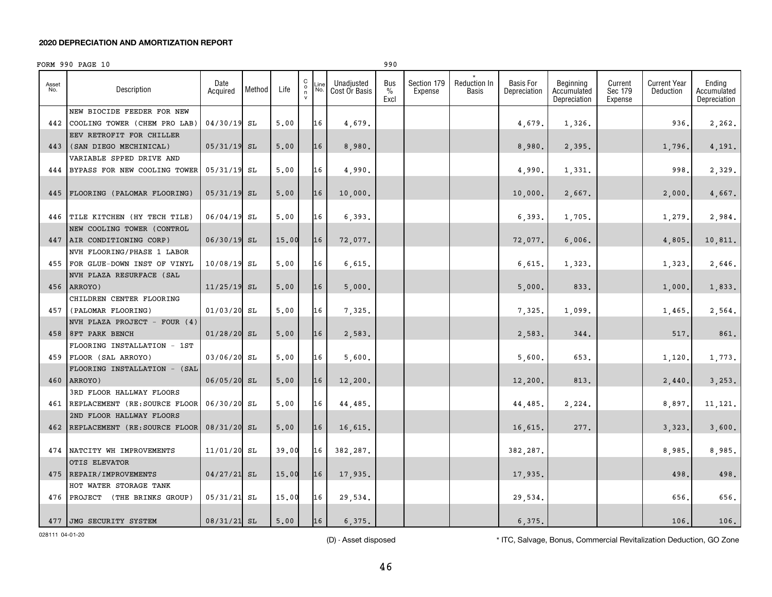|              | FORM 990 PAGE 10                |                  |        |       |                         |             |                             | 990                          |                        |                              |                                  |                                          |                               |                                  |                                       |
|--------------|---------------------------------|------------------|--------|-------|-------------------------|-------------|-----------------------------|------------------------------|------------------------|------------------------------|----------------------------------|------------------------------------------|-------------------------------|----------------------------------|---------------------------------------|
| Asset<br>No. | Description                     | Date<br>Acquired | Method | Life  | C<br>$_{\rm n}^{\rm o}$ | .ine<br>No. | Unadjusted<br>Cost Or Basis | Bus<br>$\frac{0}{0}$<br>Excl | Section 179<br>Expense | <b>Reduction In</b><br>Basis | <b>Basis For</b><br>Depreciation | Beginning<br>Accumulated<br>Depreciation | Current<br>Sec 179<br>Expense | <b>Current Year</b><br>Deduction | Ending<br>Accumulated<br>Depreciation |
|              | NEW BIOCIDE FEEDER FOR NEW      |                  |        |       |                         |             |                             |                              |                        |                              |                                  |                                          |                               |                                  |                                       |
| 442          | COOLING TOWER (CHEM PRO LAB)    | 04/30/19         | SL     | 5.00  |                         | 16          | 4,679.                      |                              |                        |                              | 4,679.                           | 1,326.                                   |                               | 936                              | 2,262.                                |
|              | EEV RETROFIT FOR CHILLER        |                  |        |       |                         |             |                             |                              |                        |                              |                                  |                                          |                               |                                  |                                       |
| 443          | (SAN DIEGO MECHINICAL)          | $05/31/19$ SL    |        | 5,00  |                         | 16          | 8,980.                      |                              |                        |                              | 8,980.                           | 2,395.                                   |                               | 1,796.                           | 4,191.                                |
|              | VARIABLE SPPED DRIVE AND        |                  |        |       |                         |             |                             |                              |                        |                              |                                  |                                          |                               |                                  |                                       |
| 444          | BYPASS FOR NEW COOLING TOWER    | 05/31/19 SL      |        | 5,00  |                         | 16          | 4,990.                      |                              |                        |                              | 4,990.                           | 1,331.                                   |                               | 998                              | 2,329.                                |
|              |                                 |                  |        |       |                         |             |                             |                              |                        |                              |                                  |                                          |                               |                                  |                                       |
| 445          | FLOORING (PALOMAR FLOORING)     | $05/31/19$ SL    |        | 5.00  |                         | 16          | 10,000.                     |                              |                        |                              | 10,000.                          | 2,667.                                   |                               | 2,000                            | 4,667.                                |
|              |                                 |                  |        |       |                         |             |                             |                              |                        |                              |                                  |                                          |                               |                                  |                                       |
|              | 446 TILE KITCHEN (HY TECH TILE) | 06/04/19 SL      |        | 5,00  |                         | 16          | 6,393.                      |                              |                        |                              | 6,393.                           | 1,705.                                   |                               | 1,279.                           | 2,984.                                |
|              | NEW COOLING TOWER (CONTROL      |                  |        |       |                         |             |                             |                              |                        |                              |                                  |                                          |                               |                                  |                                       |
| 447          | AIR CONDITIONING CORP)          | 06/30/19 SL      |        | 15.00 |                         | 16          | 72,077.                     |                              |                        |                              | 72,077.                          | 6,006.                                   |                               | 4,805                            | 10,811.                               |
|              | NVH FLOORING/PHASE 1 LABOR      |                  |        |       |                         |             |                             |                              |                        |                              |                                  |                                          |                               |                                  |                                       |
|              | 455 FOR GLUE-DOWN INST OF VINYL | 10/08/19         | SL     | 5.00  |                         | 16          | 6,615.                      |                              |                        |                              | 6,615.                           | 1,323.                                   |                               | 1,323                            | 2,646.                                |
|              | NVH PLAZA RESURFACE (SAL        |                  |        |       |                         |             |                             |                              |                        |                              |                                  |                                          |                               |                                  |                                       |
| 456          | ARROYO)                         | $11/25/19$ SL    |        | 5.00  |                         | 16          | 5,000.                      |                              |                        |                              | 5,000.                           | 833.                                     |                               | 1,000.                           | 1,833.                                |
|              | CHILDREN CENTER FLOORING        |                  |        |       |                         |             |                             |                              |                        |                              |                                  |                                          |                               |                                  |                                       |
|              | 457 (PALOMAR FLOORING)          | $01/03/20$ SL    |        | 5,00  |                         | 16          | 7,325.                      |                              |                        |                              | 7,325.                           | 1,099.                                   |                               | 1,465                            | 2,564.                                |
|              | NVH PLAZA PROJECT - FOUR (4)    |                  |        |       |                         |             |                             |                              |                        |                              |                                  |                                          |                               |                                  |                                       |
|              | 458 8FT PARK BENCH              | 01/28/20         | SL     | 5,00  |                         | 16          | 2,583.                      |                              |                        |                              | 2,583.                           | 344.                                     |                               | 517                              | 861.                                  |
|              | FLOORING INSTALLATION - 1ST     |                  |        |       |                         |             |                             |                              |                        |                              |                                  |                                          |                               |                                  |                                       |
| 459          | FLOOR (SAL ARROYO)              | 03/06/20         | SL     | 5,00  |                         | 16          | 5,600.                      |                              |                        |                              | 5,600.                           | 653.                                     |                               | 1,120                            | 1,773.                                |
|              | FLOORING INSTALLATION - (SAL    |                  |        |       |                         |             |                             |                              |                        |                              |                                  |                                          |                               |                                  |                                       |
| 460          | ARROYO)                         | 06/05/20 SL      |        | 5,00  |                         | 16          | 12,200.                     |                              |                        |                              | 12,200.                          | 813.                                     |                               | 2,440                            | 3,253.                                |
|              | 3RD FLOOR HALLWAY FLOORS        |                  |        |       |                         |             |                             |                              |                        |                              |                                  |                                          |                               |                                  |                                       |
| 461          | REPLACEMENT (RE: SOURCE FLOOR   | 06/30/20 SL      |        | 5.00  |                         | 16          | 44,485.                     |                              |                        |                              | 44,485.                          | 2,224.                                   |                               | 8,897                            | 11, 121.                              |
|              | 2ND FLOOR HALLWAY FLOORS        |                  |        |       |                         |             |                             |                              |                        |                              |                                  |                                          |                               |                                  |                                       |
| 462          | REPLACEMENT (RE: SOURCE FLOOR   | 08/31/20 SL      |        | 5,00  |                         | 16          | 16,615.                     |                              |                        |                              | 16,615.                          | 277.                                     |                               | 3,323.                           | 3,600.                                |
|              |                                 |                  |        |       |                         |             |                             |                              |                        |                              |                                  |                                          |                               |                                  |                                       |
|              | 474 NATCITY WH IMPROVEMENTS     | 11/01/20 SL      |        | 39.00 |                         | 16          | 382,287.                    |                              |                        |                              | 382,287.                         |                                          |                               | 8,985                            | 8,985.                                |
|              | OTIS ELEVATOR                   |                  |        |       |                         |             |                             |                              |                        |                              |                                  |                                          |                               |                                  |                                       |
| 475          | REPAIR/IMPROVEMENTS             | 04/27/21 SL      |        | 15.00 |                         | 16          | 17,935.                     |                              |                        |                              | 17,935.                          |                                          |                               | 498                              | 498.                                  |
|              | HOT WATER STORAGE TANK          |                  |        |       |                         |             |                             |                              |                        |                              |                                  |                                          |                               |                                  |                                       |
| 476          | PROJECT (THE BRINKS GROUP)      | 05/31/21 SL      |        | 15.00 |                         | 16          | 29,534.                     |                              |                        |                              | 29,534.                          |                                          |                               | 656                              | 656.                                  |
|              |                                 |                  |        |       |                         |             |                             |                              |                        |                              |                                  |                                          |                               |                                  |                                       |
|              | 477 JMG SECURITY SYSTEM         | 08/31/21 SL      |        | 5,00  |                         | 16          | 6.375.                      |                              |                        |                              | 6.375.                           |                                          |                               | 106.                             | 106.                                  |

028111 04-01-20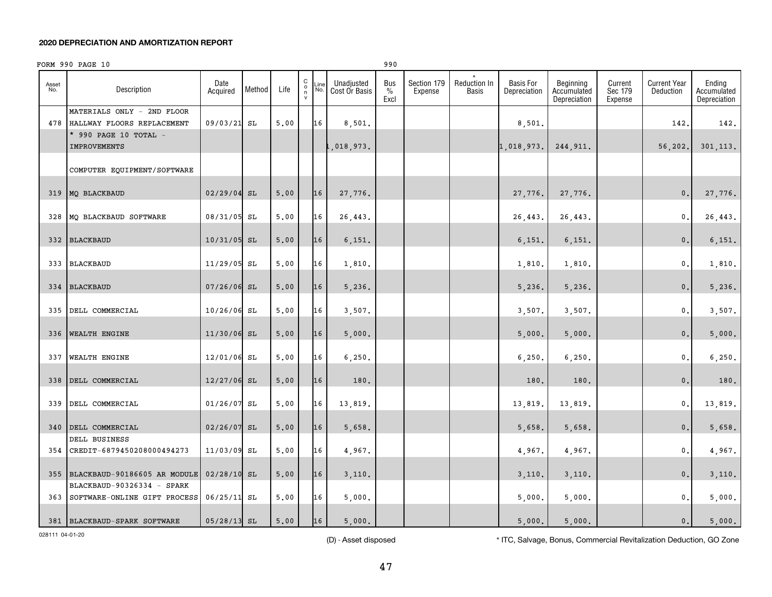|              | FORM 990 PAGE 10                                                                      |                  |        |      |                                                               |             |                             | 990                          |                        |                       |                                  |                                          |                               |                                  |                                       |
|--------------|---------------------------------------------------------------------------------------|------------------|--------|------|---------------------------------------------------------------|-------------|-----------------------------|------------------------------|------------------------|-----------------------|----------------------------------|------------------------------------------|-------------------------------|----------------------------------|---------------------------------------|
| Asset<br>No. | Description                                                                           | Date<br>Acquired | Method | Life | $\mathbf C$<br>$\begin{matrix} 0 \\ \eta \\ \nu \end{matrix}$ | ∟ine<br>No. | Unadjusted<br>Cost Or Basis | Bus<br>$\frac{0}{0}$<br>Excl | Section 179<br>Expense | Reduction In<br>Basis | <b>Basis For</b><br>Depreciation | Beginning<br>Accumulated<br>Depreciation | Current<br>Sec 179<br>Expense | <b>Current Year</b><br>Deduction | Ending<br>Accumulated<br>Depreciation |
|              | MATERIALS ONLY - 2ND FLOOR<br>478 HALLWAY FLOORS REPLACEMENT<br>* 990 PAGE 10 TOTAL - | 09/03/21 SL      |        | 5,00 |                                                               | 16          | 8,501.                      |                              |                        |                       | 8,501                            |                                          |                               | 142                              | 142.                                  |
|              | <b>IMPROVEMENTS</b>                                                                   |                  |        |      |                                                               |             | ,018,973.                   |                              |                        |                       | 1,018,973.                       | 244,911.                                 |                               | 56,202.                          | 301, 113.                             |
|              | COMPUTER EQUIPMENT/SOFTWARE                                                           |                  |        |      |                                                               |             |                             |                              |                        |                       |                                  |                                          |                               |                                  |                                       |
|              | 319 MQ BLACKBAUD                                                                      | 02/29/04 SL      |        | 5.00 |                                                               | 16          | 27,776.                     |                              |                        |                       | 27,776.                          | 27,776.                                  |                               | $\mathbf{0}$ .                   | 27,776.                               |
| 328          | MQ BLACKBAUD SOFTWARE                                                                 | 08/31/05         | SL     | 5.00 |                                                               | 16          | 26,443.                     |                              |                        |                       | 26,443.                          | 26,443.                                  |                               | 0.                               | 26,443.                               |
| 332          | <b>BLACKBAUD</b>                                                                      | $10/31/05$ SL    |        | 5.00 |                                                               | 16          | 6,151.                      |                              |                        |                       | 6,151.                           | 6,151.                                   |                               | 0.                               | 6,151.                                |
| 333          | <b>BLACKBAUD</b>                                                                      | 11/29/05         | SL     | 5.00 |                                                               | 16          | 1,810.                      |                              |                        |                       | 1,810.                           | 1,810.                                   |                               | 0.                               | 1,810.                                |
| 334          | <b>BLACKBAUD</b>                                                                      | $07/26/06$ SL    |        | 5.00 |                                                               | 16          | 5,236.                      |                              |                        |                       | 5,236.                           | 5,236.                                   |                               | 0.                               | 5,236.                                |
| 335          | DELL COMMERCIAL                                                                       | 10/26/06         | SL     | 5.00 |                                                               | 16          | 3,507.                      |                              |                        |                       | 3,507.                           | 3,507.                                   |                               | 0.                               | 3,507.                                |
| 336          | <b>WEALTH ENGINE</b>                                                                  | 11/30/06 SL      |        | 5,00 |                                                               | 16          | 5,000.                      |                              |                        |                       | 5,000.                           | 5,000.                                   |                               | 0.                               | 5,000.                                |
| 337          | <b>WEALTH ENGINE</b>                                                                  | 12/01/06         | SL     | 5.00 |                                                               | 16          | 6, 250.                     |                              |                        |                       | 6,250.                           | 6, 250.                                  |                               | 0.                               | 6, 250.                               |
| 338          | DELL COMMERCIAL                                                                       | 12/27/06 SL      |        | 5.00 |                                                               | 16          | 180.                        |                              |                        |                       | 180.                             | 180.                                     |                               | 0.                               | 180.                                  |
| 339          | DELL COMMERCIAL                                                                       | 01/26/07         | SL     | 5,00 |                                                               | 16          | 13,819.                     |                              |                        |                       | 13,819                           | 13,819.                                  |                               | 0.                               | 13,819.                               |
|              | 340 DELL COMMERCIAL                                                                   | $02/26/07$ SL    |        | 5.00 |                                                               | 16          | 5,658.                      |                              |                        |                       | 5,658.                           | 5,658.                                   |                               | 0.                               | 5,658.                                |
|              | DELL BUSINESS<br>354 CREDIT-6879450208000494273                                       | 11/03/09 SL      |        | 5,00 |                                                               | 16          | 4,967.                      |                              |                        |                       | 4,967.                           | 4,967.                                   |                               | 0.                               | 4,967.                                |
| 355          | BLACKBAUD-90186605 AR MODULE                                                          | $02/28/10$ SL    |        | 5,00 |                                                               | 16          | 3,110.                      |                              |                        |                       | 3,110.                           | 3,110.                                   |                               | 0.                               | 3,110.                                |
|              | BLACKBAUD-90326334 - SPARK<br>363 SOFTWARE-ONLINE GIFT PROCESS                        | $06/25/11$ SL    |        | 5,00 |                                                               | 16          | 5,000.                      |                              |                        |                       | 5,000.                           | 5,000.                                   |                               | 0.                               | 5,000.                                |
|              | 381 BLACKBAUD-SPARK SOFTWARE                                                          | $05/28/13$ SL    |        | 5,00 |                                                               | 16          | 5.000.                      |                              |                        |                       | 5,000.                           | 5.000.                                   |                               | 0.                               | 5,000.                                |

028111 04-01-20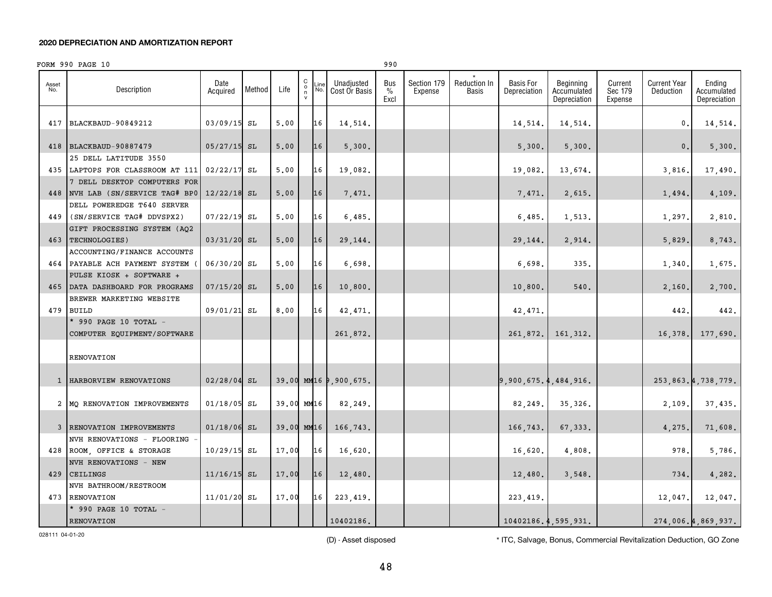|              | FORM 990 PAGE 10                                           |                  |        |            |                                              |             |                             | 990                 |                        |                                     |                                  |                                          |                               |                                  |                                       |
|--------------|------------------------------------------------------------|------------------|--------|------------|----------------------------------------------|-------------|-----------------------------|---------------------|------------------------|-------------------------------------|----------------------------------|------------------------------------------|-------------------------------|----------------------------------|---------------------------------------|
| Asset<br>No. | Description                                                | Date<br>Acquired | Method | Life       | $\begin{array}{c}\nC \\ O \\ N\n\end{array}$ | Line<br>No. | Unadjusted<br>Cost Or Basis | Bus<br>$\%$<br>Excl | Section 179<br>Expense | <b>Reduction In</b><br><b>Basis</b> | <b>Basis For</b><br>Depreciation | Beginning<br>Accumulated<br>Depreciation | Current<br>Sec 179<br>Expense | <b>Current Year</b><br>Deduction | Ending<br>Accumulated<br>Depreciation |
| 417          | BLACKBAUD-90849212                                         | 03/09/15 SL      |        | 5.00       |                                              | 16          | 14,514.                     |                     |                        |                                     | 14,514.                          | 14,514.                                  |                               | $\mathbf{0}$ .                   | 14,514.                               |
| 418          | <b>BLACKBAUD-90887479</b>                                  | $05/27/15$ SL    |        | 5.00       |                                              | 16          | 5,300.                      |                     |                        |                                     | 5,300.                           | 5,300.                                   |                               | 0.                               | 5,300.                                |
|              | 25 DELL LATITUDE 3550                                      |                  |        |            |                                              |             |                             |                     |                        |                                     |                                  |                                          |                               |                                  |                                       |
|              | 435 LAPTOPS FOR CLASSROOM AT 111                           | $02/22/17$ SL    |        | 5.00       |                                              | 16          | 19,082.                     |                     |                        |                                     | 19,082.                          | 13,674.                                  |                               | 3,816.                           | 17,490.                               |
|              | 7 DELL DESKTOP COMPUTERS FOR                               |                  |        |            |                                              |             |                             |                     |                        |                                     |                                  |                                          |                               |                                  |                                       |
| 448          | NVH LAB (SN/SERVICE TAG# BP0                               | $12/22/18$ SL    |        | 5.00       |                                              | 16          | 7,471.                      |                     |                        |                                     | 7,471.                           | 2,615.                                   |                               | 1,494.                           | 4,109.                                |
|              | DELL POWEREDGE T640 SERVER                                 |                  |        |            |                                              |             |                             |                     |                        |                                     |                                  |                                          |                               |                                  |                                       |
| 449          | (SN/SERVICE TAG# DDVSPX2)                                  | $07/22/19$ SL    |        | 5.00       |                                              | 16          | 6,485.                      |                     |                        |                                     | 6,485.                           | 1,513.                                   |                               | 1,297.                           | 2,810.                                |
|              | GIFT PROCESSING SYSTEM (AO2                                |                  |        |            |                                              |             |                             |                     |                        |                                     |                                  |                                          |                               |                                  |                                       |
| 463          | TECHNOLOGIES)                                              | 03/31/20 SL      |        | 5,00       |                                              | 16          | 29,144.                     |                     |                        |                                     | 29,144.                          | 2,914.                                   |                               | 5,829.                           | 8,743.                                |
|              | ACCOUNTING/FINANCE ACCOUNTS                                |                  |        |            |                                              | 16          |                             |                     |                        |                                     |                                  |                                          |                               |                                  |                                       |
|              | 464 PAYABLE ACH PAYMENT SYSTEM<br>PULSE KIOSK + SOFTWARE + | 06/30/20 SL      |        | 5.00       |                                              |             | 6,698.                      |                     |                        |                                     | 6,698.                           | 335.                                     |                               | 1,340                            | 1,675.                                |
| 465          | DATA DASHBOARD FOR PROGRAMS                                | $07/15/20$ SL    |        | 5,00       |                                              | 16          | 10,800.                     |                     |                        |                                     | 10,800.                          | 540.                                     |                               |                                  | 2,700.                                |
|              | BREWER MARKETING WEBSITE                                   |                  |        |            |                                              |             |                             |                     |                        |                                     |                                  |                                          |                               | 2,160.                           |                                       |
|              | 479 BUILD                                                  | 09/01/21 SL      |        | 8.00       |                                              | 16          | 42,471.                     |                     |                        |                                     | 42,471.                          |                                          |                               | 442.                             | 442.                                  |
|              | * 990 PAGE 10 TOTAL -                                      |                  |        |            |                                              |             |                             |                     |                        |                                     |                                  |                                          |                               |                                  |                                       |
|              | COMPUTER EQUIPMENT/SOFTWARE                                |                  |        |            |                                              |             | 261,872.                    |                     |                        |                                     | 261.872.                         | 161, 312.                                |                               | 16,378.                          | 177,690.                              |
|              |                                                            |                  |        |            |                                              |             |                             |                     |                        |                                     |                                  |                                          |                               |                                  |                                       |
|              | <b>RENOVATION</b>                                          |                  |        |            |                                              |             |                             |                     |                        |                                     |                                  |                                          |                               |                                  |                                       |
|              |                                                            |                  |        |            |                                              |             |                             |                     |                        |                                     |                                  |                                          |                               |                                  |                                       |
|              | 1   HARBORVIEW RENOVATIONS                                 | $02/28/04$ SL    |        |            |                                              |             | 39.00 MM16 9,900,675.       |                     |                        |                                     | 9,900,675.4,484,916.             |                                          |                               |                                  | 253,863.4,738,779.                    |
|              |                                                            |                  |        |            |                                              |             |                             |                     |                        |                                     |                                  |                                          |                               |                                  |                                       |
|              | 2 MQ RENOVATION IMPROVEMENTS                               | $01/18/05$ SL    |        | 39.00 MM16 |                                              |             | 82,249.                     |                     |                        |                                     | 82,249.                          | 35,326.                                  |                               | 2,109.                           | 37,435.                               |
|              | 3 RENOVATION IMPROVEMENTS                                  | $01/18/06$ SL    |        | 39.00 MM16 |                                              |             | 166,743.                    |                     |                        |                                     | 166,743.                         | 67,333.                                  |                               | 4,275.                           | 71,608.                               |
|              | NVH RENOVATIONS - FLOORING                                 |                  |        |            |                                              |             |                             |                     |                        |                                     |                                  |                                          |                               |                                  |                                       |
|              | 428 ROOM, OFFICE & STORAGE                                 | 10/29/15 SL      |        | 17.00      |                                              | 16          | 16,620.                     |                     |                        |                                     | 16,620.                          | 4,808.                                   |                               | 978.                             | 5,786.                                |
|              | NVH RENOVATIONS - NEW                                      |                  |        |            |                                              |             |                             |                     |                        |                                     |                                  |                                          |                               |                                  |                                       |
| 429          | <b>CEILINGS</b>                                            | $11/16/15$ SL    |        | 17.00      |                                              | 16          | 12,480.                     |                     |                        |                                     | 12,480.                          | 3.548.                                   |                               | 734.                             | 4,282.                                |
|              | NVH BATHROOM/RESTROOM                                      |                  |        |            |                                              |             |                             |                     |                        |                                     |                                  |                                          |                               |                                  |                                       |
|              | 473 RENOVATION                                             | 11/01/20 SL      |        | 17.00      |                                              | 16          | 223, 419.                   |                     |                        |                                     | 223, 419.                        |                                          |                               | 12,047.                          | 12,047.                               |
|              | * 990 PAGE 10 TOTAL -                                      |                  |        |            |                                              |             |                             |                     |                        |                                     |                                  |                                          |                               |                                  |                                       |
|              | <b>RENOVATION</b>                                          |                  |        |            |                                              |             | 10402186.                   |                     |                        |                                     |                                  | 10402186.4.595.931.                      |                               |                                  | 274,006.4,869,937.                    |

028111 04-01-20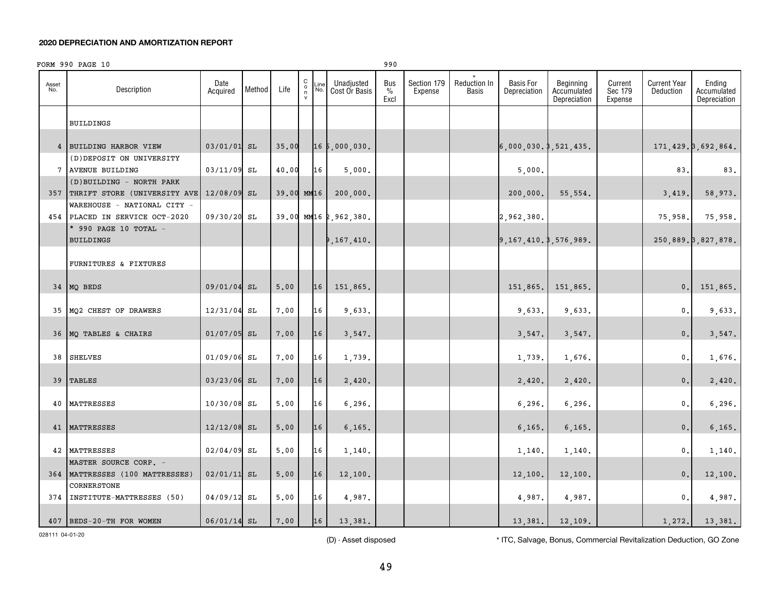|              | FORM 990 PAGE 10                               |                  |        |            |                                               |             |                             | 990                 |                        |                       |                                  |                                          |                               |                                  |                                       |
|--------------|------------------------------------------------|------------------|--------|------------|-----------------------------------------------|-------------|-----------------------------|---------------------|------------------------|-----------------------|----------------------------------|------------------------------------------|-------------------------------|----------------------------------|---------------------------------------|
| Asset<br>No. | Description                                    | Date<br>Acquired | Method | Life       | $\begin{array}{c} C \\ 0 \\ \eta \end{array}$ | Line<br>No. | Unadjusted<br>Cost Or Basis | Bus<br>$\%$<br>Excl | Section 179<br>Expense | Reduction In<br>Basis | <b>Basis For</b><br>Depreciation | Beginning<br>Accumulated<br>Depreciation | Current<br>Sec 179<br>Expense | <b>Current Year</b><br>Deduction | Ending<br>Accumulated<br>Depreciation |
|              | <b>BUILDINGS</b>                               |                  |        |            |                                               |             |                             |                     |                        |                       |                                  |                                          |                               |                                  |                                       |
|              | 4 BUILDING HARBOR VIEW                         | 03/01/01 SL      |        | 35.00      |                                               |             | 165,000,030.                |                     |                        |                       | 6,000,030.3,521,435.             |                                          |                               |                                  | 171, 429. 3, 692, 864.                |
|              | (D) DEPOSIT ON UNIVERSITY                      |                  |        |            |                                               |             |                             |                     |                        |                       |                                  |                                          |                               |                                  |                                       |
|              | 7 AVENUE BUILDING<br>(D) BUILDING - NORTH PARK | 03/11/09 SL      |        | 40.00      |                                               | 16          | 5,000.                      |                     |                        |                       | 5,000.                           |                                          |                               | 83,                              | 83.                                   |
|              | 357 THRIFT STORE (UNIVERSITY AVE               | 12/08/09 SL      |        | 39.00 MM16 |                                               |             | 200,000.                    |                     |                        |                       | 200,000.                         | 55,554.                                  |                               | 3,419.                           | 58,973.                               |
|              | WAREHOUSE - NATIONAL CITY -                    |                  |        |            |                                               |             |                             |                     |                        |                       |                                  |                                          |                               |                                  |                                       |
|              | 454 PLACED IN SERVICE OCT-2020                 | 09/30/20 SL      |        |            |                                               |             | 39.00 MM16 2,962,380.       |                     |                        |                       | 2,962,380.                       |                                          |                               | 75,958.                          | 75,958.                               |
|              | * 990 PAGE 10 TOTAL -<br><b>BUILDINGS</b>      |                  |        |            |                                               |             | 9,167,410.                  |                     |                        |                       | $9, 167, 410.$ $8, 576, 989.$    |                                          |                               |                                  | 250,889.3,827,878.                    |
|              | FURNITURES & FIXTURES                          |                  |        |            |                                               |             |                             |                     |                        |                       |                                  |                                          |                               |                                  |                                       |
|              | 34 MQ BEDS                                     | 09/01/04         | SL     | 5.00       |                                               | 16          | 151,865.                    |                     |                        |                       | 151,865.                         | 151,865.                                 |                               | 0.                               | 151,865.                              |
|              | 35 MQ2 CHEST OF DRAWERS                        | 12/31/04 SL      |        | 7.00       |                                               | 16          | 9,633.                      |                     |                        |                       | 9,633.                           | 9,633.                                   |                               | 0.                               | 9,633.                                |
|              |                                                |                  |        |            |                                               |             |                             |                     |                        |                       |                                  |                                          |                               |                                  |                                       |
|              | 36 MQ TABLES & CHAIRS                          | $01/07/05$ SL    |        | 7.00       |                                               | 16          | 3,547.                      |                     |                        |                       | 3,547.                           | 3,547.                                   |                               | $\mathsf{0}\,.$                  | 3,547.                                |
| 38           | <b>SHELVES</b>                                 | 01/09/06 SL      |        | 7.00       |                                               | 16          | 1,739.                      |                     |                        |                       | 1,739.                           | 1,676.                                   |                               | 0.                               | 1,676.                                |
|              | 39 TABLES                                      | 03/23/06 SL      |        | 7.00       |                                               | 16          | 2,420.                      |                     |                        |                       | 2,420.                           | 2,420.                                   |                               | $\mathbf 0$ .                    | 2,420.                                |
| 40           | MATTRESSES                                     | 10/30/08 SL      |        | 5,00       |                                               | 16          | 6,296.                      |                     |                        |                       | 6,296.                           | 6,296.                                   |                               | 0.                               | 6,296.                                |
|              | 41   MATTRESSES                                | 12/12/08 SL      |        | 5.00       |                                               | 16          | 6, 165.                     |                     |                        |                       | 6, 165.                          | 6, 165.                                  |                               | $\mathbf 0$ .                    | 6, 165.                               |
|              | 42 MATTRESSES                                  | 02/04/09 SL      |        | 5,00       |                                               | 16          | 1,140.                      |                     |                        |                       | 1,140.                           | 1,140.                                   |                               | 0.                               | 1,140.                                |
|              | MASTER SOURCE CORP. -                          |                  |        |            |                                               |             |                             |                     |                        |                       |                                  |                                          |                               |                                  |                                       |
|              | 364 MATTRESSES (100 MATTRESSES)                | $02/01/11$ SL    |        | 5.00       |                                               | 16          | 12,100.                     |                     |                        |                       | 12,100.                          | 12,100.                                  |                               | $\mathbf 0$ .                    | 12,100.                               |
|              | CORNERSTONE                                    |                  |        |            |                                               |             |                             |                     |                        |                       |                                  |                                          |                               |                                  |                                       |
|              | 374 INSTITUTE-MATTRESSES (50)                  | 04/09/12 SL      |        | 5,00       |                                               | 16          | 4,987.                      |                     |                        |                       | 4,987.                           | 4,987.                                   |                               | 0.                               | 4,987.                                |
|              | 407 BEDS-20-TH FOR WOMEN                       | $06/01/14$ SL    |        | 7,00       |                                               | 16          | 13,381.                     |                     |                        |                       | 13,381.                          | 12,109.                                  |                               | 1,272.                           | 13,381.                               |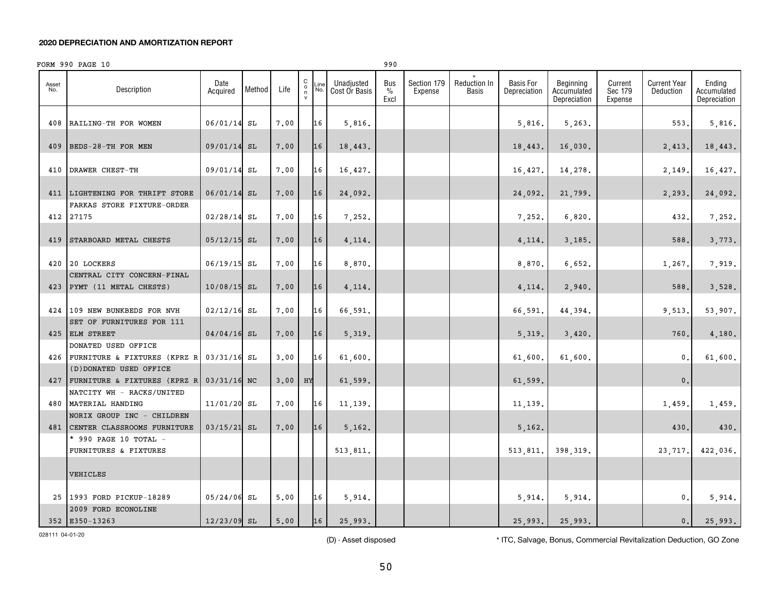|              | FORM 990 PAGE 10                                              |                  |        |      |                                               |             |                             | 990                          |                        |                                     |                                  |                                          |                               |                                  |                                       |
|--------------|---------------------------------------------------------------|------------------|--------|------|-----------------------------------------------|-------------|-----------------------------|------------------------------|------------------------|-------------------------------------|----------------------------------|------------------------------------------|-------------------------------|----------------------------------|---------------------------------------|
| Asset<br>No. | Description                                                   | Date<br>Acquired | Method | Life | $\begin{array}{c} C \\ 0 \\ \eta \end{array}$ | Line<br>No. | Unadjusted<br>Cost Or Basis | Bus<br>$\frac{0}{0}$<br>Excl | Section 179<br>Expense | <b>Reduction In</b><br><b>Basis</b> | <b>Basis For</b><br>Depreciation | Beginning<br>Accumulated<br>Depreciation | Current<br>Sec 179<br>Expense | <b>Current Year</b><br>Deduction | Ending<br>Accumulated<br>Depreciation |
| 408          | RAILING-TH FOR WOMEN                                          | 06/01/14         | SL     | 7.00 |                                               | 16          | 5,816.                      |                              |                        |                                     | 5,816.                           | 5,263.                                   |                               | 553.                             | 5,816.                                |
| 409          | BEDS-28-TH FOR MEN                                            | 09/01/14 SL      |        | 7.00 |                                               | 16          | 18,443.                     |                              |                        |                                     | 18,443.                          | 16,030.                                  |                               | 2,413.                           | 18,443.                               |
| 410          | DRAWER CHEST-TH                                               | 09/01/14 SL      |        | 7.00 |                                               | 16          | 16,427.                     |                              |                        |                                     | 16,427.                          | 14,278.                                  |                               | 2,149                            | 16,427.                               |
| 411          | LIGHTENING FOR THRIFT STORE                                   | $06/01/14$ SL    |        | 7.00 |                                               | 16          | 24,092.                     |                              |                        |                                     | 24,092.                          | 21,799.                                  |                               | 2,293.                           | 24,092.                               |
|              | FARKAS STORE FIXTURE-ORDER<br>412 27175                       | $02/28/14$ SL    |        | 7.00 |                                               | 16          | 7,252.                      |                              |                        |                                     | 7,252.                           | 6,820.                                   |                               | 432.                             | 7,252.                                |
| 419          | STARBOARD METAL CHESTS                                        | $05/12/15$ SL    |        | 7.00 |                                               | 16          | 4,114.                      |                              |                        |                                     | 4,114.                           | 3,185.                                   |                               | 588.                             | 3, 773.                               |
| 420          | 20 LOCKERS                                                    | 06/19/15         | SL     | 7.00 |                                               | 16          | 8,870.                      |                              |                        |                                     | 8,870.                           | 6,652.                                   |                               | 1,267                            | 7,919.                                |
| 423          | CENTRAL CITY CONCERN-FINAL<br>PYMT (11 METAL CHESTS)          | 10/08/15         | SL     | 7.00 |                                               | 16          | 4,114.                      |                              |                        |                                     | 4,114.                           | 2,940.                                   |                               | 588                              | 3,528.                                |
|              | 424 109 NEW BUNKBEDS FOR NVH                                  | $02/12/16$ SL    |        | 7.00 |                                               | 16          | 66,591.                     |                              |                        |                                     | 66,591                           | 44,394.                                  |                               | 9,513                            | 53,907.                               |
|              | SET OF FURNITURES FOR 111<br>425 ELM STREET                   | $04/04/16$ SL    |        | 7.00 |                                               | 16          | 5,319.                      |                              |                        |                                     | 5,319                            | 3,420.                                   |                               | 760.                             | 4,180.                                |
| 426          | DONATED USED OFFICE<br>FURNITURE & FIXTURES (KPRZ R           | $03/31/16$ SL    |        | 3.00 |                                               | 16          | 61,600.                     |                              |                        |                                     | 61,600.                          | 61,600.                                  |                               | $\mathbf{0}$                     | 61,600.                               |
| 427          | (D) DONATED USED OFFICE<br>FURNITURE & FIXTURES (KPRZ R       | 03/31/16 NC      |        | 3.00 | HY                                            |             | 61,599.                     |                              |                        |                                     | 61,599                           |                                          |                               | 0.                               |                                       |
| 480          | NATCITY WH - RACKS/UNITED<br>MATERIAL HANDING                 | 11/01/20 SL      |        | 7.00 |                                               | 16          | 11,139.                     |                              |                        |                                     | 11, 139.                         |                                          |                               | 1,459.                           | 1,459.                                |
|              | NORIX GROUP INC - CHILDREN<br>481 CENTER CLASSROOMS FURNITURE | $03/15/21$ SL    |        | 7.00 |                                               | 16          | 5,162.                      |                              |                        |                                     | 5,162.                           |                                          |                               | 430.                             | 430.                                  |
|              | * 990 PAGE 10 TOTAL -<br>FURNITURES & FIXTURES                |                  |        |      |                                               |             | 513,811.                    |                              |                        |                                     | 513,811.                         | 398,319.                                 |                               | 23,717.                          | 422,036.                              |
|              | VEHICLES                                                      |                  |        |      |                                               |             |                             |                              |                        |                                     |                                  |                                          |                               |                                  |                                       |
|              | 25 1993 FORD PICKUP-18289                                     | $05/24/06$ SL    |        | 5.00 |                                               | 16          | 5,914.                      |                              |                        |                                     | 5,914.                           | 5,914.                                   |                               | $\mathbf{0}$ .                   | 5,914.                                |
|              | 2009 FORD ECONOLINE<br>352 E350-13263                         | 12/23/09 SL      |        | 5,00 |                                               | 16          | 25,993.                     |                              |                        |                                     | 25,993.                          | 25,993.                                  |                               | 0.                               | 25,993.                               |

028111 04-01-20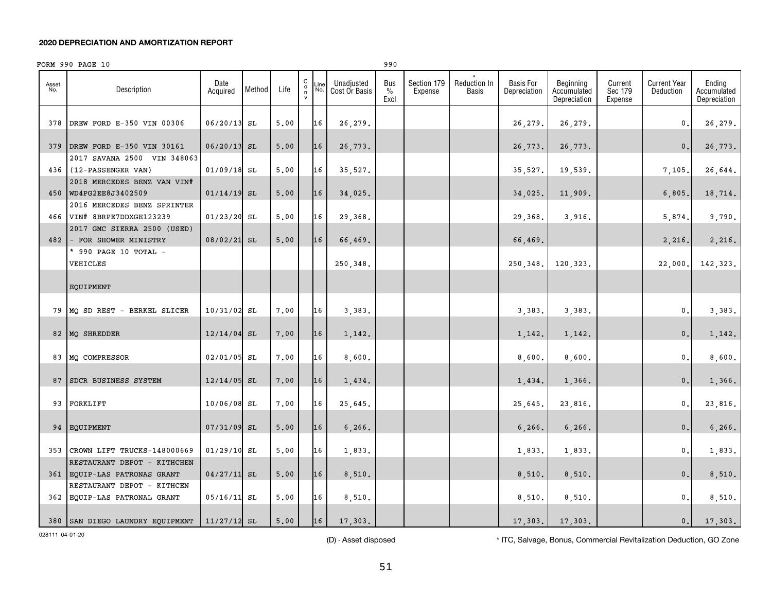|              | FORM 990 PAGE 10                                           |                  |        |      |                                                                                           |                             | 990                          |                        |                                     |                                  |                                          |                               |                                  |                                       |
|--------------|------------------------------------------------------------|------------------|--------|------|-------------------------------------------------------------------------------------------|-----------------------------|------------------------------|------------------------|-------------------------------------|----------------------------------|------------------------------------------|-------------------------------|----------------------------------|---------------------------------------|
| Asset<br>No. | Description                                                | Date<br>Acquired | Method | Life | C<br>Line<br>$\begin{array}{c} \mathtt{o} \\ \mathtt{n} \\ \mathtt{v} \end{array}$<br>No. | Unadjusted<br>Cost Or Basis | Bus<br>$\frac{0}{0}$<br>Excl | Section 179<br>Expense | <b>Reduction In</b><br><b>Basis</b> | <b>Basis For</b><br>Depreciation | Beginning<br>Accumulated<br>Depreciation | Current<br>Sec 179<br>Expense | <b>Current Year</b><br>Deduction | Ending<br>Accumulated<br>Depreciation |
| 378          | DREW FORD E-350 VIN 00306                                  | 06/20/13         | SL     | 5.00 | 16                                                                                        | 26,279.                     |                              |                        |                                     | 26,279                           | 26,279.                                  |                               | 0.                               | 26,279.                               |
| 379          | DREW FORD E-350 VIN 30161<br>2017 SAVANA 2500 VIN 348063   | 06/20/13         | SL     | 5.00 | 16                                                                                        | 26,773.                     |                              |                        |                                     | 26,773.                          | 26,773.                                  |                               | 0.                               | 26,773.                               |
| 436          | (12-PASSENGER VAN)                                         | 01/09/18         | SL     | 5,00 | 16                                                                                        | 35,527.                     |                              |                        |                                     | 35,527.                          | 19,539.                                  |                               | 7,105.                           | 26,644.                               |
|              | 2018 MERCEDES BENZ VAN VIN#<br>450 WD4PG2EE8J3402509       | 01/14/19         | SL     | 5.00 | 16                                                                                        | 34,025.                     |                              |                        |                                     | 34,025                           | 11,909.                                  |                               | 6,805                            | 18,714.                               |
| 466          | 2016 MERCEDES BENZ SPRINTER<br>VIN# 8BRPE7DDXGE123239      | 01/23/20         | SL     | 5,00 | 16                                                                                        | 29,368.                     |                              |                        |                                     | 29,368.                          | 3,916.                                   |                               | 5,874.                           | 9,790.                                |
| 482          | 2017 GMC SIERRA 2500 (USED)<br>FOR SHOWER MINISTRY         | 08/02/21         | SL     | 5.00 | 16                                                                                        | 66,469.                     |                              |                        |                                     | 66,469.                          |                                          |                               | 2,216.                           | 2,216.                                |
|              | * 990 PAGE 10 TOTAL -<br>VEHICLES                          |                  |        |      |                                                                                           | 250,348.                    |                              |                        |                                     | 250,348.                         | 120,323.                                 |                               | 22,000.                          | 142,323.                              |
|              | EQUIPMENT                                                  |                  |        |      |                                                                                           |                             |                              |                        |                                     |                                  |                                          |                               |                                  |                                       |
| 79           | MQ SD REST - BERKEL SLICER                                 | 10/31/02         | SL     | 7.00 | 16                                                                                        | 3,383.                      |                              |                        |                                     | 3,383.                           | 3,383.                                   |                               | 0.                               | 3,383.                                |
| 82           | MQ SHREDDER                                                | 12/14/04         | SL     | 7.00 | 16                                                                                        | 1,142.                      |                              |                        |                                     | 1,142.                           | 1,142.                                   |                               | 0.                               | 1,142.                                |
| 83           | MQ COMPRESSOR                                              | 02/01/05         | SL     | 7.00 | 16                                                                                        | 8,600.                      |                              |                        |                                     | 8,600.                           | 8,600.                                   |                               | $\mathbf{0}$ .                   | 8,600.                                |
| 87           | SDCR BUSINESS SYSTEM                                       | 12/14/05         | SL     | 7.00 | 16                                                                                        | 1,434.                      |                              |                        |                                     | 1,434.                           | 1,366.                                   |                               | 0.                               | 1,366.                                |
| 93           | FORKLIFT                                                   | 10/06/08         | SL     | 7.00 | 16                                                                                        | 25,645.                     |                              |                        |                                     | 25,645.                          | 23,816.                                  |                               | 0.                               | 23,816.                               |
| 94           | EQUIPMENT                                                  | 07/31/09         | SL     | 5,00 | 16                                                                                        | 6,266.                      |                              |                        |                                     | 6,266.                           | 6,266.                                   |                               | 0.                               | 6,266.                                |
| 353          | CROWN LIFT TRUCKS-148000669<br>RESTAURANT DEPOT - KITHCHEN | $01/29/10$ SL    |        | 5.00 | 16                                                                                        | 1,833.                      |                              |                        |                                     | 1,833.                           | 1,833.                                   |                               | $\mathbf{0}$ .                   | 1,833.                                |
|              | 361 EQUIP-LAS PATRONAS GRANT                               | 04/27/11         | SL     | 5,00 | 16                                                                                        | 8,510.                      |                              |                        |                                     | 8,510.                           | 8,510.                                   |                               | 0.                               | 8,510.                                |
| 362          | RESTAURANT DEPOT - KITHCEN<br>EQUIP-LAS PATRONAL GRANT     | 05/16/11         | SL     | 5,00 | 16                                                                                        | 8,510.                      |                              |                        |                                     | 8,510.                           | 8,510.                                   |                               | 0.                               | 8,510.                                |
|              | 380 SAN DIEGO LAUNDRY EQUIPMENT                            | $11/27/12$ SL    |        | 5,00 | 16                                                                                        | 17,303.                     |                              |                        |                                     | 17,303.                          | 17,303.                                  |                               | 0.1                              | 17,303.                               |

028111 04-01-20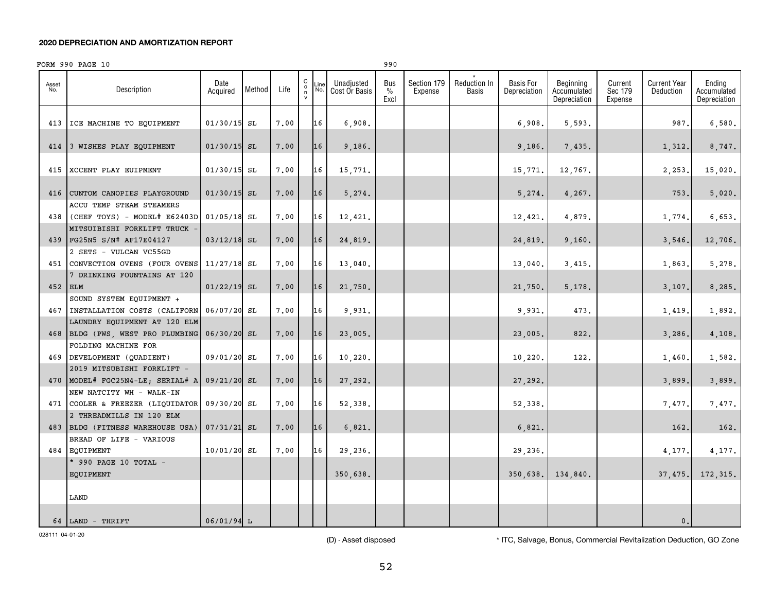|              | FORM 990 PAGE 10                                                 |                  |        |      |                                                           |             |                             | 990                          |                        |                       |                                  |                                          |                               |                           |                                       |
|--------------|------------------------------------------------------------------|------------------|--------|------|-----------------------------------------------------------|-------------|-----------------------------|------------------------------|------------------------|-----------------------|----------------------------------|------------------------------------------|-------------------------------|---------------------------|---------------------------------------|
| Asset<br>No. | Description                                                      | Date<br>Acquired | Method | Life | $\begin{matrix} 0 \\ 0 \\ n \end{matrix}$<br>$\mathsf{v}$ | Line<br>No. | Unadjusted<br>Cost Or Basis | Bus<br>$\frac{0}{0}$<br>Excl | Section 179<br>Expense | Reduction In<br>Basis | <b>Basis For</b><br>Depreciation | Beginning<br>Accumulated<br>Depreciation | Current<br>Sec 179<br>Expense | Current Year<br>Deduction | Ending<br>Accumulated<br>Depreciation |
|              | 413 ICE MACHINE TO EQUIPMENT                                     | 01/30/15 SL      |        | 7.00 |                                                           | 16          | 6,908.                      |                              |                        |                       | 6,908.                           | 5,593.                                   |                               | 987.                      | 6,580.                                |
|              | 414 3 WISHES PLAY EQUIPMENT                                      | $01/30/15$ SL    |        | 7.00 |                                                           | 16          | 9,186.                      |                              |                        |                       | 9,186.                           | 7,435.                                   |                               | 1,312.                    | 8,747.                                |
|              | 415 XCCENT PLAY EUIPMENT                                         | $01/30/15$ SL    |        | 7.00 |                                                           | 16          | 15,771.                     |                              |                        |                       | 15,771.                          | 12,767.                                  |                               | 2,253                     | 15,020.                               |
| 416          | CUNTOM CANOPIES PLAYGROUND                                       | $01/30/15$ SL    |        | 7.00 |                                                           | 16          | 5,274.                      |                              |                        |                       | 5,274.                           | 4,267.                                   |                               | 753.                      | 5,020.                                |
|              | ACCU TEMP STEAM STEAMERS<br>$438$ (CHEF TOYS) - MODEL# E62403D   | $01/05/18$ SL    |        | 7.00 |                                                           | 16          | 12,421.                     |                              |                        |                       | 12,421.                          | 4,879.                                   |                               | 1,774.                    | 6,653.                                |
|              | MITSUIBISHI FORKLIFT TRUCK<br>439 FG25N5 S/N# AF17E04127         | $03/12/18$ SL    |        | 7.00 |                                                           | 16          | 24,819.                     |                              |                        |                       | 24,819.                          | 9,160.                                   |                               | 3,546.                    | 12,706.                               |
|              | 2 SETS - VULCAN VC55GD<br>451 CONVECTION OVENS (FOUR OVENS       | $11/27/18$ SL    |        | 7.00 |                                                           | 16          |                             |                              |                        |                       |                                  |                                          |                               |                           | 5,278.                                |
|              | 7 DRINKING FOUNTAINS AT 120                                      |                  |        |      |                                                           |             | 13,040.                     |                              |                        |                       | 13,040.                          | 3,415.                                   |                               | 1,863                     |                                       |
| 452 ELM      | SOUND SYSTEM EQUIPMENT +                                         | $01/22/19$ SL    |        | 7.00 |                                                           | 16          | 21,750.                     |                              |                        |                       | 21,750.                          | 5,178.                                   |                               | 3,107.                    | 8,285.                                |
|              | 467 INSTALLATION COSTS (CALIFORN<br>LAUNDRY EQUIPMENT AT 120 ELM | 06/07/20 SL      |        | 7.00 |                                                           | 16          | 9,931.                      |                              |                        |                       | 9,931.                           | 473.                                     |                               | 1,419.                    | 1,892.                                |
|              | 468 BLDG (PWS, WEST PRO PLUMBING<br>FOLDING MACHINE FOR          | 06/30/20 SL      |        | 7.00 |                                                           | 16          | 23,005.                     |                              |                        |                       | 23,005.                          | 822.                                     |                               | 3,286                     | 4,108.                                |
|              | 469 DEVELOPMENT (QUADIENT)                                       | 09/01/20 SL      |        | 7.00 |                                                           | 16          | 10, 220.                    |                              |                        |                       | 10,220.                          | 122.                                     |                               | 1,460                     | 1,582.                                |
|              | 2019 MITSUBISHI FORKLIFT -<br>470   MODEL# FGC25N4-LE; SERIAL# A | 09/21/20 SL      |        | 7.00 |                                                           | 16          | 27,292.                     |                              |                        |                       | 27,292.                          |                                          |                               | 3,899.                    | 3,899.                                |
|              | NEW NATCITY WH - WALK-IN<br>471 COOLER & FREEZER (LIQUIDATOR     | 09/30/20 SL      |        | 7.00 |                                                           | 16          | 52,338.                     |                              |                        |                       | 52,338.                          |                                          |                               | 7,477.                    | 7,477.                                |
|              | 2 THREADMILLS IN 120 ELM<br>483 BLDG (FITNESS WAREHOUSE USA)     | $07/31/21$ SL    |        | 7.00 |                                                           | 16          | 6,821.                      |                              |                        |                       | 6,821.                           |                                          |                               | 162.                      | 162.                                  |
|              | BREAD OF LIFE - VARIOUS<br>484 EQUIPMENT                         | 10/01/20 SL      |        | 7.00 |                                                           | 16          | 29,236.                     |                              |                        |                       | 29,236.                          |                                          |                               | 4,177.                    | 4,177.                                |
|              | * 990 PAGE 10 TOTAL $-$                                          |                  |        |      |                                                           |             |                             |                              |                        |                       |                                  |                                          |                               |                           |                                       |
|              | EQUIPMENT                                                        |                  |        |      |                                                           |             | 350,638.                    |                              |                        |                       | 350,638.                         | 134,840.                                 |                               | 37,475.                   | 172, 315.                             |
|              | LAND                                                             |                  |        |      |                                                           |             |                             |                              |                        |                       |                                  |                                          |                               |                           |                                       |
|              | 64 LAND - THRIFT                                                 | $06/01/94$ L     |        |      |                                                           |             |                             |                              |                        |                       |                                  |                                          |                               | 0.                        |                                       |

028111 04-01-20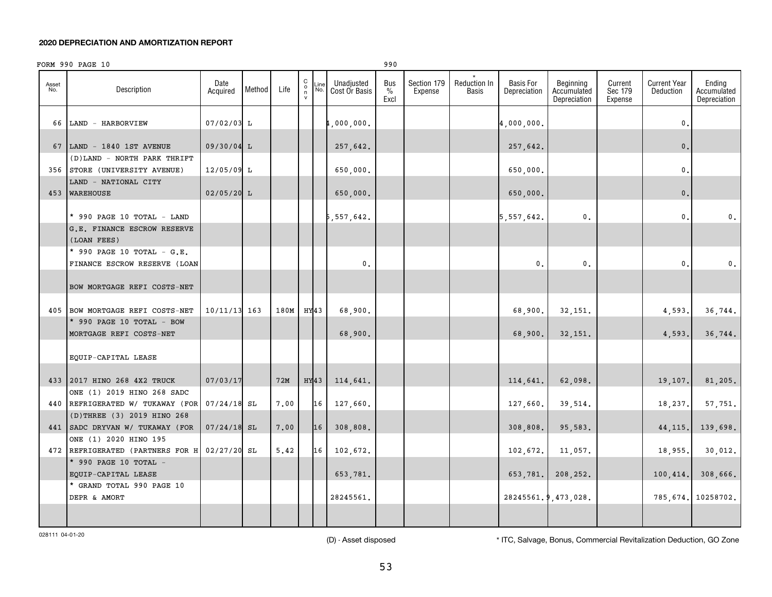|              | FORM 990 PAGE 10                                                                               |                  |        |      |                                              |             |                             | 990                          |                        |                                     |                                  |                                          |                               |                                  |                                       |
|--------------|------------------------------------------------------------------------------------------------|------------------|--------|------|----------------------------------------------|-------------|-----------------------------|------------------------------|------------------------|-------------------------------------|----------------------------------|------------------------------------------|-------------------------------|----------------------------------|---------------------------------------|
| Asset<br>No. | Description                                                                                    | Date<br>Acquired | Method | Life | $\begin{array}{c}\nC \\ O \\ N\n\end{array}$ | Line<br>No. | Unadjusted<br>Cost Or Basis | Bus<br>$\frac{0}{0}$<br>Excl | Section 179<br>Expense | <b>Reduction In</b><br><b>Basis</b> | <b>Basis For</b><br>Depreciation | Beginning<br>Accumulated<br>Depreciation | Current<br>Sec 179<br>Expense | <b>Current Year</b><br>Deduction | Ending<br>Accumulated<br>Depreciation |
|              | 66 LAND - HARBORVIEW                                                                           | 07/02/03 L       |        |      |                                              |             | 1,000,000.                  |                              |                        |                                     | 4,000,000.                       |                                          |                               | $\mathbf{0}$ .                   |                                       |
|              | 67   LAND - 1840 1ST AVENUE                                                                    | 09/30/04 L       |        |      |                                              |             | 257,642.                    |                              |                        |                                     | 257,642.                         |                                          |                               | $\mathbf 0$ .                    |                                       |
|              | (D) LAND - NORTH PARK THRIFT                                                                   |                  |        |      |                                              |             |                             |                              |                        |                                     |                                  |                                          |                               |                                  |                                       |
|              | 356 STORE (UNIVERSITY AVENUE)                                                                  | 12/05/09 L       |        |      |                                              |             | 650,000.                    |                              |                        |                                     | 650,000.                         |                                          |                               | $\mathfrak o$ .                  |                                       |
|              | LAND - NATIONAL CITY<br>453 WAREHOUSE                                                          | $02/05/20$ L     |        |      |                                              |             | 650,000.                    |                              |                        |                                     | 650,000.                         |                                          |                               | $\mathbf 0$ .                    |                                       |
|              | * 990 PAGE 10 TOTAL - LAND                                                                     |                  |        |      |                                              |             | 5,557,642.                  |                              |                        |                                     | 5, 557, 642.                     | $\mathsf{0}$ .                           |                               | $\mathbf{0}$ .                   | 0.                                    |
|              | G.E. FINANCE ESCROW RESERVE<br>(LOAN FEES)                                                     |                  |        |      |                                              |             |                             |                              |                        |                                     |                                  |                                          |                               |                                  |                                       |
|              | * 990 PAGE 10 TOTAL - $G.E.$                                                                   |                  |        |      |                                              |             |                             |                              |                        |                                     |                                  |                                          |                               |                                  |                                       |
|              | FINANCE ESCROW RESERVE (LOAN                                                                   |                  |        |      |                                              |             | $\mathbf{0}$ .              |                              |                        |                                     | $\mathbf{0}$ .                   | $\mathbf{0}$ .                           |                               | $\mathbf{0}$ .                   | $\mathbf{0}$ .                        |
|              | BOW MORTGAGE REFI COSTS-NET                                                                    |                  |        |      |                                              |             |                             |                              |                        |                                     |                                  |                                          |                               |                                  |                                       |
|              | 405 BOW MORTGAGE REFI COSTS-NET                                                                | $10/11/13$ 163   |        | 180M |                                              | HY43        | 68,900.                     |                              |                        |                                     | 68,900.                          | 32,151.                                  |                               | 4,593.                           | 36,744.                               |
|              | * 990 PAGE 10 TOTAL - BOW<br>MORTGAGE REFI COSTS-NET                                           |                  |        |      |                                              |             | 68,900.                     |                              |                        |                                     | 68,900.                          | 32,151.                                  |                               | 4,593.                           | 36,744.                               |
|              | EQUIP-CAPITAL LEASE                                                                            |                  |        |      |                                              |             |                             |                              |                        |                                     |                                  |                                          |                               |                                  |                                       |
|              | 433 2017 HINO 268 4X2 TRUCK                                                                    | 07/03/17         |        | 72M  |                                              | HY43        | 114,641.                    |                              |                        |                                     | 114,641.                         | 62,098.                                  |                               | 19,107.                          | 81,205.                               |
| 440          | ONE (1) 2019 HINO 268 SADC<br>REFRIGERATED W/ TUKAWAY (FOR                                     | $07/24/18$ SL    |        | 7.00 |                                              | 16          | 127,660.                    |                              |                        |                                     | 127,660.                         | 39,514.                                  |                               | 18,237.                          | 57,751.                               |
|              | (D) THREE (3) 2019 HINO 268<br>441 SADC DRYVAN W/ TUKAWAY (FOR                                 | $07/24/18$ SL    |        | 7.00 |                                              | 16          | 308,808.                    |                              |                        |                                     | 308,808.                         | 95,583.                                  |                               | 44, 115.                         | 139,698.                              |
|              | ONE (1) 2020 HINO 195<br>472 REFRIGERATED (PARTNERS FOR H 02/27/20 SL<br>* 990 PAGE 10 TOTAL - |                  |        | 5.42 |                                              | 16          | 102,672.                    |                              |                        |                                     | 102,672.                         | 11,057.                                  |                               | 18,955.                          | 30,012.                               |
|              | EQUIP-CAPITAL LEASE                                                                            |                  |        |      |                                              |             | 653,781.                    |                              |                        |                                     | 653,781.                         | 208,252.                                 |                               | 100, 414.                        | 308,666.                              |
|              | * GRAND TOTAL 990 PAGE 10<br>DEPR & AMORT                                                      |                  |        |      |                                              |             | 28245561.                   |                              |                        |                                     |                                  |                                          |                               |                                  |                                       |
|              |                                                                                                |                  |        |      |                                              |             |                             |                              |                        |                                     | 28245561.9,473,028.              |                                          |                               |                                  | 785,674. 10258702.                    |

028111 04-01-20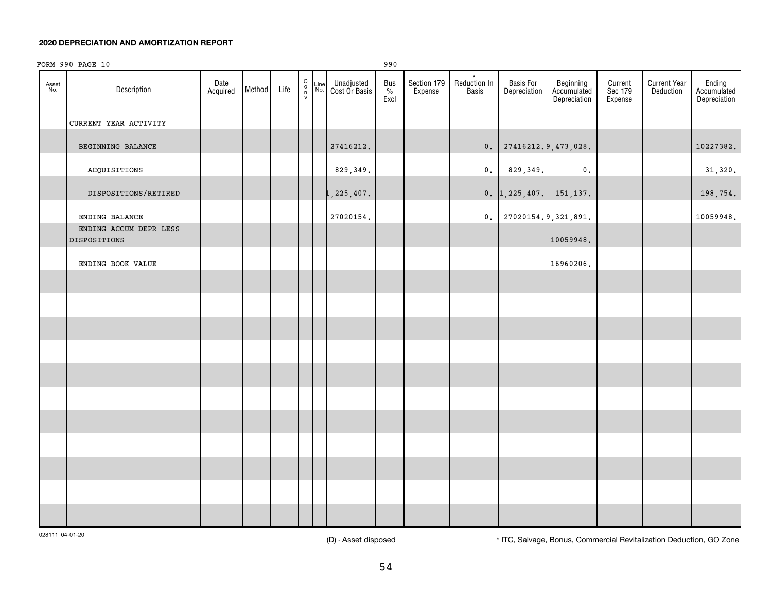|              | FORM 990 PAGE 10                              |                  |        |      |                                               |                                      | 990                          |                        |                                         |                           |                                          |                               |                                         |                                       |
|--------------|-----------------------------------------------|------------------|--------|------|-----------------------------------------------|--------------------------------------|------------------------------|------------------------|-----------------------------------------|---------------------------|------------------------------------------|-------------------------------|-----------------------------------------|---------------------------------------|
| Asset<br>No. | Description                                   | Date<br>Acquired | Method | Life | $\begin{array}{c} C \\ 0 \\ \eta \end{array}$ | Line Unadjusted<br>No. Cost Or Basis | Bus<br>$\frac{9}{6}$<br>Excl | Section 179<br>Expense | $\star$<br>Reduction In<br><b>Basis</b> | Basis For<br>Depreciation | Beginning<br>Accumulated<br>Depreciation | Current<br>Sec 179<br>Expense | <b>Current Year</b><br><b>Deduction</b> | Ending<br>Accumulated<br>Depreciation |
|              | CURRENT YEAR ACTIVITY                         |                  |        |      |                                               |                                      |                              |                        |                                         |                           |                                          |                               |                                         |                                       |
|              | BEGINNING BALANCE                             |                  |        |      |                                               | 27416212.                            |                              |                        | 0.                                      | 27416212.9,473,028.       |                                          |                               |                                         | 10227382.                             |
|              | ACQUISITIONS                                  |                  |        |      |                                               | 829,349.                             |                              |                        | $\mathfrak o$ .                         | 829,349.                  | $\mathfrak o$ .                          |                               |                                         | 31,320.                               |
|              | DISPOSITIONS/RETIRED                          |                  |        |      |                                               | , 225, 407.                          |                              |                        |                                         | 0. 1, 225, 407. 151, 137. |                                          |                               |                                         | 198,754.                              |
|              | ENDING BALANCE                                |                  |        |      |                                               | 27020154.                            |                              |                        |                                         | 0. 27020154.9, 321, 891.  |                                          |                               |                                         | 10059948.                             |
|              | ENDING ACCUM DEPR LESS<br><b>DISPOSITIONS</b> |                  |        |      |                                               |                                      |                              |                        |                                         |                           | 10059948.                                |                               |                                         |                                       |
|              | ENDING BOOK VALUE                             |                  |        |      |                                               |                                      |                              |                        |                                         |                           | 16960206.                                |                               |                                         |                                       |
|              |                                               |                  |        |      |                                               |                                      |                              |                        |                                         |                           |                                          |                               |                                         |                                       |
|              |                                               |                  |        |      |                                               |                                      |                              |                        |                                         |                           |                                          |                               |                                         |                                       |
|              |                                               |                  |        |      |                                               |                                      |                              |                        |                                         |                           |                                          |                               |                                         |                                       |
|              |                                               |                  |        |      |                                               |                                      |                              |                        |                                         |                           |                                          |                               |                                         |                                       |
|              |                                               |                  |        |      |                                               |                                      |                              |                        |                                         |                           |                                          |                               |                                         |                                       |
|              |                                               |                  |        |      |                                               |                                      |                              |                        |                                         |                           |                                          |                               |                                         |                                       |
|              |                                               |                  |        |      |                                               |                                      |                              |                        |                                         |                           |                                          |                               |                                         |                                       |
|              |                                               |                  |        |      |                                               |                                      |                              |                        |                                         |                           |                                          |                               |                                         |                                       |
|              |                                               |                  |        |      |                                               |                                      |                              |                        |                                         |                           |                                          |                               |                                         |                                       |
|              |                                               |                  |        |      |                                               |                                      |                              |                        |                                         |                           |                                          |                               |                                         |                                       |
|              |                                               |                  |        |      |                                               |                                      |                              |                        |                                         |                           |                                          |                               |                                         |                                       |

028111 04-01-20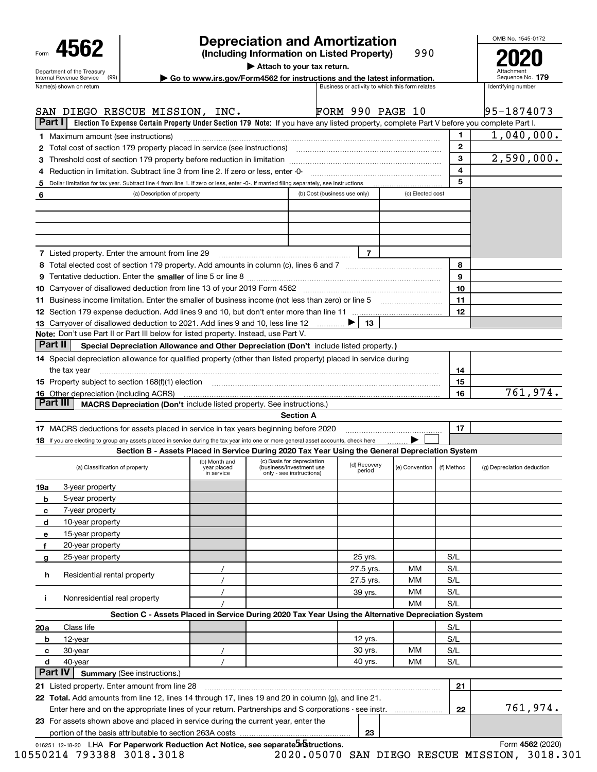|        |                                                                                                                                         |                                    |                           | <b>Depreciation and Amortization</b>                                                                                                      |                                                 |                  |              | OMB No. 1545-0172                      |
|--------|-----------------------------------------------------------------------------------------------------------------------------------------|------------------------------------|---------------------------|-------------------------------------------------------------------------------------------------------------------------------------------|-------------------------------------------------|------------------|--------------|----------------------------------------|
|        | 4562<br>Department of the Treasury                                                                                                      |                                    |                           | (Including Information on Listed Property)<br>Attach to your tax return.                                                                  |                                                 | 990              |              | Attachment                             |
|        | (99)<br>Internal Revenue Service<br>Name(s) shown on return                                                                             |                                    |                           | Go to www.irs.gov/Form4562 for instructions and the latest information.                                                                   | Business or activity to which this form relates |                  |              | Sequence No. 179<br>Identifying number |
|        | SAN DIEGO RESCUE MISSION, INC.                                                                                                          |                                    |                           |                                                                                                                                           | FORM 990 PAGE 10                                |                  |              | 95-1874073                             |
|        | Part II                                                                                                                                 |                                    |                           | Election To Expense Certain Property Under Section 179 Note: If you have any listed property, complete Part V before you complete Part I. |                                                 |                  |              |                                        |
|        | <b>1</b> Maximum amount (see instructions)                                                                                              |                                    |                           |                                                                                                                                           |                                                 |                  | 1.           | 1,040,000.                             |
|        |                                                                                                                                         |                                    |                           |                                                                                                                                           |                                                 |                  | $\mathbf{2}$ |                                        |
|        |                                                                                                                                         |                                    |                           |                                                                                                                                           |                                                 |                  | 3            | 2,590,000.                             |
|        | 4 Reduction in limitation. Subtract line 3 from line 2. If zero or less, enter -0-                                                      |                                    |                           |                                                                                                                                           |                                                 |                  | 4            |                                        |
| 5      | Dollar limitation for tax year. Subtract line 4 from line 1. If zero or less, enter -0-. If married filing separately, see instructions |                                    |                           |                                                                                                                                           |                                                 |                  | 5            |                                        |
| 6      |                                                                                                                                         | (a) Description of property        |                           |                                                                                                                                           | (b) Cost (business use only)                    | (c) Elected cost |              |                                        |
|        |                                                                                                                                         |                                    |                           |                                                                                                                                           |                                                 |                  |              |                                        |
|        | 7 Listed property. Enter the amount from line 29                                                                                        |                                    |                           |                                                                                                                                           | 7                                               |                  |              |                                        |
|        |                                                                                                                                         |                                    |                           |                                                                                                                                           |                                                 |                  | 8            |                                        |
|        |                                                                                                                                         |                                    |                           |                                                                                                                                           |                                                 |                  | 9            |                                        |
|        |                                                                                                                                         |                                    |                           |                                                                                                                                           |                                                 |                  | 10           |                                        |
|        |                                                                                                                                         |                                    |                           |                                                                                                                                           |                                                 |                  | 11           |                                        |
|        |                                                                                                                                         |                                    |                           |                                                                                                                                           |                                                 |                  | 12           |                                        |
|        | 13 Carryover of disallowed deduction to 2021. Add lines 9 and 10, less line 12                                                          |                                    |                           |                                                                                                                                           | 13                                              |                  |              |                                        |
|        | <b>Note:</b> Don't use Part II or Part III below for listed property. Instead, use Part V.                                              |                                    |                           |                                                                                                                                           |                                                 |                  |              |                                        |
|        | <b>Part II</b>                                                                                                                          |                                    |                           | Special Depreciation Allowance and Other Depreciation (Don't include listed property.)                                                    |                                                 |                  |              |                                        |
|        | 14 Special depreciation allowance for qualified property (other than listed property) placed in service during                          |                                    |                           |                                                                                                                                           |                                                 |                  |              |                                        |
|        | the tax year                                                                                                                            |                                    |                           |                                                                                                                                           |                                                 |                  | 14           |                                        |
|        | 15 Property subject to section 168(f)(1) election material content and content to the section 168(f)(1) election                        |                                    |                           |                                                                                                                                           |                                                 |                  | 15           |                                        |
|        | <b>16</b> Other depreciation (including ACRS)                                                                                           |                                    |                           |                                                                                                                                           |                                                 |                  | 16           | 761,974.                               |
|        | Part III                                                                                                                                |                                    |                           | MACRS Depreciation (Don't include listed property. See instructions.)                                                                     |                                                 |                  |              |                                        |
|        |                                                                                                                                         |                                    |                           | <b>Section A</b>                                                                                                                          |                                                 |                  |              |                                        |
|        | 17 MACRS deductions for assets placed in service in tax years beginning before 2020                                                     |                                    |                           |                                                                                                                                           |                                                 |                  | 17           |                                        |
|        | 18 If you are electing to group any assets placed in service during the tax year into one or more general asset accounts, check here    |                                    |                           |                                                                                                                                           |                                                 |                  |              |                                        |
|        |                                                                                                                                         |                                    |                           | Section B - Assets Placed in Service During 2020 Tax Year Using the General Depreciation System                                           |                                                 |                  |              |                                        |
|        | (a) Classification of property                                                                                                          |                                    | year placed<br>in service | (b) Month and (c) Basis for depreciation (d) Recovery (e) Convention<br>(business/investment use<br>only - see instructions)              | period                                          | (e) Convention   | (f) Method   | (g) Depreciation deduction             |
| 19a    | 3-year property                                                                                                                         |                                    |                           |                                                                                                                                           |                                                 |                  |              |                                        |
| b      | 5-year property                                                                                                                         |                                    |                           |                                                                                                                                           |                                                 |                  |              |                                        |
| с      | 7-year property                                                                                                                         |                                    |                           |                                                                                                                                           |                                                 |                  |              |                                        |
| d      | 10-year property                                                                                                                        |                                    |                           |                                                                                                                                           |                                                 |                  |              |                                        |
| е      | 15-year property                                                                                                                        |                                    |                           |                                                                                                                                           |                                                 |                  |              |                                        |
| f      | 20-year property                                                                                                                        |                                    |                           |                                                                                                                                           |                                                 |                  |              |                                        |
| g      | 25-year property                                                                                                                        |                                    |                           |                                                                                                                                           | 25 yrs.                                         |                  | S/L          |                                        |
| h      | Residential rental property                                                                                                             |                                    |                           |                                                                                                                                           | 27.5 yrs.                                       | MМ               | S/L          |                                        |
|        |                                                                                                                                         |                                    |                           |                                                                                                                                           | 27.5 yrs.                                       | MМ               | S/L          |                                        |
| j.     | Nonresidential real property                                                                                                            |                                    |                           |                                                                                                                                           | 39 yrs.                                         | MМ               | S/L          |                                        |
|        |                                                                                                                                         |                                    |                           | Section C - Assets Placed in Service During 2020 Tax Year Using the Alternative Depreciation System                                       |                                                 | MМ               | S/L          |                                        |
|        |                                                                                                                                         |                                    |                           |                                                                                                                                           |                                                 |                  |              |                                        |
| 20a    | Class life                                                                                                                              |                                    |                           |                                                                                                                                           |                                                 |                  | S/L          |                                        |
| b<br>с | 12-year<br>30-year                                                                                                                      |                                    |                           |                                                                                                                                           | 12 yrs.<br>30 yrs.                              | MМ               | S/L<br>S/L   |                                        |
| d      | 40-year                                                                                                                                 |                                    |                           |                                                                                                                                           | 40 yrs.                                         | МM               | S/L          |                                        |
|        | <b>Part IV</b>                                                                                                                          | <b>Summary (See instructions.)</b> |                           |                                                                                                                                           |                                                 |                  |              |                                        |
|        | 21 Listed property. Enter amount from line 28                                                                                           |                                    |                           |                                                                                                                                           |                                                 |                  | 21           |                                        |
|        | 22 Total. Add amounts from line 12, lines 14 through 17, lines 19 and 20 in column (g), and line 21.                                    |                                    |                           |                                                                                                                                           |                                                 |                  |              |                                        |
|        | Enter here and on the appropriate lines of your return. Partnerships and S corporations - see instr.                                    |                                    |                           |                                                                                                                                           |                                                 |                  | 22           | 761,974.                               |
|        | 23 For assets shown above and placed in service during the current year, enter the                                                      |                                    |                           |                                                                                                                                           |                                                 |                  |              |                                        |
|        | portion of the basis attributable to section 263A costs                                                                                 |                                    |                           |                                                                                                                                           | 23                                              |                  |              |                                        |

016251 12-18-20 LHA **For Paperwork Reduction Act Notice, see separate instructions. <b>Act 10 and 10 and 1562 Form 4562** LHA For Paperwork Reduction Act Notice, see separate آهات المستخدمة المستخدمة Form 4562 (2020)

10550214 793388 3018.3018 2020.05070 SAN DIEGO RESCUE MISSION, 3018.301